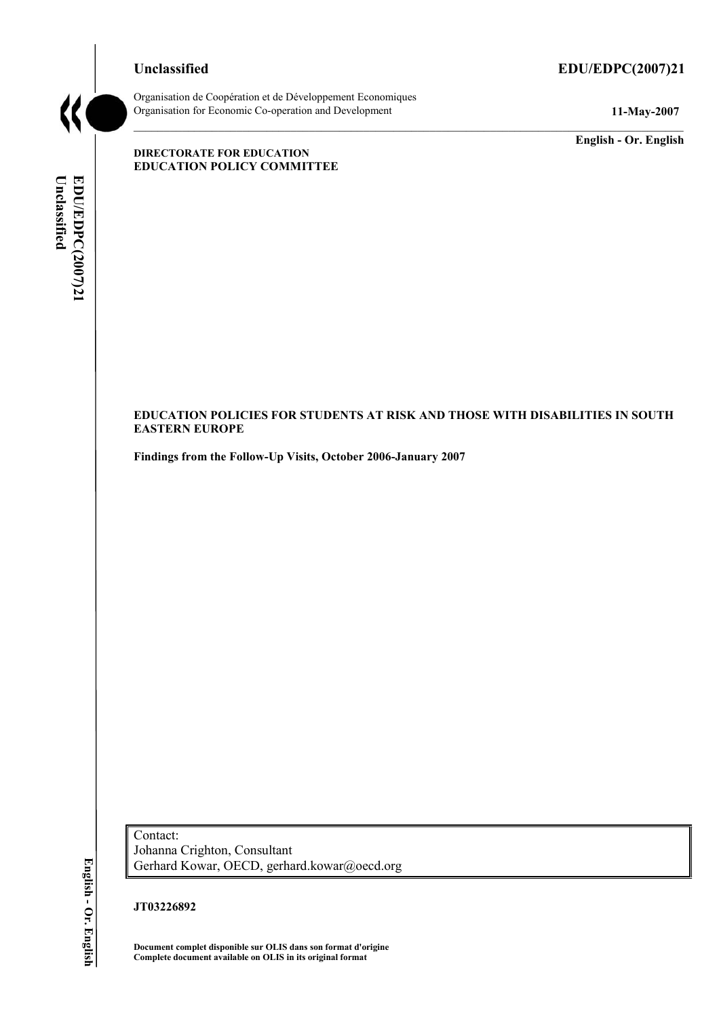### **Unclassified EDU/EDPC(2007)21**



Organisation de CoopÈration et de DÈveloppement Economiques Organisation for Economic Co-operation and Development **11-May-2007** 

**English - Or. English** 

#### **DIRECTORATE FOR EDUCATION EDUCATION POLICY COMMITTEE**

Unclassified EDU/EDPC(2007)21 **Unclassified EDU/EDPC(2007)21 English - Or. English** 

### **EDUCATION POLICIES FOR STUDENTS AT RISK AND THOSE WITH DISABILITIES IN SOUTH EASTERN EUROPE**

**Findings from the Follow-Up Visits, October 2006-January 2007** 

English - Or. English

Contact: Johanna Crighton, Consultant Gerhard Kowar, OECD, gerhard.kowar@oecd.org

**JT03226892** 

**Document complet disponible sur OLIS dans son format d'origine Complete document available on OLIS in its original format**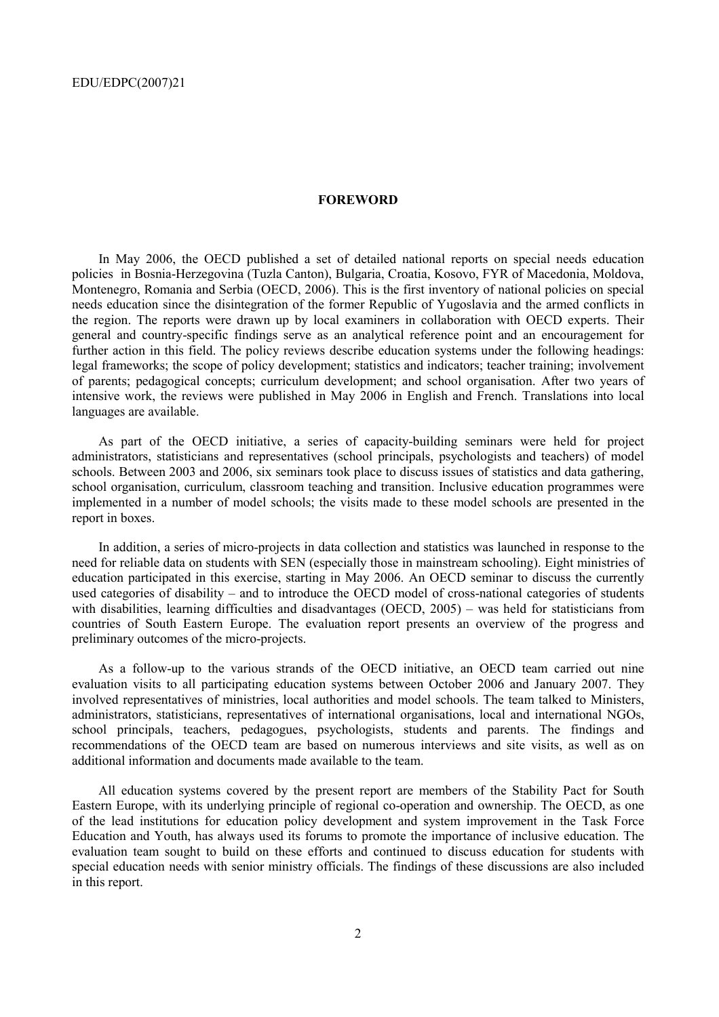#### **FOREWORD**

In May 2006, the OECD published a set of detailed national reports on special needs education policies in Bosnia-Herzegovina (Tuzla Canton), Bulgaria, Croatia, Kosovo, FYR of Macedonia, Moldova, Montenegro, Romania and Serbia (OECD, 2006). This is the first inventory of national policies on special needs education since the disintegration of the former Republic of Yugoslavia and the armed conflicts in the region. The reports were drawn up by local examiners in collaboration with OECD experts. Their general and country-specific findings serve as an analytical reference point and an encouragement for further action in this field. The policy reviews describe education systems under the following headings: legal frameworks; the scope of policy development; statistics and indicators; teacher training; involvement of parents; pedagogical concepts; curriculum development; and school organisation. After two years of intensive work, the reviews were published in May 2006 in English and French. Translations into local languages are available.

As part of the OECD initiative, a series of capacity-building seminars were held for project administrators, statisticians and representatives (school principals, psychologists and teachers) of model schools. Between 2003 and 2006, six seminars took place to discuss issues of statistics and data gathering, school organisation, curriculum, classroom teaching and transition. Inclusive education programmes were implemented in a number of model schools; the visits made to these model schools are presented in the report in boxes.

In addition, a series of micro-projects in data collection and statistics was launched in response to the need for reliable data on students with SEN (especially those in mainstream schooling). Eight ministries of education participated in this exercise, starting in May 2006. An OECD seminar to discuss the currently used categories of disability – and to introduce the OECD model of cross-national categories of students with disabilities, learning difficulties and disadvantages (OECD,  $2005$ ) – was held for statisticians from countries of South Eastern Europe. The evaluation report presents an overview of the progress and preliminary outcomes of the micro-projects.

As a follow-up to the various strands of the OECD initiative, an OECD team carried out nine evaluation visits to all participating education systems between October 2006 and January 2007. They involved representatives of ministries, local authorities and model schools. The team talked to Ministers, administrators, statisticians, representatives of international organisations, local and international NGOs, school principals, teachers, pedagogues, psychologists, students and parents. The findings and recommendations of the OECD team are based on numerous interviews and site visits, as well as on additional information and documents made available to the team.

All education systems covered by the present report are members of the Stability Pact for South Eastern Europe, with its underlying principle of regional co-operation and ownership. The OECD, as one of the lead institutions for education policy development and system improvement in the Task Force Education and Youth, has always used its forums to promote the importance of inclusive education. The evaluation team sought to build on these efforts and continued to discuss education for students with special education needs with senior ministry officials. The findings of these discussions are also included in this report.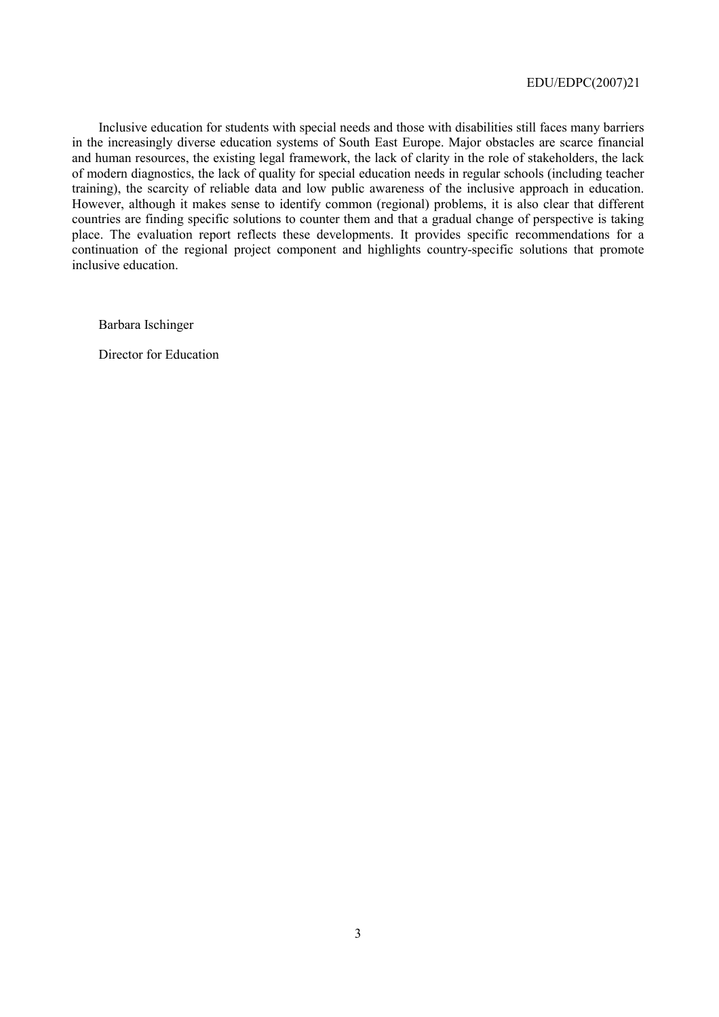Inclusive education for students with special needs and those with disabilities still faces many barriers in the increasingly diverse education systems of South East Europe. Major obstacles are scarce financial and human resources, the existing legal framework, the lack of clarity in the role of stakeholders, the lack of modern diagnostics, the lack of quality for special education needs in regular schools (including teacher training), the scarcity of reliable data and low public awareness of the inclusive approach in education. However, although it makes sense to identify common (regional) problems, it is also clear that different countries are finding specific solutions to counter them and that a gradual change of perspective is taking place. The evaluation report reflects these developments. It provides specific recommendations for a continuation of the regional project component and highlights country-specific solutions that promote inclusive education.

Barbara Ischinger

Director for Education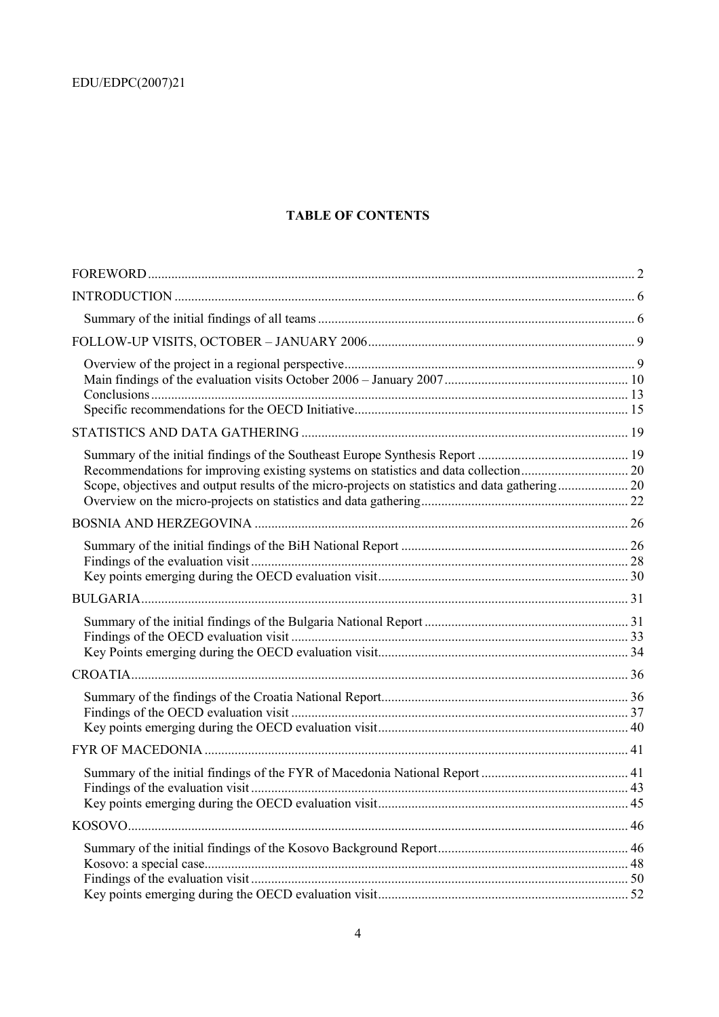### **TABLE OF CONTENTS**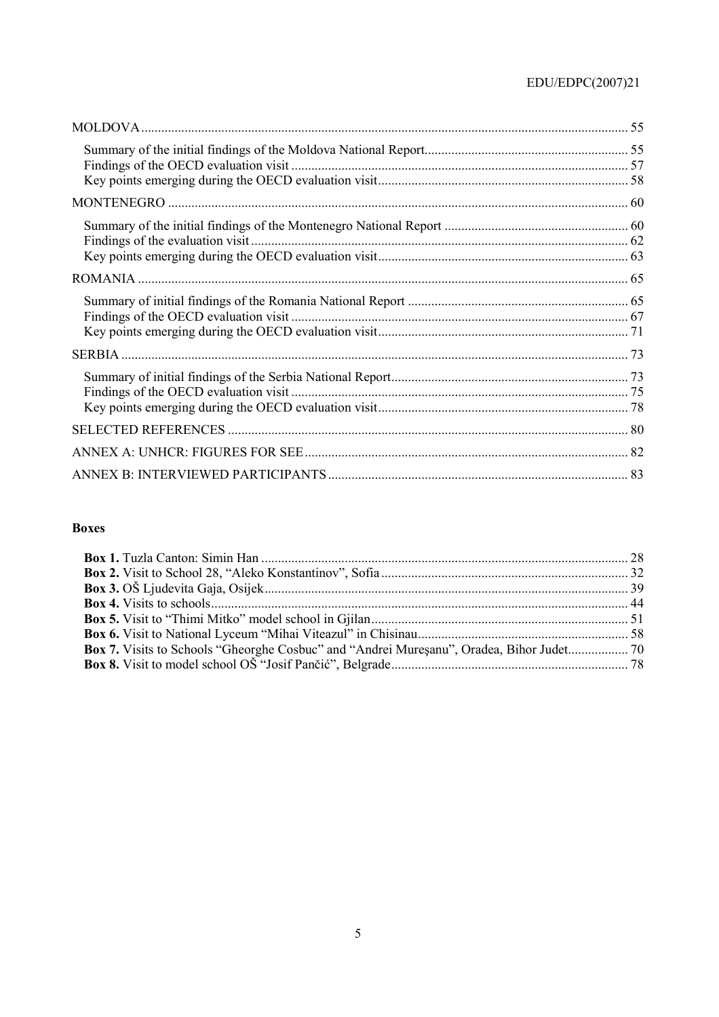# $\mathrm{EDU}/\mathrm{EDPC}(2007)21$

### **Boxes**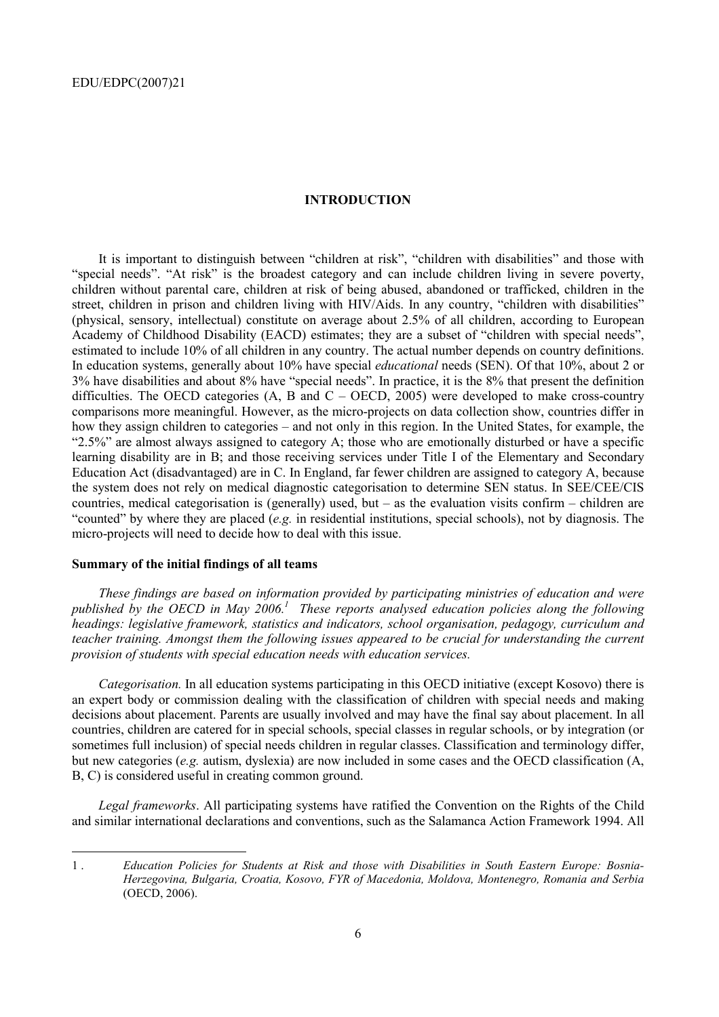#### **INTRODUCTION**

It is important to distinguish between "children at risk", "children with disabilities" and those with "special needs". "At risk" is the broadest category and can include children living in severe poverty, children without parental care, children at risk of being abused, abandoned or trafficked, children in the street, children in prison and children living with HIV/Aids. In any country, "children with disabilities" (physical, sensory, intellectual) constitute on average about 2.5% of all children, according to European Academy of Childhood Disability (EACD) estimates; they are a subset of "children with special needs", estimated to include 10% of all children in any country. The actual number depends on country definitions. In education systems, generally about 10% have special *educational* needs (SEN). Of that 10%, about 2 or 3% have disabilities and about 8% have "special needs". In practice, it is the 8% that present the definition difficulties. The OECD categories (A, B and  $C -$  OECD, 2005) were developed to make cross-country comparisons more meaningful. However, as the micro-projects on data collection show, countries differ in how they assign children to categories – and not only in this region. In the United States, for example, the ì2.5%î are almost always assigned to category A; those who are emotionally disturbed or have a specific learning disability are in B; and those receiving services under Title I of the Elementary and Secondary Education Act (disadvantaged) are in C. In England, far fewer children are assigned to category A, because the system does not rely on medical diagnostic categorisation to determine SEN status. In SEE/CEE/CIS countries, medical categorisation is (generally) used, but  $-$  as the evaluation visits confirm  $-$  children are ìcountedî by where they are placed (*e.g.* in residential institutions, special schools), not by diagnosis. The micro-projects will need to decide how to deal with this issue.

### **Summary of the initial findings of all teams**

 $\overline{a}$ 

*These findings are based on information provided by participating ministries of education and were*  published by the OECD in May 2006.<sup>1</sup> These reports analysed education policies along the following *headings: legislative framework, statistics and indicators, school organisation, pedagogy, curriculum and teacher training. Amongst them the following issues appeared to be crucial for understanding the current provision of students with special education needs with education services.* 

*Categorisation.* In all education systems participating in this OECD initiative (except Kosovo) there is an expert body or commission dealing with the classification of children with special needs and making decisions about placement. Parents are usually involved and may have the final say about placement. In all countries, children are catered for in special schools, special classes in regular schools, or by integration (or sometimes full inclusion) of special needs children in regular classes. Classification and terminology differ, but new categories (*e.g.* autism, dyslexia) are now included in some cases and the OECD classification (A, B, C) is considered useful in creating common ground.

*Legal frameworks*. All participating systems have ratified the Convention on the Rights of the Child and similar international declarations and conventions, such as the Salamanca Action Framework 1994. All

1 . *Education Policies for Students at Risk and those with Disabilities in South Eastern Europe: Bosnia-Herzegovina, Bulgaria, Croatia, Kosovo, FYR of Macedonia, Moldova, Montenegro, Romania and Serbia* (OECD, 2006).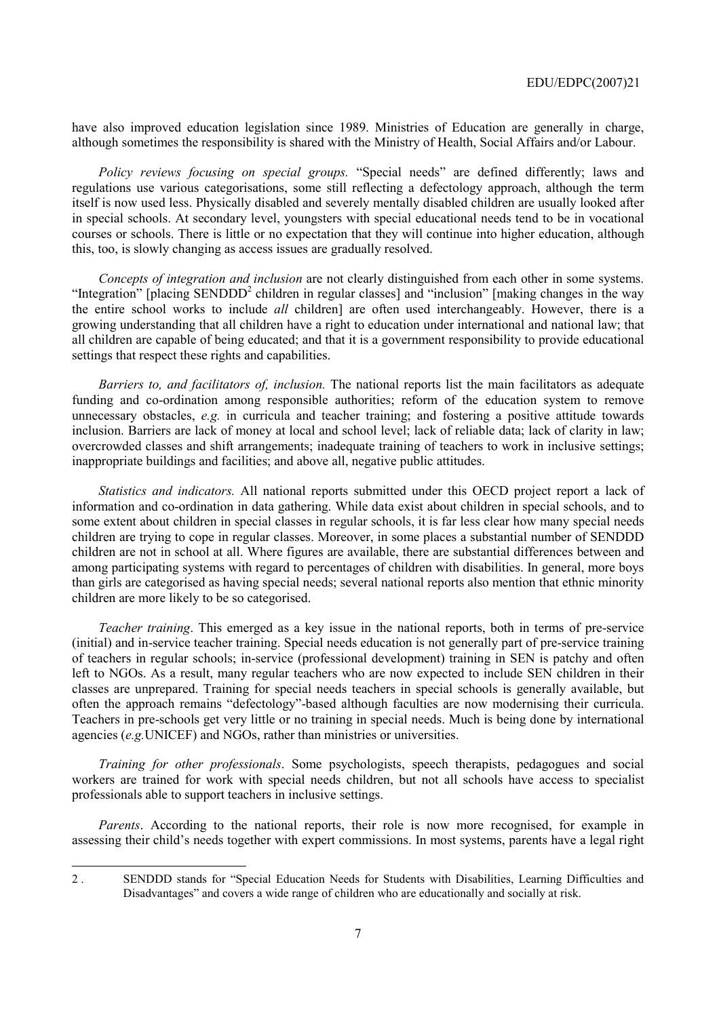have also improved education legislation since 1989. Ministries of Education are generally in charge, although sometimes the responsibility is shared with the Ministry of Health, Social Affairs and/or Labour.

*Policy reviews focusing on special groups.* "Special needs" are defined differently; laws and regulations use various categorisations, some still reflecting a defectology approach, although the term itself is now used less. Physically disabled and severely mentally disabled children are usually looked after in special schools. At secondary level, youngsters with special educational needs tend to be in vocational courses or schools. There is little or no expectation that they will continue into higher education, although this, too, is slowly changing as access issues are gradually resolved.

*Concepts of integration and inclusion* are not clearly distinguished from each other in some systems. "Integration" [placing SENDDD<sup>2</sup> children in regular classes] and "inclusion" [making changes in the way the entire school works to include *all* children] are often used interchangeably. However, there is a growing understanding that all children have a right to education under international and national law; that all children are capable of being educated; and that it is a government responsibility to provide educational settings that respect these rights and capabilities.

*Barriers to, and facilitators of, inclusion.* The national reports list the main facilitators as adequate funding and co-ordination among responsible authorities; reform of the education system to remove unnecessary obstacles, *e.g.* in curricula and teacher training; and fostering a positive attitude towards inclusion. Barriers are lack of money at local and school level; lack of reliable data; lack of clarity in law; overcrowded classes and shift arrangements; inadequate training of teachers to work in inclusive settings; inappropriate buildings and facilities; and above all, negative public attitudes.

*Statistics and indicators.* All national reports submitted under this OECD project report a lack of information and co-ordination in data gathering. While data exist about children in special schools, and to some extent about children in special classes in regular schools, it is far less clear how many special needs children are trying to cope in regular classes. Moreover, in some places a substantial number of SENDDD children are not in school at all. Where figures are available, there are substantial differences between and among participating systems with regard to percentages of children with disabilities. In general, more boys than girls are categorised as having special needs; several national reports also mention that ethnic minority children are more likely to be so categorised.

*Teacher training*. This emerged as a key issue in the national reports, both in terms of pre-service (initial) and in-service teacher training. Special needs education is not generally part of pre-service training of teachers in regular schools; in-service (professional development) training in SEN is patchy and often left to NGOs. As a result, many regular teachers who are now expected to include SEN children in their classes are unprepared. Training for special needs teachers in special schools is generally available, but often the approach remains "defectology"-based although faculties are now modernising their curricula. Teachers in pre-schools get very little or no training in special needs. Much is being done by international agencies (*e.g.*UNICEF) and NGOs, rather than ministries or universities.

*Training for other professionals*. Some psychologists, speech therapists, pedagogues and social workers are trained for work with special needs children, but not all schools have access to specialist professionals able to support teachers in inclusive settings.

*Parents*. According to the national reports, their role is now more recognised, for example in assessing their childís needs together with expert commissions. In most systems, parents have a legal right

 $\overline{a}$ 

<sup>2 .</sup> SENDDD stands for "Special Education Needs for Students with Disabilities, Learning Difficulties and Disadvantages" and covers a wide range of children who are educationally and socially at risk.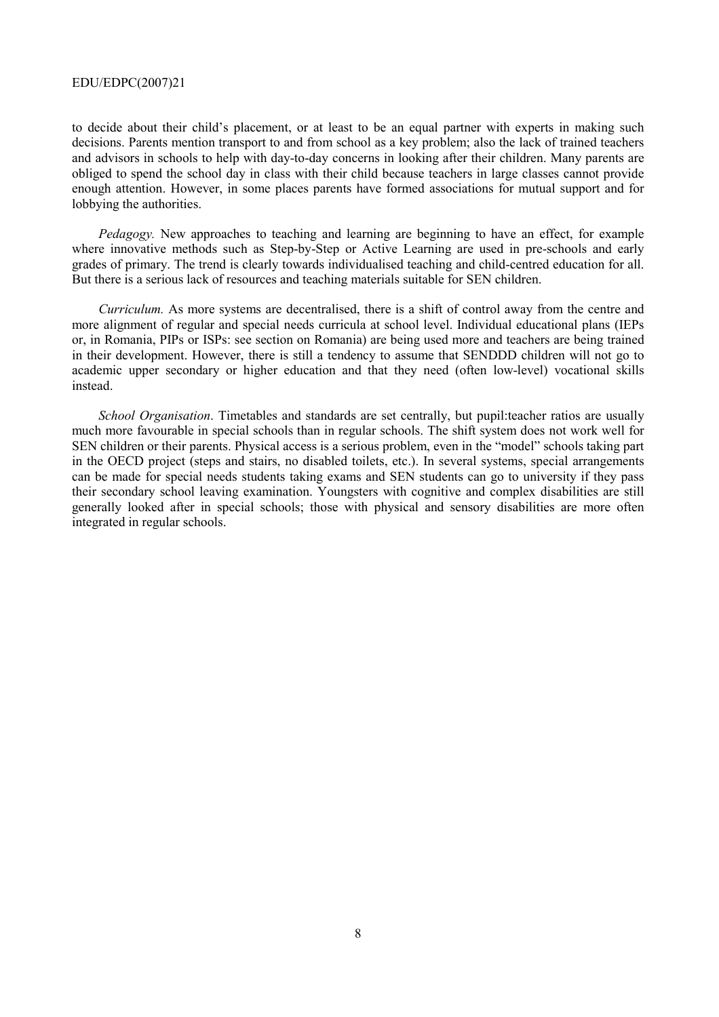to decide about their child's placement, or at least to be an equal partner with experts in making such decisions. Parents mention transport to and from school as a key problem; also the lack of trained teachers and advisors in schools to help with day-to-day concerns in looking after their children. Many parents are obliged to spend the school day in class with their child because teachers in large classes cannot provide enough attention. However, in some places parents have formed associations for mutual support and for lobbying the authorities.

*Pedagogy.* New approaches to teaching and learning are beginning to have an effect, for example where innovative methods such as Step-by-Step or Active Learning are used in pre-schools and early grades of primary. The trend is clearly towards individualised teaching and child-centred education for all. But there is a serious lack of resources and teaching materials suitable for SEN children.

*Curriculum.* As more systems are decentralised, there is a shift of control away from the centre and more alignment of regular and special needs curricula at school level. Individual educational plans (IEPs or, in Romania, PIPs or ISPs: see section on Romania) are being used more and teachers are being trained in their development. However, there is still a tendency to assume that SENDDD children will not go to academic upper secondary or higher education and that they need (often low-level) vocational skills instead.

*School Organisation*. Timetables and standards are set centrally, but pupil:teacher ratios are usually much more favourable in special schools than in regular schools. The shift system does not work well for SEN children or their parents. Physical access is a serious problem, even in the "model" schools taking part in the OECD project (steps and stairs, no disabled toilets, etc.). In several systems, special arrangements can be made for special needs students taking exams and SEN students can go to university if they pass their secondary school leaving examination. Youngsters with cognitive and complex disabilities are still generally looked after in special schools; those with physical and sensory disabilities are more often integrated in regular schools.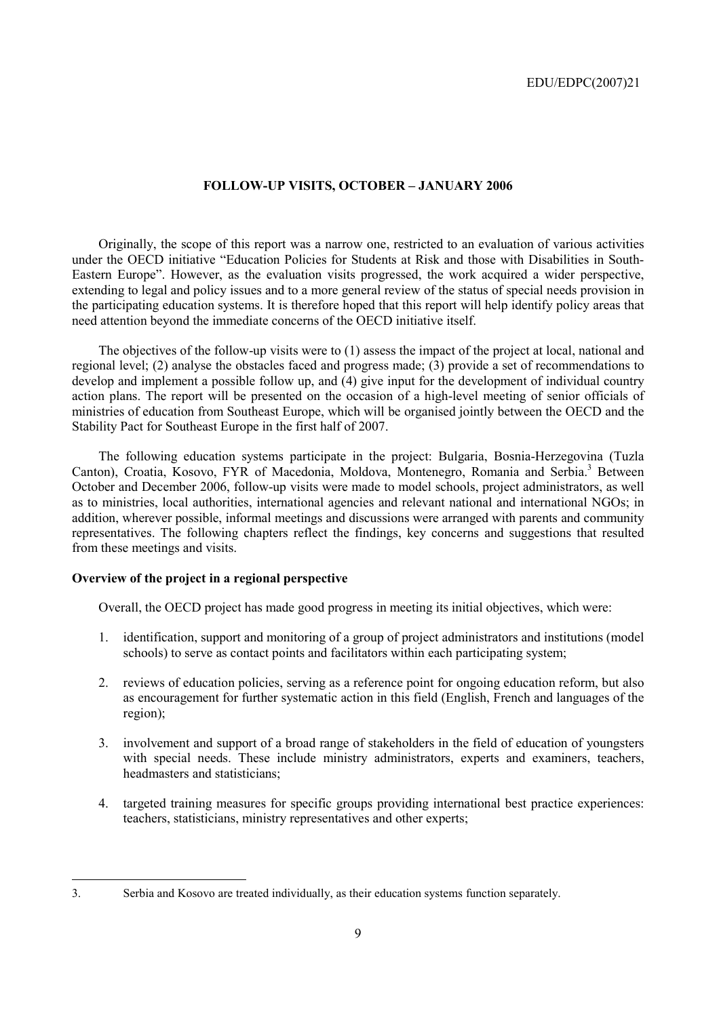### **FOLLOW-UP VISITS, OCTOBER - JANUARY 2006**

Originally, the scope of this report was a narrow one, restricted to an evaluation of various activities under the OECD initiative "Education Policies for Students at Risk and those with Disabilities in South-Eastern Europe". However, as the evaluation visits progressed, the work acquired a wider perspective, extending to legal and policy issues and to a more general review of the status of special needs provision in the participating education systems. It is therefore hoped that this report will help identify policy areas that need attention beyond the immediate concerns of the OECD initiative itself.

The objectives of the follow-up visits were to (1) assess the impact of the project at local, national and regional level; (2) analyse the obstacles faced and progress made; (3) provide a set of recommendations to develop and implement a possible follow up, and (4) give input for the development of individual country action plans. The report will be presented on the occasion of a high-level meeting of senior officials of ministries of education from Southeast Europe, which will be organised jointly between the OECD and the Stability Pact for Southeast Europe in the first half of 2007.

The following education systems participate in the project: Bulgaria, Bosnia-Herzegovina (Tuzla Canton), Croatia, Kosovo, FYR of Macedonia, Moldova, Montenegro, Romania and Serbia.<sup>3</sup> Between October and December 2006, follow-up visits were made to model schools, project administrators, as well as to ministries, local authorities, international agencies and relevant national and international NGOs; in addition, wherever possible, informal meetings and discussions were arranged with parents and community representatives. The following chapters reflect the findings, key concerns and suggestions that resulted from these meetings and visits.

### **Overview of the project in a regional perspective**

Overall, the OECD project has made good progress in meeting its initial objectives, which were:

- 1. identification, support and monitoring of a group of project administrators and institutions (model schools) to serve as contact points and facilitators within each participating system;
- 2. reviews of education policies, serving as a reference point for ongoing education reform, but also as encouragement for further systematic action in this field (English, French and languages of the region);
- 3. involvement and support of a broad range of stakeholders in the field of education of youngsters with special needs. These include ministry administrators, experts and examiners, teachers, headmasters and statisticians;
- 4. targeted training measures for specific groups providing international best practice experiences: teachers, statisticians, ministry representatives and other experts;

<sup>3.</sup> Serbia and Kosovo are treated individually, as their education systems function separately.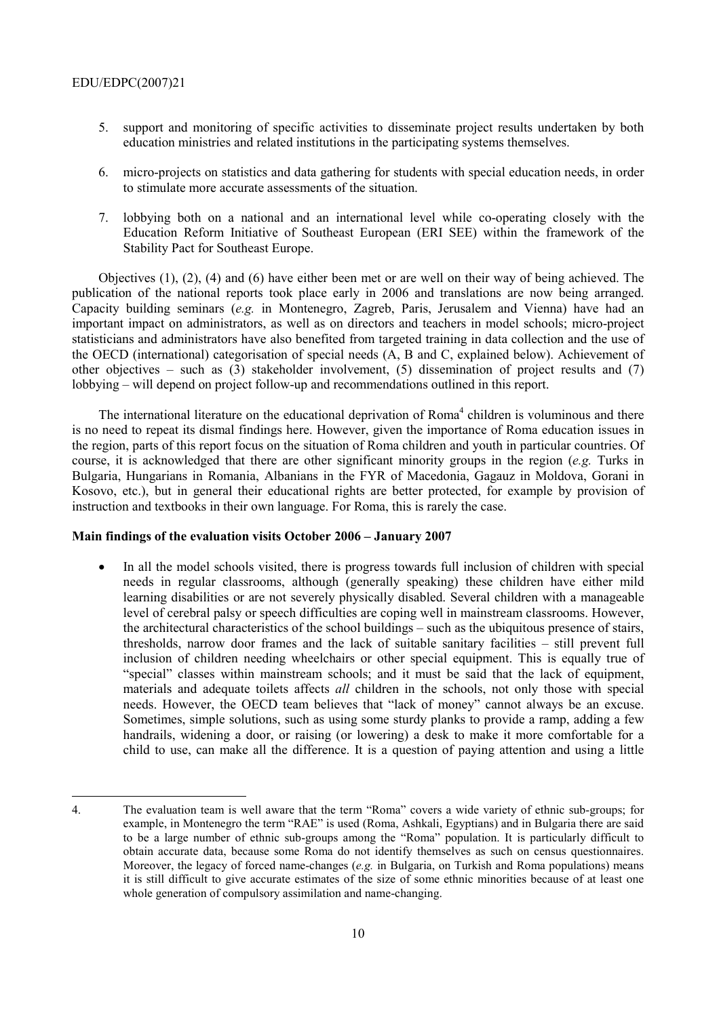- 5. support and monitoring of specific activities to disseminate project results undertaken by both education ministries and related institutions in the participating systems themselves.
- 6. micro-projects on statistics and data gathering for students with special education needs, in order to stimulate more accurate assessments of the situation.
- 7. lobbying both on a national and an international level while co-operating closely with the Education Reform Initiative of Southeast European (ERI SEE) within the framework of the Stability Pact for Southeast Europe.

Objectives (1), (2), (4) and (6) have either been met or are well on their way of being achieved. The publication of the national reports took place early in 2006 and translations are now being arranged. Capacity building seminars (*e.g.* in Montenegro, Zagreb, Paris, Jerusalem and Vienna) have had an important impact on administrators, as well as on directors and teachers in model schools; micro-project statisticians and administrators have also benefited from targeted training in data collection and the use of the OECD (international) categorisation of special needs (A, B and C, explained below). Achievement of other objectives – such as (3) stakeholder involvement, (5) dissemination of project results and (7) lobbying – will depend on project follow-up and recommendations outlined in this report.

The international literature on the educational deprivation of Roma<sup>4</sup> children is voluminous and there is no need to repeat its dismal findings here. However, given the importance of Roma education issues in the region, parts of this report focus on the situation of Roma children and youth in particular countries. Of course, it is acknowledged that there are other significant minority groups in the region (*e.g.* Turks in Bulgaria, Hungarians in Romania, Albanians in the FYR of Macedonia, Gagauz in Moldova, Gorani in Kosovo, etc.), but in general their educational rights are better protected, for example by provision of instruction and textbooks in their own language. For Roma, this is rarely the case.

### **Main findings of the evaluation visits October 2006 – January 2007**

• In all the model schools visited, there is progress towards full inclusion of children with special needs in regular classrooms, although (generally speaking) these children have either mild learning disabilities or are not severely physically disabled. Several children with a manageable level of cerebral palsy or speech difficulties are coping well in mainstream classrooms. However, the architectural characteristics of the school buildings  $-$  such as the ubiquitous presence of stairs, thresholds, narrow door frames and the lack of suitable sanitary facilities  $-$  still prevent full inclusion of children needing wheelchairs or other special equipment. This is equally true of ìspecialî classes within mainstream schools; and it must be said that the lack of equipment, materials and adequate toilets affects *all* children in the schools, not only those with special needs. However, the OECD team believes that "lack of money" cannot always be an excuse. Sometimes, simple solutions, such as using some sturdy planks to provide a ramp, adding a few handrails, widening a door, or raising (or lowering) a desk to make it more comfortable for a child to use, can make all the difference. It is a question of paying attention and using a little

<sup>4.</sup> The evaluation team is well aware that the term "Roma" covers a wide variety of ethnic sub-groups; for example, in Montenegro the term "RAE" is used (Roma, Ashkali, Egyptians) and in Bulgaria there are said to be a large number of ethnic sub-groups among the "Roma" population. It is particularly difficult to obtain accurate data, because some Roma do not identify themselves as such on census questionnaires. Moreover, the legacy of forced name-changes (*e.g.* in Bulgaria, on Turkish and Roma populations) means it is still difficult to give accurate estimates of the size of some ethnic minorities because of at least one whole generation of compulsory assimilation and name-changing.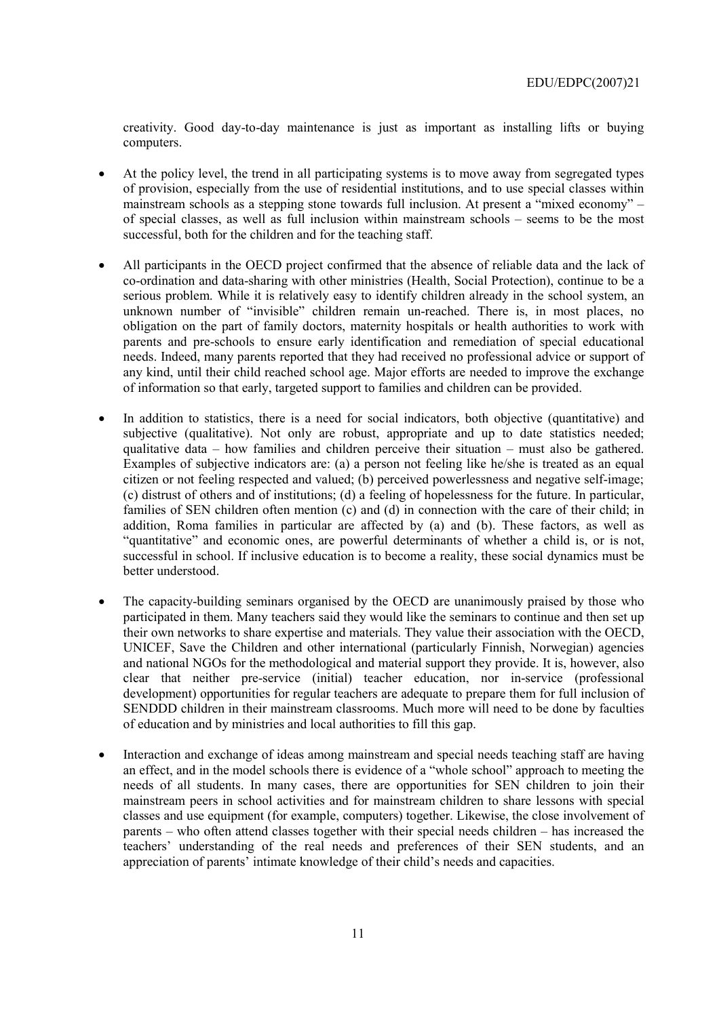creativity. Good day-to-day maintenance is just as important as installing lifts or buying computers.

- At the policy level, the trend in all participating systems is to move away from segregated types of provision, especially from the use of residential institutions, and to use special classes within mainstream schools as a stepping stone towards full inclusion. At present a "mixed economy" – of special classes, as well as full inclusion within mainstream schools  $-$  seems to be the most successful, both for the children and for the teaching staff.
- All participants in the OECD project confirmed that the absence of reliable data and the lack of co-ordination and data-sharing with other ministries (Health, Social Protection), continue to be a serious problem. While it is relatively easy to identify children already in the school system, an unknown number of "invisible" children remain un-reached. There is, in most places, no obligation on the part of family doctors, maternity hospitals or health authorities to work with parents and pre-schools to ensure early identification and remediation of special educational needs. Indeed, many parents reported that they had received no professional advice or support of any kind, until their child reached school age. Major efforts are needed to improve the exchange of information so that early, targeted support to families and children can be provided.
- In addition to statistics, there is a need for social indicators, both objective (quantitative) and subjective (qualitative). Not only are robust, appropriate and up to date statistics needed; qualitative data  $-$  how families and children perceive their situation  $-$  must also be gathered. Examples of subjective indicators are: (a) a person not feeling like he/she is treated as an equal citizen or not feeling respected and valued; (b) perceived powerlessness and negative self-image; (c) distrust of others and of institutions; (d) a feeling of hopelessness for the future. In particular, families of SEN children often mention (c) and (d) in connection with the care of their child; in addition, Roma families in particular are affected by (a) and (b). These factors, as well as ìquantitativeî and economic ones, are powerful determinants of whether a child is, or is not, successful in school. If inclusive education is to become a reality, these social dynamics must be better understood.
- The capacity-building seminars organised by the OECD are unanimously praised by those who participated in them. Many teachers said they would like the seminars to continue and then set up their own networks to share expertise and materials. They value their association with the OECD, UNICEF, Save the Children and other international (particularly Finnish, Norwegian) agencies and national NGOs for the methodological and material support they provide. It is, however, also clear that neither pre-service (initial) teacher education, nor in-service (professional development) opportunities for regular teachers are adequate to prepare them for full inclusion of SENDDD children in their mainstream classrooms. Much more will need to be done by faculties of education and by ministries and local authorities to fill this gap.
- Interaction and exchange of ideas among mainstream and special needs teaching staff are having an effect, and in the model schools there is evidence of a "whole school" approach to meeting the needs of all students. In many cases, there are opportunities for SEN children to join their mainstream peers in school activities and for mainstream children to share lessons with special classes and use equipment (for example, computers) together. Likewise, the close involvement of parents – who often attend classes together with their special needs children – has increased the teachers' understanding of the real needs and preferences of their SEN students, and an appreciation of parents' intimate knowledge of their child's needs and capacities.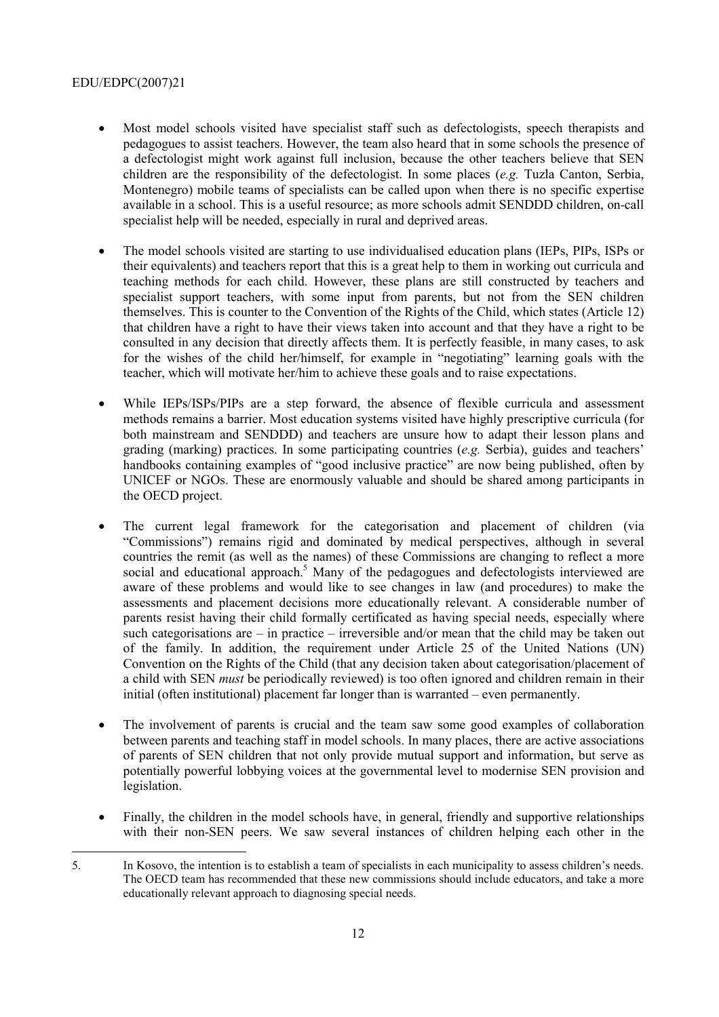- Most model schools visited have specialist staff such as defectologists, speech therapists and pedagogues to assist teachers. However, the team also heard that in some schools the presence of a defectologist might work against full inclusion, because the other teachers believe that SEN children are the responsibility of the defectologist. In some places (*e.g.* Tuzla Canton, Serbia, Montenegro) mobile teams of specialists can be called upon when there is no specific expertise available in a school. This is a useful resource; as more schools admit SENDDD children, on-call specialist help will be needed, especially in rural and deprived areas.
- The model schools visited are starting to use individualised education plans (IEPs, PIPs, ISPs or their equivalents) and teachers report that this is a great help to them in working out curricula and teaching methods for each child. However, these plans are still constructed by teachers and specialist support teachers, with some input from parents, but not from the SEN children themselves. This is counter to the Convention of the Rights of the Child, which states (Article 12) that children have a right to have their views taken into account and that they have a right to be consulted in any decision that directly affects them. It is perfectly feasible, in many cases, to ask for the wishes of the child her/himself, for example in "negotiating" learning goals with the teacher, which will motivate her/him to achieve these goals and to raise expectations.
- While IEPs/ISPs/PIPs are a step forward, the absence of flexible curricula and assessment methods remains a barrier. Most education systems visited have highly prescriptive curricula (for both mainstream and SENDDD) and teachers are unsure how to adapt their lesson plans and grading (marking) practices. In some participating countries (*e.g.* Serbia), guides and teachers' handbooks containing examples of "good inclusive practice" are now being published, often by UNICEF or NGOs. These are enormously valuable and should be shared among participants in the OECD project.
- The current legal framework for the categorisation and placement of children (via ìCommissionsî) remains rigid and dominated by medical perspectives, although in several countries the remit (as well as the names) of these Commissions are changing to reflect a more social and educational approach.<sup>5</sup> Many of the pedagogues and defectologists interviewed are aware of these problems and would like to see changes in law (and procedures) to make the assessments and placement decisions more educationally relevant. A considerable number of parents resist having their child formally certificated as having special needs, especially where such categorisations are  $\overline{\phantom{a}}$  in practice  $\overline{\phantom{a}}$  irreversible and/or mean that the child may be taken out of the family. In addition, the requirement under Article 25 of the United Nations (UN) Convention on the Rights of the Child (that any decision taken about categorisation/placement of a child with SEN *must* be periodically reviewed) is too often ignored and children remain in their initial (often institutional) placement far longer than is warranted  $-$  even permanently.
- The involvement of parents is crucial and the team saw some good examples of collaboration between parents and teaching staff in model schools. In many places, there are active associations of parents of SEN children that not only provide mutual support and information, but serve as potentially powerful lobbying voices at the governmental level to modernise SEN provision and legislation.
- Finally, the children in the model schools have, in general, friendly and supportive relationships with their non-SEN peers. We saw several instances of children helping each other in the
- $\overline{a}$ 5. In Kosovo, the intention is to establish a team of specialists in each municipality to assess children's needs. The OECD team has recommended that these new commissions should include educators, and take a more educationally relevant approach to diagnosing special needs.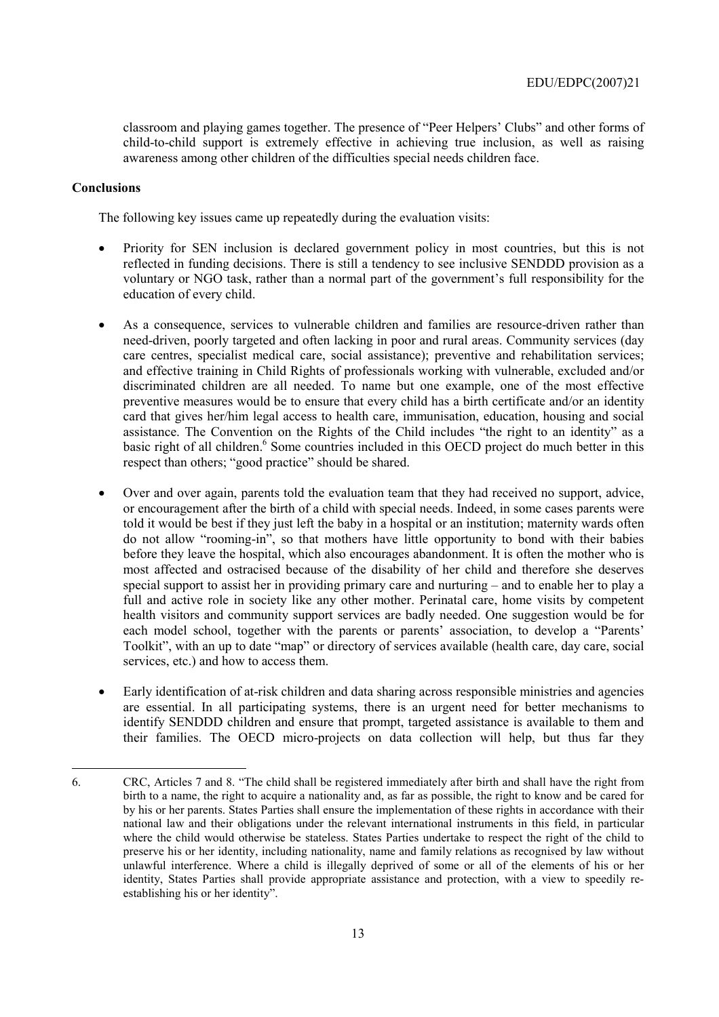classroom and playing games together. The presence of "Peer Helpers' Clubs" and other forms of child-to-child support is extremely effective in achieving true inclusion, as well as raising awareness among other children of the difficulties special needs children face.

### **Conclusions**

 $\overline{a}$ 

The following key issues came up repeatedly during the evaluation visits:

- Priority for SEN inclusion is declared government policy in most countries, but this is not reflected in funding decisions. There is still a tendency to see inclusive SENDDD provision as a voluntary or NGO task, rather than a normal part of the government's full responsibility for the education of every child.
- As a consequence, services to vulnerable children and families are resource-driven rather than need-driven, poorly targeted and often lacking in poor and rural areas. Community services (day care centres, specialist medical care, social assistance); preventive and rehabilitation services; and effective training in Child Rights of professionals working with vulnerable, excluded and/or discriminated children are all needed. To name but one example, one of the most effective preventive measures would be to ensure that every child has a birth certificate and/or an identity card that gives her/him legal access to health care, immunisation, education, housing and social assistance. The Convention on the Rights of the Child includes "the right to an identity" as a basic right of all children.<sup>6</sup> Some countries included in this OECD project do much better in this respect than others; "good practice" should be shared.
- Over and over again, parents told the evaluation team that they had received no support, advice, or encouragement after the birth of a child with special needs. Indeed, in some cases parents were told it would be best if they just left the baby in a hospital or an institution; maternity wards often do not allow "rooming-in", so that mothers have little opportunity to bond with their babies before they leave the hospital, which also encourages abandonment. It is often the mother who is most affected and ostracised because of the disability of her child and therefore she deserves special support to assist her in providing primary care and nurturing  $-$  and to enable her to play a full and active role in society like any other mother. Perinatal care, home visits by competent health visitors and community support services are badly needed. One suggestion would be for each model school, together with the parents or parents' association, to develop a "Parents' Toolkit", with an up to date "map" or directory of services available (health care, day care, social services, etc.) and how to access them.
- Early identification of at-risk children and data sharing across responsible ministries and agencies are essential. In all participating systems, there is an urgent need for better mechanisms to identify SENDDD children and ensure that prompt, targeted assistance is available to them and their families. The OECD micro-projects on data collection will help, but thus far they

<sup>6.</sup> CRC, Articles 7 and 8. "The child shall be registered immediately after birth and shall have the right from birth to a name, the right to acquire a nationality and, as far as possible, the right to know and be cared for by his or her parents. States Parties shall ensure the implementation of these rights in accordance with their national law and their obligations under the relevant international instruments in this field, in particular where the child would otherwise be stateless. States Parties undertake to respect the right of the child to preserve his or her identity, including nationality, name and family relations as recogni*s*ed by law without unlawful interference. Where a child is illegally deprived of some or all of the elements of his or her identity, States Parties shall provide appropriate assistance and protection, with a view to speedily reestablishing his or her identity".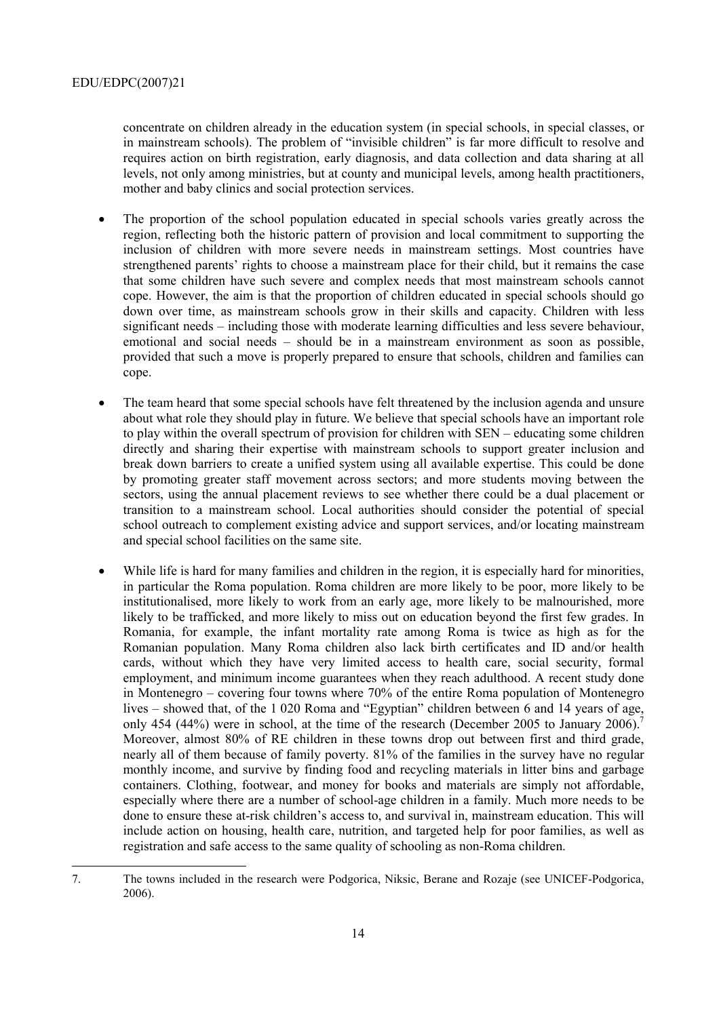$\overline{a}$ 

concentrate on children already in the education system (in special schools, in special classes, or in mainstream schools). The problem of "invisible children" is far more difficult to resolve and requires action on birth registration, early diagnosis, and data collection and data sharing at all levels, not only among ministries, but at county and municipal levels, among health practitioners, mother and baby clinics and social protection services.

- The proportion of the school population educated in special schools varies greatly across the region, reflecting both the historic pattern of provision and local commitment to supporting the inclusion of children with more severe needs in mainstream settings. Most countries have strengthened parents' rights to choose a mainstream place for their child, but it remains the case that some children have such severe and complex needs that most mainstream schools cannot cope. However, the aim is that the proportion of children educated in special schools should go down over time, as mainstream schools grow in their skills and capacity. Children with less significant needs – including those with moderate learning difficulties and less severe behaviour, emotional and social needs  $-$  should be in a mainstream environment as soon as possible, provided that such a move is properly prepared to ensure that schools, children and families can cope.
- The team heard that some special schools have felt threatened by the inclusion agenda and unsure about what role they should play in future. We believe that special schools have an important role to play within the overall spectrum of provision for children with SEN – educating some children directly and sharing their expertise with mainstream schools to support greater inclusion and break down barriers to create a unified system using all available expertise. This could be done by promoting greater staff movement across sectors; and more students moving between the sectors, using the annual placement reviews to see whether there could be a dual placement or transition to a mainstream school. Local authorities should consider the potential of special school outreach to complement existing advice and support services, and/or locating mainstream and special school facilities on the same site.
- While life is hard for many families and children in the region, it is especially hard for minorities, in particular the Roma population. Roma children are more likely to be poor, more likely to be institutionalised, more likely to work from an early age, more likely to be malnourished, more likely to be trafficked, and more likely to miss out on education beyond the first few grades. In Romania, for example, the infant mortality rate among Roma is twice as high as for the Romanian population. Many Roma children also lack birth certificates and ID and/or health cards, without which they have very limited access to health care, social security, formal employment, and minimum income guarantees when they reach adulthood. A recent study done in Montenegro  $-$  covering four towns where 70% of the entire Roma population of Montenegro lives  $-$  showed that, of the 1 020 Roma and "Egyptian" children between 6 and 14 years of age, only 454 (44%) were in school, at the time of the research (December 2005 to January 2006). Moreover, almost 80% of RE children in these towns drop out between first and third grade, nearly all of them because of family poverty. 81% of the families in the survey have no regular monthly income, and survive by finding food and recycling materials in litter bins and garbage containers. Clothing, footwear, and money for books and materials are simply not affordable, especially where there are a number of school-age children in a family. Much more needs to be done to ensure these at-risk children's access to, and survival in, mainstream education. This will include action on housing, health care, nutrition, and targeted help for poor families, as well as registration and safe access to the same quality of schooling as non-Roma children.

<sup>7.</sup> The towns included in the research were Podgorica, Niksic, Berane and Rozaje (see UNICEF-Podgorica, 2006).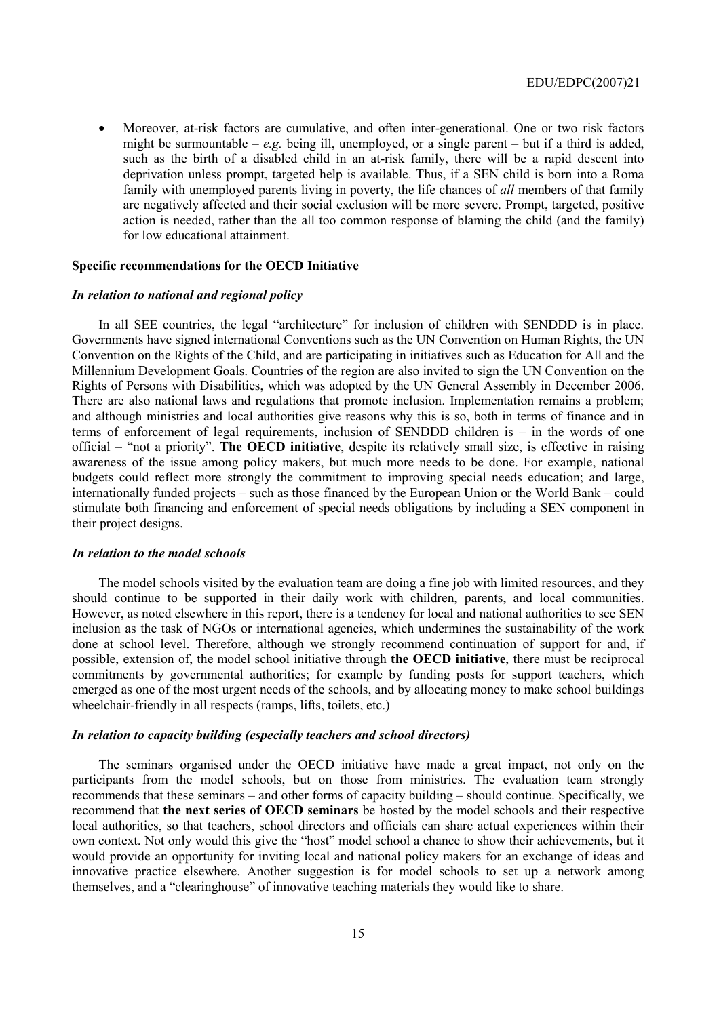• Moreover, at-risk factors are cumulative, and often inter-generational. One or two risk factors might be surmountable  $-e.g.$  being ill, unemployed, or a single parent  $-$  but if a third is added, such as the birth of a disabled child in an at-risk family, there will be a rapid descent into deprivation unless prompt, targeted help is available. Thus, if a SEN child is born into a Roma family with unemployed parents living in poverty, the life chances of *all* members of that family are negatively affected and their social exclusion will be more severe. Prompt, targeted, positive action is needed, rather than the all too common response of blaming the child (and the family) for low educational attainment.

#### **Specific recommendations for the OECD Initiative**

#### *In relation to national and regional policy*

In all SEE countries, the legal "architecture" for inclusion of children with SENDDD is in place. Governments have signed international Conventions such as the UN Convention on Human Rights, the UN Convention on the Rights of the Child, and are participating in initiatives such as Education for All and the Millennium Development Goals. Countries of the region are also invited to sign the UN Convention on the Rights of Persons with Disabilities, which was adopted by the UN General Assembly in December 2006. There are also national laws and regulations that promote inclusion. Implementation remains a problem; and although ministries and local authorities give reasons why this is so, both in terms of finance and in terms of enforcement of legal requirements, inclusion of SENDDD children is  $-$  in the words of one official – "not a priority". **The OECD initiative**, despite its relatively small size, is effective in raising awareness of the issue among policy makers, but much more needs to be done. For example, national budgets could reflect more strongly the commitment to improving special needs education; and large, internationally funded projects – such as those financed by the European Union or the World Bank – could stimulate both financing and enforcement of special needs obligations by including a SEN component in their project designs.

#### *In relation to the model schools*

The model schools visited by the evaluation team are doing a fine job with limited resources, and they should continue to be supported in their daily work with children, parents, and local communities. However, as noted elsewhere in this report, there is a tendency for local and national authorities to see SEN inclusion as the task of NGOs or international agencies, which undermines the sustainability of the work done at school level. Therefore, although we strongly recommend continuation of support for and, if possible, extension of, the model school initiative through **the OECD initiative**, there must be reciprocal commitments by governmental authorities; for example by funding posts for support teachers, which emerged as one of the most urgent needs of the schools, and by allocating money to make school buildings wheelchair-friendly in all respects (ramps, lifts, toilets, etc.)

#### *In relation to capacity building (especially teachers and school directors)*

The seminars organised under the OECD initiative have made a great impact, not only on the participants from the model schools, but on those from ministries. The evaluation team strongly recommends that these seminars – and other forms of capacity building – should continue. Specifically, we recommend that **the next series of OECD seminars** be hosted by the model schools and their respective local authorities, so that teachers, school directors and officials can share actual experiences within their own context. Not only would this give the "host" model school a chance to show their achievements, but it would provide an opportunity for inviting local and national policy makers for an exchange of ideas and innovative practice elsewhere. Another suggestion is for model schools to set up a network among themselves, and a "clearinghouse" of innovative teaching materials they would like to share.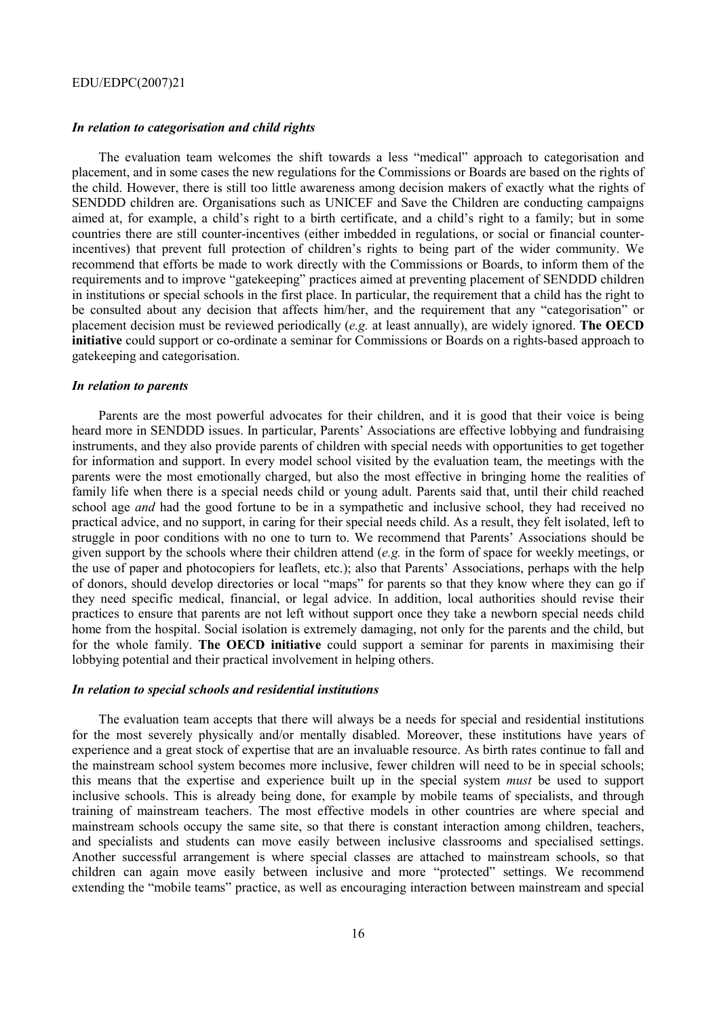#### *In relation to categorisation and child rights*

The evaluation team welcomes the shift towards a less "medical" approach to categorisation and placement, and in some cases the new regulations for the Commissions or Boards are based on the rights of the child. However, there is still too little awareness among decision makers of exactly what the rights of SENDDD children are. Organisations such as UNICEF and Save the Children are conducting campaigns aimed at, for example, a child's right to a birth certificate, and a child's right to a family; but in some countries there are still counter-incentives (either imbedded in regulations, or social or financial counterincentives) that prevent full protection of children's rights to being part of the wider community. We recommend that efforts be made to work directly with the Commissions or Boards, to inform them of the requirements and to improve "gatekeeping" practices aimed at preventing placement of SENDDD children in institutions or special schools in the first place. In particular, the requirement that a child has the right to be consulted about any decision that affects him/her, and the requirement that any "categorisation" or placement decision must be reviewed periodically (*e.g.* at least annually), are widely ignored. **The OECD initiative** could support or co-ordinate a seminar for Commissions or Boards on a rights-based approach to gatekeeping and categorisation.

#### *In relation to parents*

Parents are the most powerful advocates for their children, and it is good that their voice is being heard more in SENDDD issues. In particular, Parents' Associations are effective lobbying and fundraising instruments, and they also provide parents of children with special needs with opportunities to get together for information and support. In every model school visited by the evaluation team, the meetings with the parents were the most emotionally charged, but also the most effective in bringing home the realities of family life when there is a special needs child or young adult. Parents said that, until their child reached school age *and* had the good fortune to be in a sympathetic and inclusive school, they had received no practical advice, and no support, in caring for their special needs child. As a result, they felt isolated, left to struggle in poor conditions with no one to turn to. We recommend that Parents' Associations should be given support by the schools where their children attend (*e.g.* in the form of space for weekly meetings, or the use of paper and photocopiers for leaflets, etc.); also that Parentsí Associations, perhaps with the help of donors, should develop directories or local "maps" for parents so that they know where they can go if they need specific medical, financial, or legal advice. In addition, local authorities should revise their practices to ensure that parents are not left without support once they take a newborn special needs child home from the hospital. Social isolation is extremely damaging, not only for the parents and the child, but for the whole family. **The OECD initiative** could support a seminar for parents in maximising their lobbying potential and their practical involvement in helping others.

#### *In relation to special schools and residential institutions*

The evaluation team accepts that there will always be a needs for special and residential institutions for the most severely physically and/or mentally disabled. Moreover, these institutions have years of experience and a great stock of expertise that are an invaluable resource. As birth rates continue to fall and the mainstream school system becomes more inclusive, fewer children will need to be in special schools; this means that the expertise and experience built up in the special system *must* be used to support inclusive schools. This is already being done, for example by mobile teams of specialists, and through training of mainstream teachers. The most effective models in other countries are where special and mainstream schools occupy the same site, so that there is constant interaction among children, teachers, and specialists and students can move easily between inclusive classrooms and specialised settings. Another successful arrangement is where special classes are attached to mainstream schools, so that children can again move easily between inclusive and more "protected" settings. We recommend extending the "mobile teams" practice, as well as encouraging interaction between mainstream and special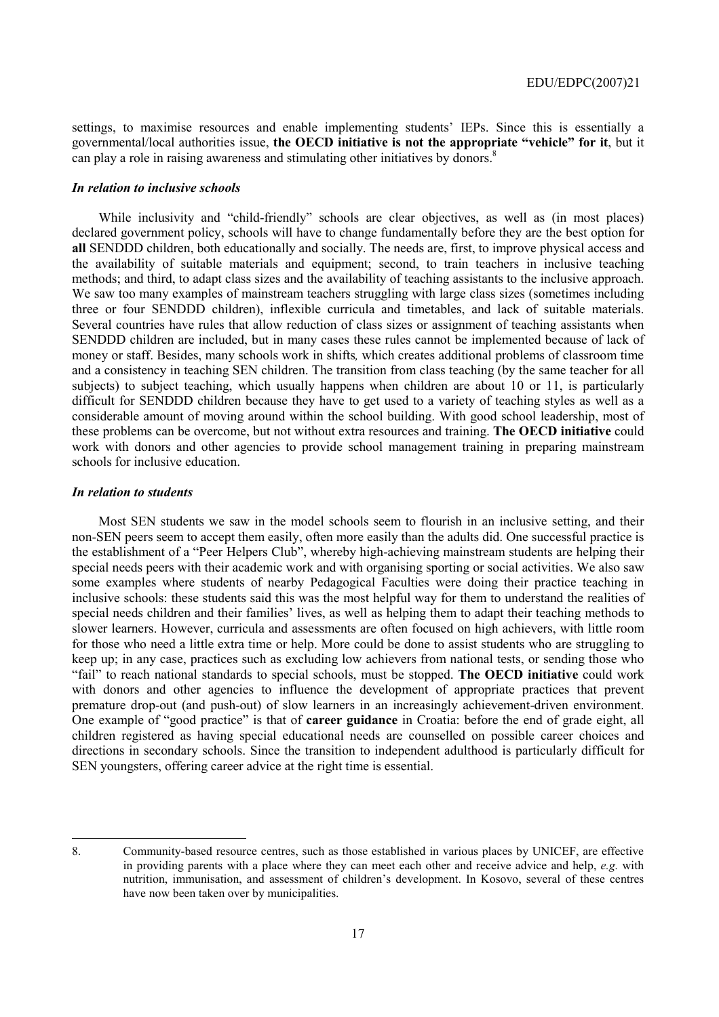settings, to maximise resources and enable implementing students' IEPs. Since this is essentially a governmental/local authorities issue, **the OECD initiative is not the appropriate ìvehicleî for it**, but it can play a role in raising awareness and stimulating other initiatives by donors.<sup>8</sup>

#### *In relation to inclusive schools*

While inclusivity and "child-friendly" schools are clear objectives, as well as (in most places) declared government policy, schools will have to change fundamentally before they are the best option for **all** SENDDD children, both educationally and socially. The needs are, first, to improve physical access and the availability of suitable materials and equipment; second, to train teachers in inclusive teaching methods; and third, to adapt class sizes and the availability of teaching assistants to the inclusive approach. We saw too many examples of mainstream teachers struggling with large class sizes (sometimes including three or four SENDDD children), inflexible curricula and timetables, and lack of suitable materials. Several countries have rules that allow reduction of class sizes or assignment of teaching assistants when SENDDD children are included, but in many cases these rules cannot be implemented because of lack of money or staff. Besides, many schools work in shifts*,* which creates additional problems of classroom time and a consistency in teaching SEN children. The transition from class teaching (by the same teacher for all subjects) to subject teaching, which usually happens when children are about 10 or 11, is particularly difficult for SENDDD children because they have to get used to a variety of teaching styles as well as a considerable amount of moving around within the school building. With good school leadership, most of these problems can be overcome, but not without extra resources and training. **The OECD initiative** could work with donors and other agencies to provide school management training in preparing mainstream schools for inclusive education.

#### *In relation to students*

Most SEN students we saw in the model schools seem to flourish in an inclusive setting, and their non-SEN peers seem to accept them easily, often more easily than the adults did. One successful practice is the establishment of a "Peer Helpers Club", whereby high-achieving mainstream students are helping their special needs peers with their academic work and with organising sporting or social activities. We also saw some examples where students of nearby Pedagogical Faculties were doing their practice teaching in inclusive schools: these students said this was the most helpful way for them to understand the realities of special needs children and their families' lives, as well as helping them to adapt their teaching methods to slower learners. However, curricula and assessments are often focused on high achievers, with little room for those who need a little extra time or help. More could be done to assist students who are struggling to keep up; in any case, practices such as excluding low achievers from national tests, or sending those who ìfailî to reach national standards to special schools, must be stopped. **The OECD initiative** could work with donors and other agencies to influence the development of appropriate practices that prevent premature drop-out (and push-out) of slow learners in an increasingly achievement-driven environment. One example of "good practice" is that of **career guidance** in Croatia: before the end of grade eight, all children registered as having special educational needs are counselled on possible career choices and directions in secondary schools. Since the transition to independent adulthood is particularly difficult for SEN youngsters, offering career advice at the right time is essential.

<sup>8.</sup> Community-based resource centres, such as those established in various places by UNICEF, are effective in providing parents with a place where they can meet each other and receive advice and help, *e.g.* with nutrition, immunisation, and assessment of children's development. In Kosovo, several of these centres have now been taken over by municipalities.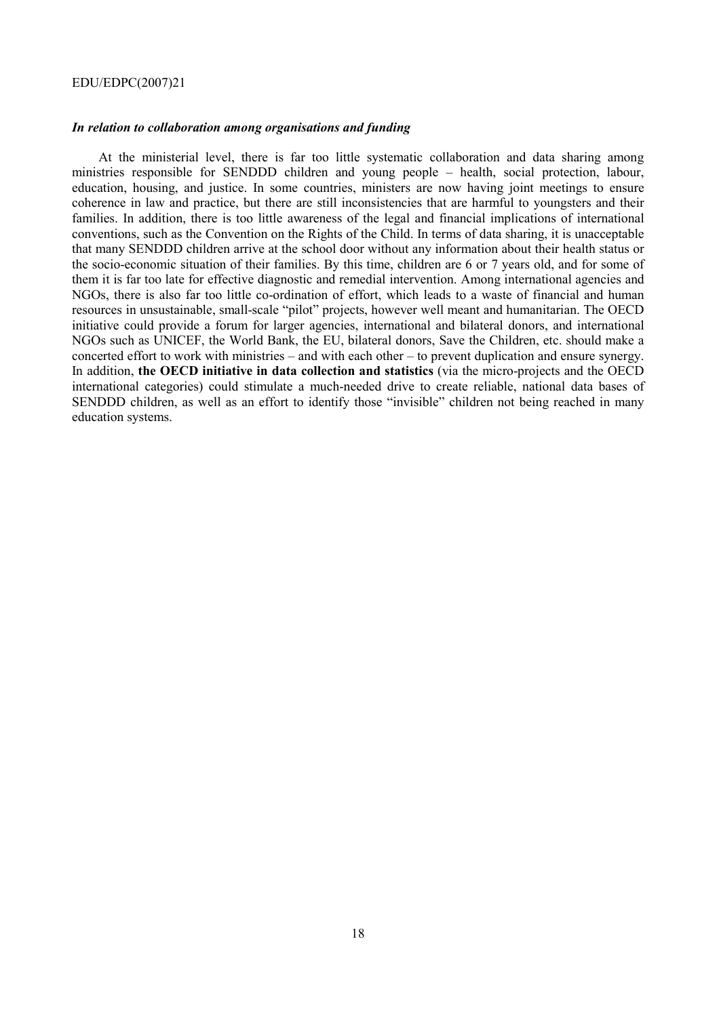#### *In relation to collaboration among organisations and funding*

At the ministerial level, there is far too little systematic collaboration and data sharing among ministries responsible for SENDDD children and young people – health, social protection, labour, education, housing, and justice. In some countries, ministers are now having joint meetings to ensure coherence in law and practice, but there are still inconsistencies that are harmful to youngsters and their families. In addition, there is too little awareness of the legal and financial implications of international conventions, such as the Convention on the Rights of the Child. In terms of data sharing, it is unacceptable that many SENDDD children arrive at the school door without any information about their health status or the socio-economic situation of their families. By this time, children are 6 or 7 years old, and for some of them it is far too late for effective diagnostic and remedial intervention. Among international agencies and NGOs, there is also far too little co-ordination of effort, which leads to a waste of financial and human resources in unsustainable, small-scale "pilot" projects, however well meant and humanitarian. The OECD initiative could provide a forum for larger agencies, international and bilateral donors, and international NGOs such as UNICEF, the World Bank, the EU, bilateral donors, Save the Children, etc. should make a concerted effort to work with ministries  $-$  and with each other  $-$  to prevent duplication and ensure synergy. In addition, **the OECD initiative in data collection and statistics** (via the micro-projects and the OECD international categories) could stimulate a much-needed drive to create reliable, national data bases of SENDDD children, as well as an effort to identify those "invisible" children not being reached in many education systems.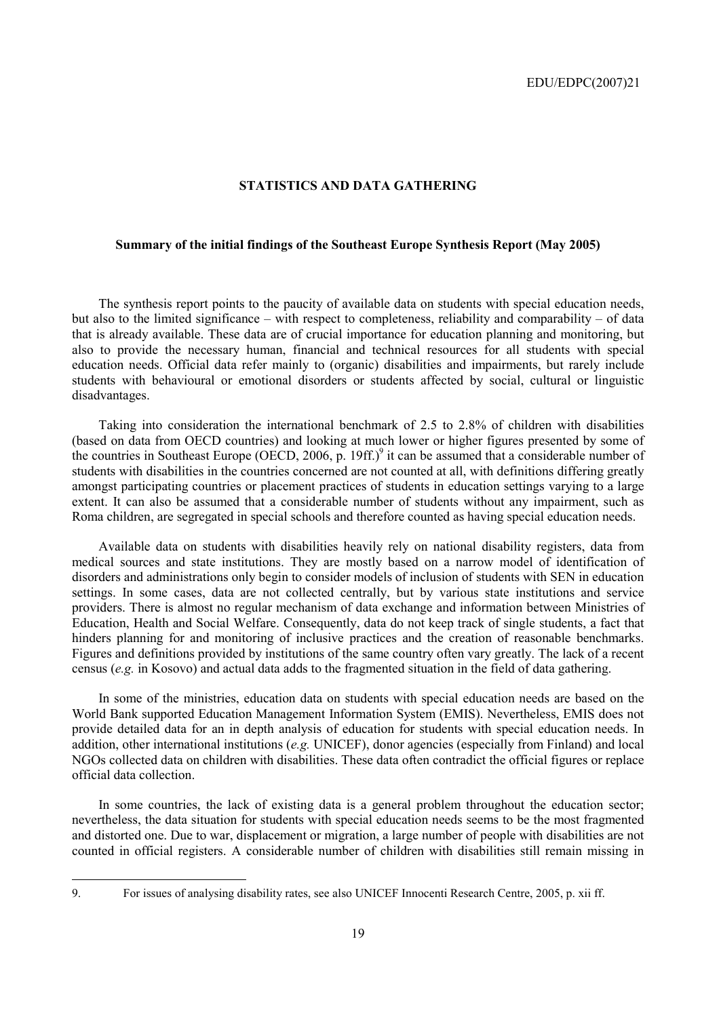#### **STATISTICS AND DATA GATHERING**

### **Summary of the initial findings of the Southeast Europe Synthesis Report (May 2005)**

The synthesis report points to the paucity of available data on students with special education needs, but also to the limited significance – with respect to completeness, reliability and comparability – of data that is already available. These data are of crucial importance for education planning and monitoring, but also to provide the necessary human, financial and technical resources for all students with special education needs. Official data refer mainly to (organic) disabilities and impairments, but rarely include students with behavioural or emotional disorders or students affected by social, cultural or linguistic disadvantages.

Taking into consideration the international benchmark of 2.5 to 2.8% of children with disabilities (based on data from OECD countries) and looking at much lower or higher figures presented by some of the countries in Southeast Europe (OECD, 2006, p. 19ff.)<sup>9</sup> it can be assumed that a considerable number of students with disabilities in the countries concerned are not counted at all, with definitions differing greatly amongst participating countries or placement practices of students in education settings varying to a large extent. It can also be assumed that a considerable number of students without any impairment, such as Roma children, are segregated in special schools and therefore counted as having special education needs.

Available data on students with disabilities heavily rely on national disability registers, data from medical sources and state institutions. They are mostly based on a narrow model of identification of disorders and administrations only begin to consider models of inclusion of students with SEN in education settings. In some cases, data are not collected centrally, but by various state institutions and service providers. There is almost no regular mechanism of data exchange and information between Ministries of Education, Health and Social Welfare. Consequently, data do not keep track of single students, a fact that hinders planning for and monitoring of inclusive practices and the creation of reasonable benchmarks. Figures and definitions provided by institutions of the same country often vary greatly. The lack of a recent census (*e.g.* in Kosovo) and actual data adds to the fragmented situation in the field of data gathering.

In some of the ministries, education data on students with special education needs are based on the World Bank supported Education Management Information System (EMIS). Nevertheless, EMIS does not provide detailed data for an in depth analysis of education for students with special education needs. In addition, other international institutions (*e.g.* UNICEF), donor agencies (especially from Finland) and local NGOs collected data on children with disabilities. These data often contradict the official figures or replace official data collection.

In some countries, the lack of existing data is a general problem throughout the education sector; nevertheless, the data situation for students with special education needs seems to be the most fragmented and distorted one. Due to war, displacement or migration, a large number of people with disabilities are not counted in official registers. A considerable number of children with disabilities still remain missing in

<sup>9.</sup> For issues of analysing disability rates, see also UNICEF Innocenti Research Centre, 2005, p. xii ff.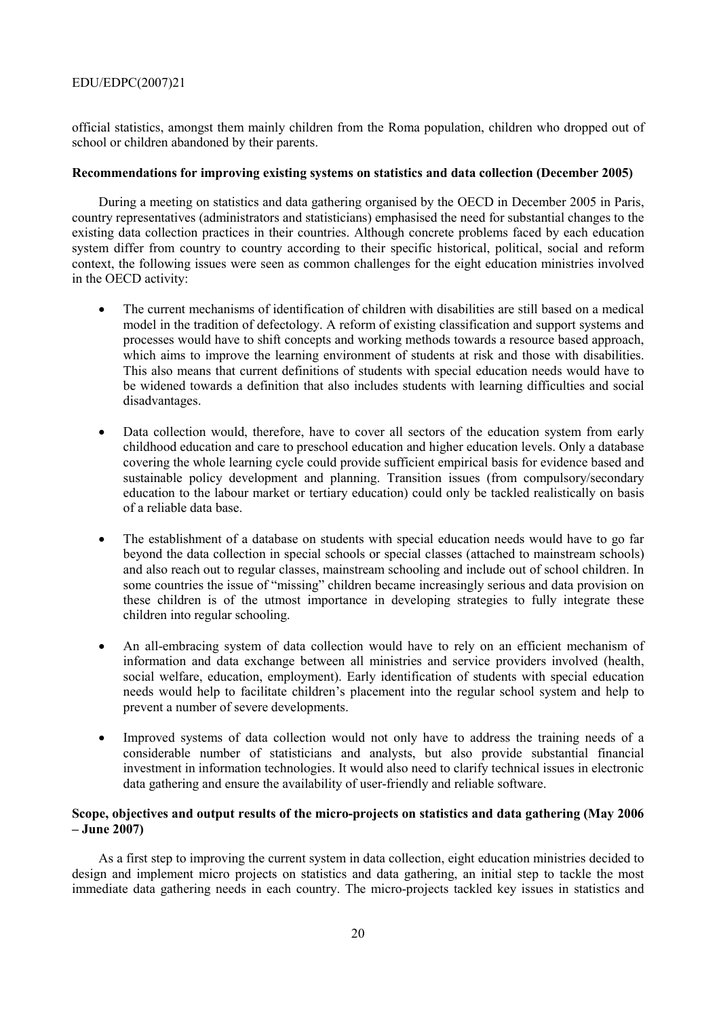official statistics, amongst them mainly children from the Roma population, children who dropped out of school or children abandoned by their parents.

### **Recommendations for improving existing systems on statistics and data collection (December 2005)**

During a meeting on statistics and data gathering organised by the OECD in December 2005 in Paris, country representatives (administrators and statisticians) emphasised the need for substantial changes to the existing data collection practices in their countries. Although concrete problems faced by each education system differ from country to country according to their specific historical, political, social and reform context, the following issues were seen as common challenges for the eight education ministries involved in the OECD activity:

- The current mechanisms of identification of children with disabilities are still based on a medical model in the tradition of defectology. A reform of existing classification and support systems and processes would have to shift concepts and working methods towards a resource based approach, which aims to improve the learning environment of students at risk and those with disabilities. This also means that current definitions of students with special education needs would have to be widened towards a definition that also includes students with learning difficulties and social disadvantages.
- Data collection would, therefore, have to cover all sectors of the education system from early childhood education and care to preschool education and higher education levels. Only a database covering the whole learning cycle could provide sufficient empirical basis for evidence based and sustainable policy development and planning. Transition issues (from compulsory/secondary education to the labour market or tertiary education) could only be tackled realistically on basis of a reliable data base.
- The establishment of a database on students with special education needs would have to go far beyond the data collection in special schools or special classes (attached to mainstream schools) and also reach out to regular classes, mainstream schooling and include out of school children. In some countries the issue of "missing" children became increasingly serious and data provision on these children is of the utmost importance in developing strategies to fully integrate these children into regular schooling.
- An all-embracing system of data collection would have to rely on an efficient mechanism of information and data exchange between all ministries and service providers involved (health, social welfare, education, employment). Early identification of students with special education needs would help to facilitate children's placement into the regular school system and help to prevent a number of severe developments.
- Improved systems of data collection would not only have to address the training needs of a considerable number of statisticians and analysts, but also provide substantial financial investment in information technologies. It would also need to clarify technical issues in electronic data gathering and ensure the availability of user-friendly and reliable software.

### **Scope, objectives and output results of the micro-projects on statistics and data gathering (May 2006 ñ June 2007)**

As a first step to improving the current system in data collection, eight education ministries decided to design and implement micro projects on statistics and data gathering, an initial step to tackle the most immediate data gathering needs in each country. The micro-projects tackled key issues in statistics and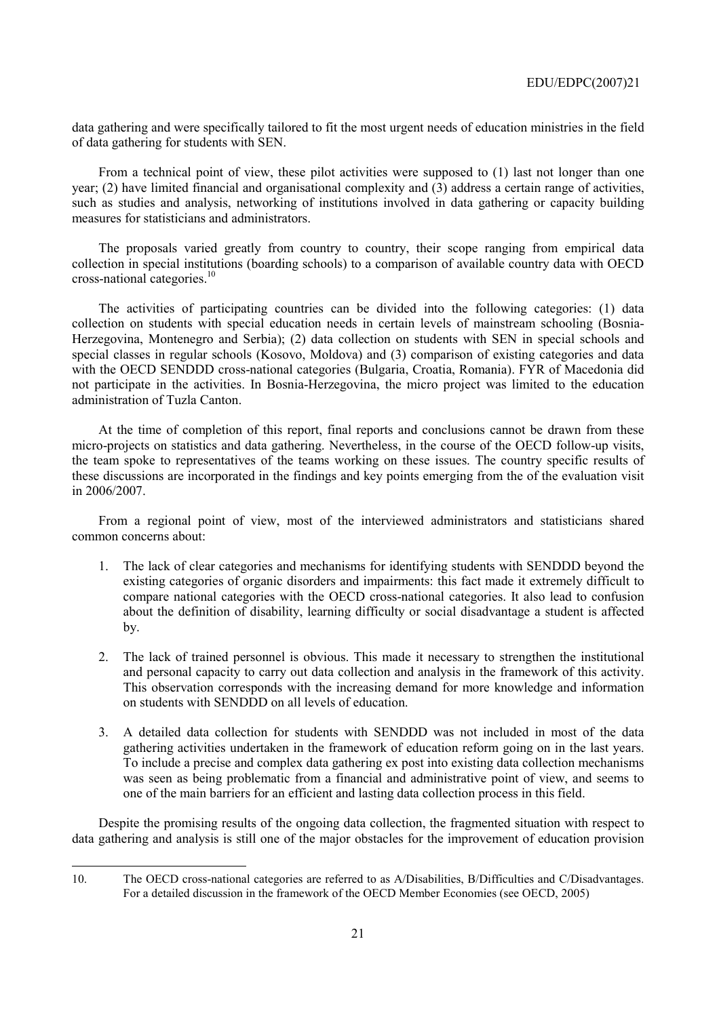data gathering and were specifically tailored to fit the most urgent needs of education ministries in the field of data gathering for students with SEN.

From a technical point of view, these pilot activities were supposed to (1) last not longer than one year; (2) have limited financial and organisational complexity and (3) address a certain range of activities, such as studies and analysis, networking of institutions involved in data gathering or capacity building measures for statisticians and administrators.

The proposals varied greatly from country to country, their scope ranging from empirical data collection in special institutions (boarding schools) to a comparison of available country data with OECD cross-national categories.10

The activities of participating countries can be divided into the following categories: (1) data collection on students with special education needs in certain levels of mainstream schooling (Bosnia-Herzegovina, Montenegro and Serbia); (2) data collection on students with SEN in special schools and special classes in regular schools (Kosovo, Moldova) and (3) comparison of existing categories and data with the OECD SENDDD cross-national categories (Bulgaria, Croatia, Romania). FYR of Macedonia did not participate in the activities. In Bosnia-Herzegovina, the micro project was limited to the education administration of Tuzla Canton.

At the time of completion of this report, final reports and conclusions cannot be drawn from these micro-projects on statistics and data gathering. Nevertheless, in the course of the OECD follow-up visits, the team spoke to representatives of the teams working on these issues. The country specific results of these discussions are incorporated in the findings and key points emerging from the of the evaluation visit in 2006/2007.

From a regional point of view, most of the interviewed administrators and statisticians shared common concerns about:

- 1. The lack of clear categories and mechanisms for identifying students with SENDDD beyond the existing categories of organic disorders and impairments: this fact made it extremely difficult to compare national categories with the OECD cross-national categories. It also lead to confusion about the definition of disability, learning difficulty or social disadvantage a student is affected by.
- 2. The lack of trained personnel is obvious. This made it necessary to strengthen the institutional and personal capacity to carry out data collection and analysis in the framework of this activity. This observation corresponds with the increasing demand for more knowledge and information on students with SENDDD on all levels of education.
- 3. A detailed data collection for students with SENDDD was not included in most of the data gathering activities undertaken in the framework of education reform going on in the last years. To include a precise and complex data gathering ex post into existing data collection mechanisms was seen as being problematic from a financial and administrative point of view, and seems to one of the main barriers for an efficient and lasting data collection process in this field.

Despite the promising results of the ongoing data collection, the fragmented situation with respect to data gathering and analysis is still one of the major obstacles for the improvement of education provision

 $\overline{a}$ 

<sup>10.</sup> The OECD cross-national categories are referred to as A/Disabilities, B/Difficulties and C/Disadvantages. For a detailed discussion in the framework of the OECD Member Economies (see OECD, 2005)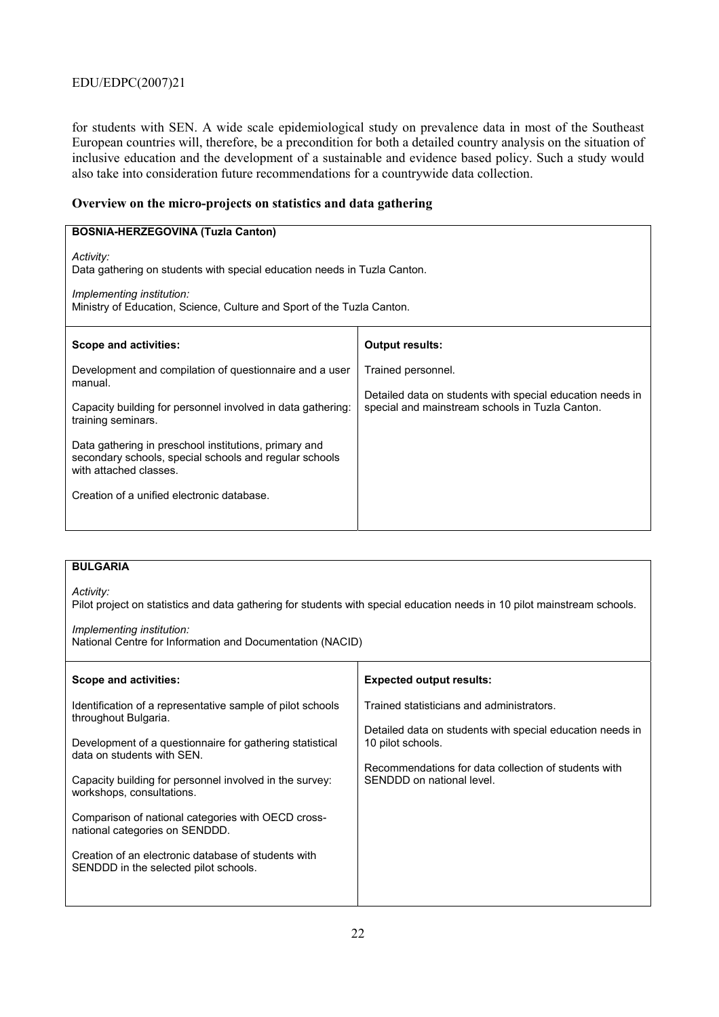for students with SEN. A wide scale epidemiological study on prevalence data in most of the Southeast European countries will, therefore, be a precondition for both a detailed country analysis on the situation of inclusive education and the development of a sustainable and evidence based policy. Such a study would also take into consideration future recommendations for a countrywide data collection.

### **Overview on the micro-projects on statistics and data gathering**

| <b>BOSNIA-HERZEGOVINA (Tuzla Canton)</b>                                                                                                                                                     |                                                                                                              |  |
|----------------------------------------------------------------------------------------------------------------------------------------------------------------------------------------------|--------------------------------------------------------------------------------------------------------------|--|
| Activity:<br>Data gathering on students with special education needs in Tuzla Canton.<br>Implementing institution:<br>Ministry of Education, Science, Culture and Sport of the Tuzla Canton. |                                                                                                              |  |
| Scope and activities:                                                                                                                                                                        | <b>Output results:</b>                                                                                       |  |
| Development and compilation of questionnaire and a user<br>manual.                                                                                                                           | Trained personnel.                                                                                           |  |
| Capacity building for personnel involved in data gathering:<br>training seminars.                                                                                                            | Detailed data on students with special education needs in<br>special and mainstream schools in Tuzla Canton. |  |
| Data gathering in preschool institutions, primary and<br>secondary schools, special schools and regular schools<br>with attached classes.                                                    |                                                                                                              |  |
| Creation of a unified electronic database.                                                                                                                                                   |                                                                                                              |  |
|                                                                                                                                                                                              |                                                                                                              |  |

### **BULGARIA**

*Activity:* 

Pilot project on statistics and data gathering for students with special education needs in 10 pilot mainstream schools.

#### *Implementing institution:*

National Centre for Information and Documentation (NACID)

| Scope and activities:                                                                                                                                                                                                                                                                                                                                                                                                                                        | <b>Expected output results:</b>                                                                                                                                                                                  |
|--------------------------------------------------------------------------------------------------------------------------------------------------------------------------------------------------------------------------------------------------------------------------------------------------------------------------------------------------------------------------------------------------------------------------------------------------------------|------------------------------------------------------------------------------------------------------------------------------------------------------------------------------------------------------------------|
| Identification of a representative sample of pilot schools<br>throughout Bulgaria.<br>Development of a questionnaire for gathering statistical<br>data on students with SFN.<br>Capacity building for personnel involved in the survey:<br>workshops, consultations.<br>Comparison of national categories with OECD cross-<br>national categories on SENDDD.<br>Creation of an electronic database of students with<br>SENDDD in the selected pilot schools. | Trained statisticians and administrators.<br>Detailed data on students with special education needs in<br>10 pilot schools.<br>Recommendations for data collection of students with<br>SENDDD on national level. |
|                                                                                                                                                                                                                                                                                                                                                                                                                                                              |                                                                                                                                                                                                                  |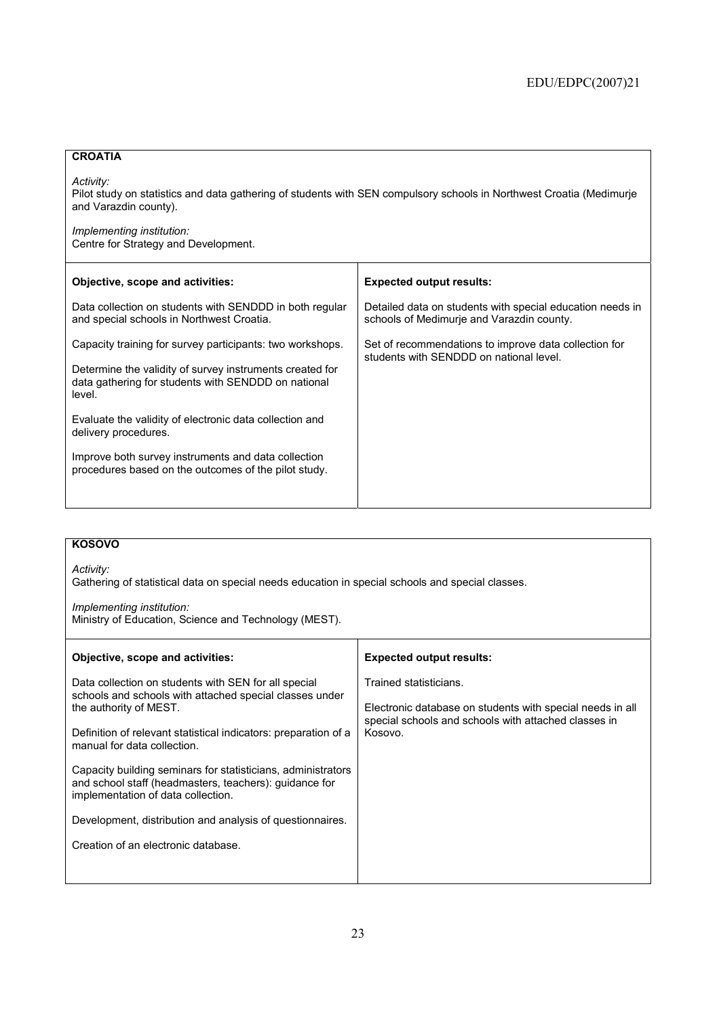### **CROATIA**

*Activity:* 

Pilot study on statistics and data gathering of students with SEN compulsory schools in Northwest Croatia (Medimurje and Varazdin county).

*Implementing institution:*  Centre for Strategy and Development.

| Objective, scope and activities:                                                                                          | <b>Expected output results:</b>                                                                        |
|---------------------------------------------------------------------------------------------------------------------------|--------------------------------------------------------------------------------------------------------|
| Data collection on students with SENDDD in both regular<br>and special schools in Northwest Croatia.                      | Detailed data on students with special education needs in<br>schools of Medimurie and Varazdin county. |
| Capacity training for survey participants: two workshops.                                                                 | Set of recommendations to improve data collection for<br>students with SENDDD on national level.       |
| Determine the validity of survey instruments created for<br>data gathering for students with SENDDD on national<br>level. |                                                                                                        |
| Evaluate the validity of electronic data collection and<br>delivery procedures.                                           |                                                                                                        |
| Improve both survey instruments and data collection<br>procedures based on the outcomes of the pilot study.               |                                                                                                        |
|                                                                                                                           |                                                                                                        |

### **KOSOVO**

*Activity:* 

Gathering of statistical data on special needs education in special schools and special classes.

*Implementing institution:*  Ministry of Education, Science and Technology (MEST).

| Objective, scope and activities:                                                                                                                                                                                                            | <b>Expected output results:</b>                                                                                                                        |
|---------------------------------------------------------------------------------------------------------------------------------------------------------------------------------------------------------------------------------------------|--------------------------------------------------------------------------------------------------------------------------------------------------------|
| Data collection on students with SEN for all special<br>schools and schools with attached special classes under<br>the authority of MEST.<br>Definition of relevant statistical indicators: preparation of a<br>manual for data collection. | Trained statisticians.<br>Electronic database on students with special needs in all<br>special schools and schools with attached classes in<br>Kosovo. |
| Capacity building seminars for statisticians, administrators<br>and school staff (headmasters, teachers): guidance for<br>implementation of data collection.                                                                                |                                                                                                                                                        |
| Development, distribution and analysis of questionnaires.                                                                                                                                                                                   |                                                                                                                                                        |
| Creation of an electronic database.                                                                                                                                                                                                         |                                                                                                                                                        |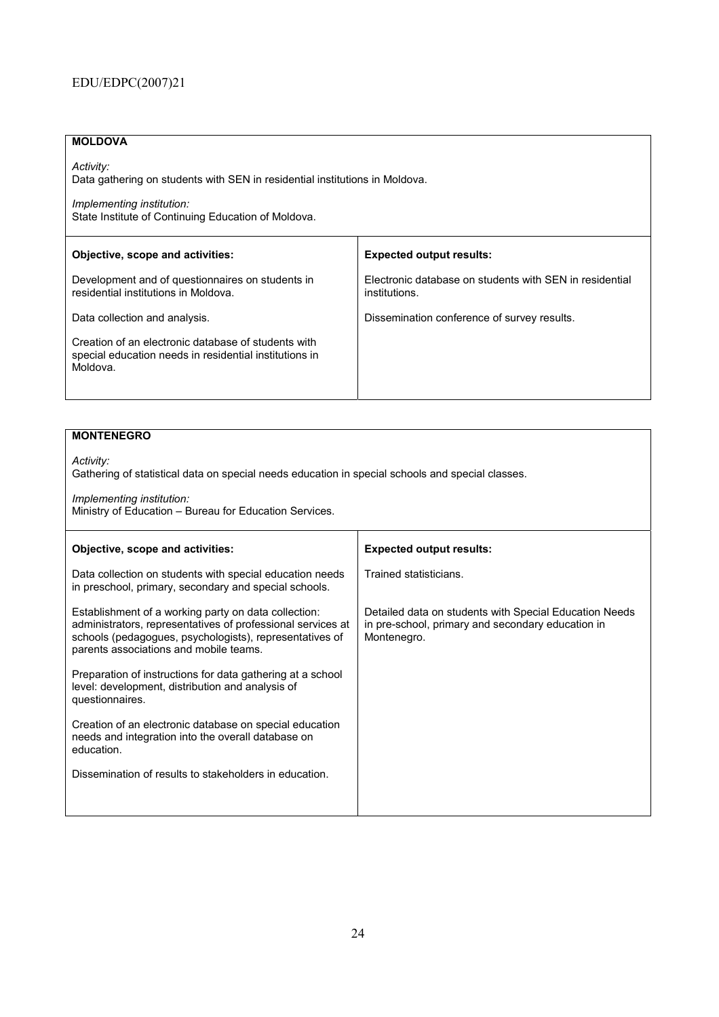## **MOLDOVA**

*Activity:*  Data gathering on students with SEN in residential institutions in Moldova.

*Implementing institution:*  State Institute of Continuing Education of Moldova.

| Objective, scope and activities:                                                                                          | <b>Expected output results:</b>                                          |
|---------------------------------------------------------------------------------------------------------------------------|--------------------------------------------------------------------------|
| Development and of questionnaires on students in<br>residential institutions in Moldova.                                  | Electronic database on students with SEN in residential<br>institutions. |
| Data collection and analysis.                                                                                             | Dissemination conference of survey results.                              |
| Creation of an electronic database of students with<br>special education needs in residential institutions in<br>Moldova. |                                                                          |

### **MONTENEGRO**

*Activity:*  Gathering of statistical data on special needs education in special schools and special classes.

*Implementing institution:*  Ministry of Education - Bureau for Education Services.

| Objective, scope and activities:                                                                                                                                                                                         | <b>Expected output results:</b>                                                                                            |
|--------------------------------------------------------------------------------------------------------------------------------------------------------------------------------------------------------------------------|----------------------------------------------------------------------------------------------------------------------------|
| Data collection on students with special education needs<br>in preschool, primary, secondary and special schools.                                                                                                        | Trained statisticians.                                                                                                     |
| Establishment of a working party on data collection:<br>administrators, representatives of professional services at<br>schools (pedagogues, psychologists), representatives of<br>parents associations and mobile teams. | Detailed data on students with Special Education Needs<br>in pre-school, primary and secondary education in<br>Montenegro. |
| Preparation of instructions for data gathering at a school<br>level: development, distribution and analysis of<br>questionnaires.                                                                                        |                                                                                                                            |
| Creation of an electronic database on special education<br>needs and integration into the overall database on<br>education.                                                                                              |                                                                                                                            |
| Dissemination of results to stakeholders in education.                                                                                                                                                                   |                                                                                                                            |
|                                                                                                                                                                                                                          |                                                                                                                            |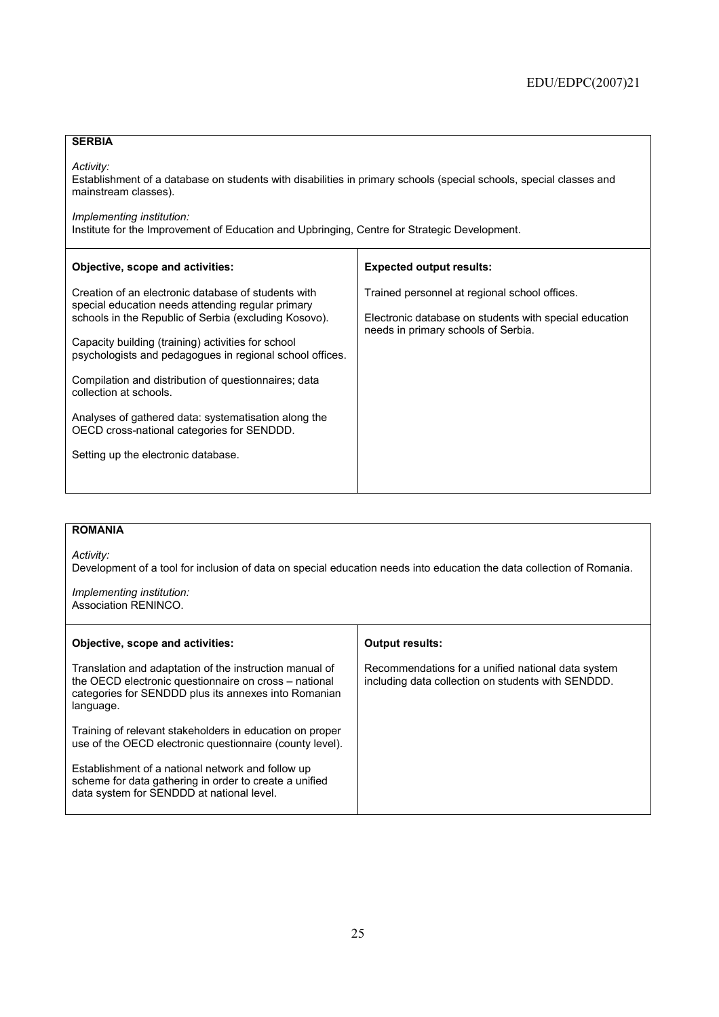### **SERBIA**

*Activity:* 

Establishment of a database on students with disabilities in primary schools (special schools, special classes and mainstream classes).

*Implementing institution:* 

Institute for the Improvement of Education and Upbringing, Centre for Strategic Development.

| <b>Expected output results:</b>                                                                                                                |
|------------------------------------------------------------------------------------------------------------------------------------------------|
| Trained personnel at regional school offices.<br>Electronic database on students with special education<br>needs in primary schools of Serbia. |
|                                                                                                                                                |
|                                                                                                                                                |
|                                                                                                                                                |
|                                                                                                                                                |

### **ROMANIA**

*Activity:* 

Development of a tool for inclusion of data on special education needs into education the data collection of Romania.

*Implementing institution:*  Association RENINCO.

| Objective, scope and activities:                                                                                                                                                      | <b>Output results:</b>                                                                                   |
|---------------------------------------------------------------------------------------------------------------------------------------------------------------------------------------|----------------------------------------------------------------------------------------------------------|
| Translation and adaptation of the instruction manual of<br>the OECD electronic questionnaire on cross - national<br>categories for SENDDD plus its annexes into Romanian<br>language. | Recommendations for a unified national data system<br>including data collection on students with SENDDD. |
| Training of relevant stakeholders in education on proper<br>use of the OECD electronic questionnaire (county level).                                                                  |                                                                                                          |
| Establishment of a national network and follow up<br>scheme for data gathering in order to create a unified<br>data system for SENDDD at national level.                              |                                                                                                          |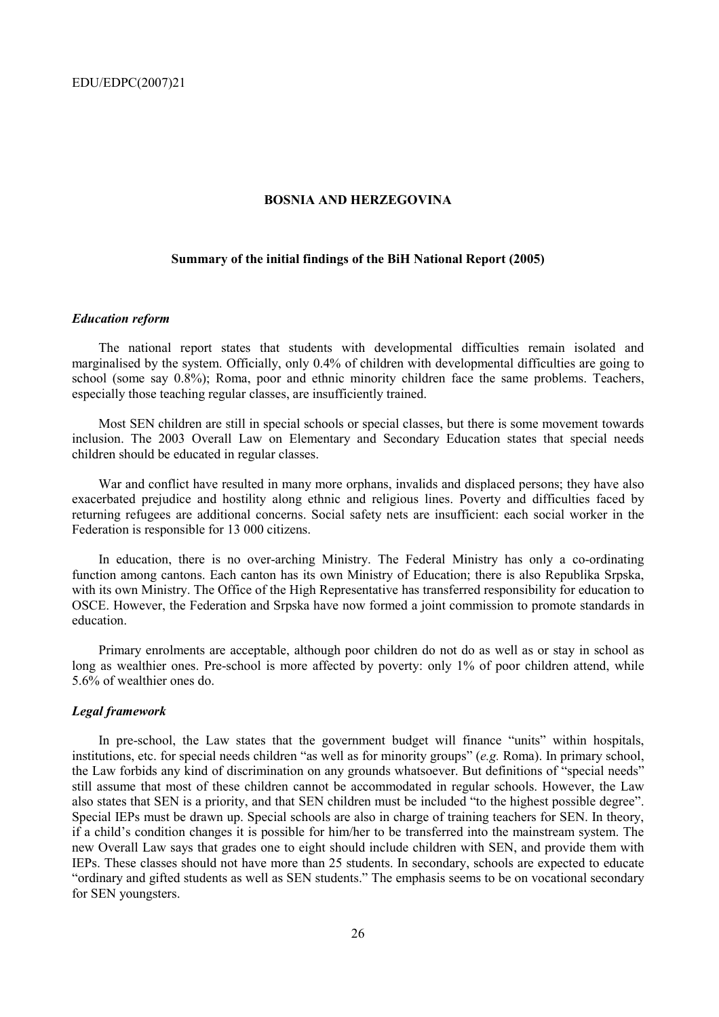#### **BOSNIA AND HERZEGOVINA**

#### **Summary of the initial findings of the BiH National Report (2005)**

#### *Education reform*

The national report states that students with developmental difficulties remain isolated and marginalised by the system. Officially, only 0.4% of children with developmental difficulties are going to school (some say 0.8%); Roma, poor and ethnic minority children face the same problems. Teachers, especially those teaching regular classes, are insufficiently trained.

Most SEN children are still in special schools or special classes, but there is some movement towards inclusion. The 2003 Overall Law on Elementary and Secondary Education states that special needs children should be educated in regular classes.

War and conflict have resulted in many more orphans, invalids and displaced persons; they have also exacerbated prejudice and hostility along ethnic and religious lines. Poverty and difficulties faced by returning refugees are additional concerns. Social safety nets are insufficient: each social worker in the Federation is responsible for 13 000 citizens.

In education, there is no over-arching Ministry. The Federal Ministry has only a co-ordinating function among cantons. Each canton has its own Ministry of Education; there is also Republika Srpska, with its own Ministry. The Office of the High Representative has transferred responsibility for education to OSCE. However, the Federation and Srpska have now formed a joint commission to promote standards in education.

Primary enrolments are acceptable, although poor children do not do as well as or stay in school as long as wealthier ones. Pre-school is more affected by poverty: only 1% of poor children attend, while 5.6% of wealthier ones do.

#### *Legal framework*

In pre-school, the Law states that the government budget will finance "units" within hospitals, institutions, etc. for special needs children "as well as for minority groups" (*e.g.* Roma). In primary school, the Law forbids any kind of discrimination on any grounds whatsoever. But definitions of "special needs" still assume that most of these children cannot be accommodated in regular schools. However, the Law also states that SEN is a priority, and that SEN children must be included "to the highest possible degree". Special IEPs must be drawn up. Special schools are also in charge of training teachers for SEN. In theory, if a childís condition changes it is possible for him/her to be transferred into the mainstream system. The new Overall Law says that grades one to eight should include children with SEN, and provide them with IEPs. These classes should not have more than 25 students. In secondary, schools are expected to educate "ordinary and gifted students as well as SEN students." The emphasis seems to be on vocational secondary for SEN youngsters.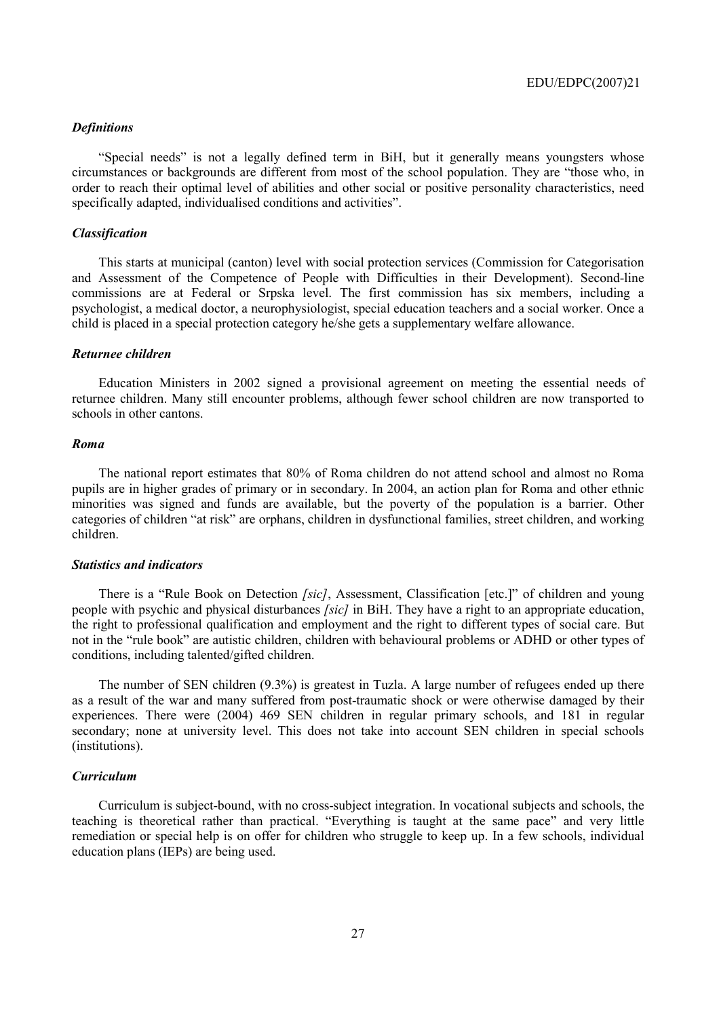#### *Definitions*

"Special needs" is not a legally defined term in BiH, but it generally means youngsters whose circumstances or backgrounds are different from most of the school population. They are "those who, in order to reach their optimal level of abilities and other social or positive personality characteristics, need specifically adapted, individualised conditions and activities".

#### *Classification*

This starts at municipal (canton) level with social protection services (Commission for Categorisation and Assessment of the Competence of People with Difficulties in their Development). Second-line commissions are at Federal or Srpska level. The first commission has six members, including a psychologist, a medical doctor, a neurophysiologist, special education teachers and a social worker. Once a child is placed in a special protection category he/she gets a supplementary welfare allowance.

#### *Returnee children*

Education Ministers in 2002 signed a provisional agreement on meeting the essential needs of returnee children. Many still encounter problems, although fewer school children are now transported to schools in other cantons.

#### *Roma*

The national report estimates that 80% of Roma children do not attend school and almost no Roma pupils are in higher grades of primary or in secondary. In 2004, an action plan for Roma and other ethnic minorities was signed and funds are available, but the poverty of the population is a barrier. Other categories of children "at risk" are orphans, children in dysfunctional families, street children, and working children.

#### *Statistics and indicators*

There is a "Rule Book on Detection *[sic]*, Assessment, Classification [etc.]" of children and young people with psychic and physical disturbances *[sic]* in BiH. They have a right to an appropriate education, the right to professional qualification and employment and the right to different types of social care. But not in the "rule book" are autistic children, children with behavioural problems or ADHD or other types of conditions, including talented/gifted children.

The number of SEN children (9.3%) is greatest in Tuzla. A large number of refugees ended up there as a result of the war and many suffered from post-traumatic shock or were otherwise damaged by their experiences. There were (2004) 469 SEN children in regular primary schools, and 181 in regular secondary; none at university level. This does not take into account SEN children in special schools (institutions).

#### *Curriculum*

Curriculum is subject-bound, with no cross-subject integration. In vocational subjects and schools, the teaching is theoretical rather than practical. "Everything is taught at the same pace" and very little remediation or special help is on offer for children who struggle to keep up. In a few schools, individual education plans (IEPs) are being used.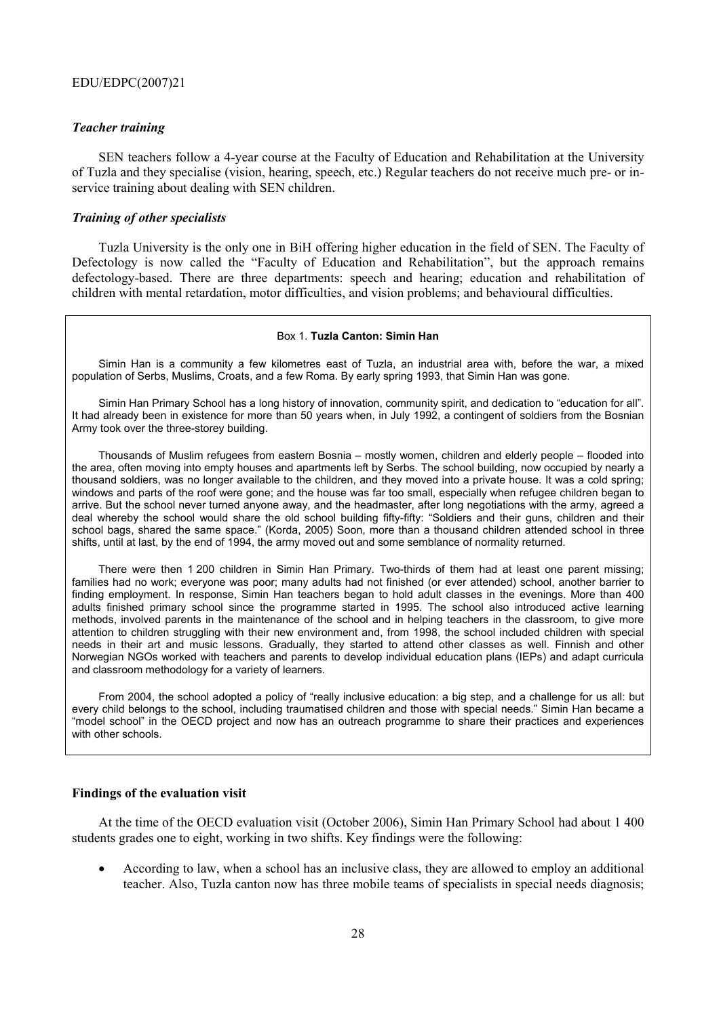#### *Teacher training*

SEN teachers follow a 4-year course at the Faculty of Education and Rehabilitation at the University of Tuzla and they specialise (vision, hearing, speech, etc.) Regular teachers do not receive much pre- or inservice training about dealing with SEN children.

#### *Training of other specialists*

Tuzla University is the only one in BiH offering higher education in the field of SEN. The Faculty of Defectology is now called the "Faculty of Education and Rehabilitation", but the approach remains defectology-based. There are three departments: speech and hearing; education and rehabilitation of children with mental retardation, motor difficulties, and vision problems; and behavioural difficulties.

#### Box 1. **Tuzla Canton: Simin Han**

Simin Han is a community a few kilometres east of Tuzla, an industrial area with, before the war, a mixed population of Serbs, Muslims, Croats, and a few Roma. By early spring 1993, that Simin Han was gone.

Simin Han Primary School has a long history of innovation, community spirit, and dedication to "education for all". It had already been in existence for more than 50 years when, in July 1992, a contingent of soldiers from the Bosnian Army took over the three-storey building.

Thousands of Muslim refugees from eastern Bosnia – mostly women, children and elderly people – flooded into the area, often moving into empty houses and apartments left by Serbs. The school building, now occupied by nearly a thousand soldiers, was no longer available to the children, and they moved into a private house. It was a cold spring; windows and parts of the roof were gone; and the house was far too small, especially when refugee children began to arrive. But the school never turned anyone away, and the headmaster, after long negotiations with the army, agreed a deal whereby the school would share the old school building fifty-fifty: "Soldiers and their guns, children and their school bags, shared the same space." (Korda, 2005) Soon, more than a thousand children attended school in three shifts, until at last, by the end of 1994, the army moved out and some semblance of normality returned.

There were then 1 200 children in Simin Han Primary. Two-thirds of them had at least one parent missing; families had no work; everyone was poor; many adults had not finished (or ever attended) school, another barrier to finding employment. In response, Simin Han teachers began to hold adult classes in the evenings. More than 400 adults finished primary school since the programme started in 1995. The school also introduced active learning methods, involved parents in the maintenance of the school and in helping teachers in the classroom, to give more attention to children struggling with their new environment and, from 1998, the school included children with special needs in their art and music lessons. Gradually, they started to attend other classes as well. Finnish and other Norwegian NGOs worked with teachers and parents to develop individual education plans (IEPs) and adapt curricula and classroom methodology for a variety of learners.

From 2004, the school adopted a policy of "really inclusive education: a big step, and a challenge for us all: but every child belongs to the school, including traumatised children and those with special needs." Simin Han became a ìmodel schoolî in the OECD project and now has an outreach programme to share their practices and experiences with other schools.

#### **Findings of the evaluation visit**

At the time of the OECD evaluation visit (October 2006), Simin Han Primary School had about 1 400 students grades one to eight, working in two shifts. Key findings were the following:

• According to law, when a school has an inclusive class, they are allowed to employ an additional teacher. Also, Tuzla canton now has three mobile teams of specialists in special needs diagnosis;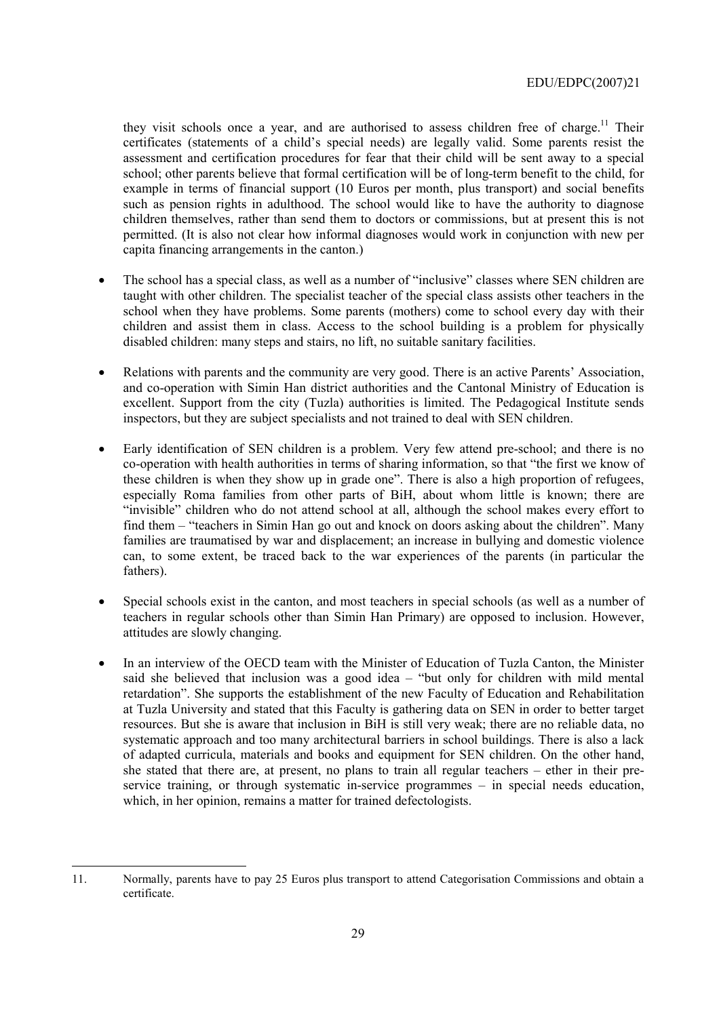they visit schools once a year, and are authorised to assess children free of charge.<sup>11</sup> Their certificates (statements of a childís special needs) are legally valid. Some parents resist the assessment and certification procedures for fear that their child will be sent away to a special school; other parents believe that formal certification will be of long-term benefit to the child, for example in terms of financial support (10 Euros per month, plus transport) and social benefits such as pension rights in adulthood. The school would like to have the authority to diagnose children themselves, rather than send them to doctors or commissions, but at present this is not permitted. (It is also not clear how informal diagnoses would work in conjunction with new per capita financing arrangements in the canton.)

- The school has a special class, as well as a number of "inclusive" classes where SEN children are taught with other children. The specialist teacher of the special class assists other teachers in the school when they have problems. Some parents (mothers) come to school every day with their children and assist them in class. Access to the school building is a problem for physically disabled children: many steps and stairs, no lift, no suitable sanitary facilities.
- Relations with parents and the community are very good. There is an active Parents' Association, and co-operation with Simin Han district authorities and the Cantonal Ministry of Education is excellent. Support from the city (Tuzla) authorities is limited. The Pedagogical Institute sends inspectors, but they are subject specialists and not trained to deal with SEN children.
- Early identification of SEN children is a problem. Very few attend pre-school; and there is no co-operation with health authorities in terms of sharing information, so that "the first we know of these children is when they show up in grade one". There is also a high proportion of refugees, especially Roma families from other parts of BiH, about whom little is known; there are "invisible" children who do not attend school at all, although the school makes every effort to find them – "teachers in Simin Han go out and knock on doors asking about the children". Many families are traumatised by war and displacement; an increase in bullying and domestic violence can, to some extent, be traced back to the war experiences of the parents (in particular the fathers).
- Special schools exist in the canton, and most teachers in special schools (as well as a number of teachers in regular schools other than Simin Han Primary) are opposed to inclusion. However, attitudes are slowly changing.
- In an interview of the OECD team with the Minister of Education of Tuzla Canton, the Minister said she believed that inclusion was a good idea  $-$  "but only for children with mild mental retardationî. She supports the establishment of the new Faculty of Education and Rehabilitation at Tuzla University and stated that this Faculty is gathering data on SEN in order to better target resources. But she is aware that inclusion in BiH is still very weak; there are no reliable data, no systematic approach and too many architectural barriers in school buildings. There is also a lack of adapted curricula, materials and books and equipment for SEN children. On the other hand, she stated that there are, at present, no plans to train all regular teachers  $-$  ether in their preservice training, or through systematic in-service programmes  $-$  in special needs education, which, in her opinion, remains a matter for trained defectologists.

 $\overline{a}$ 

<sup>11.</sup> Normally, parents have to pay 25 Euros plus transport to attend Categorisation Commissions and obtain a certificate.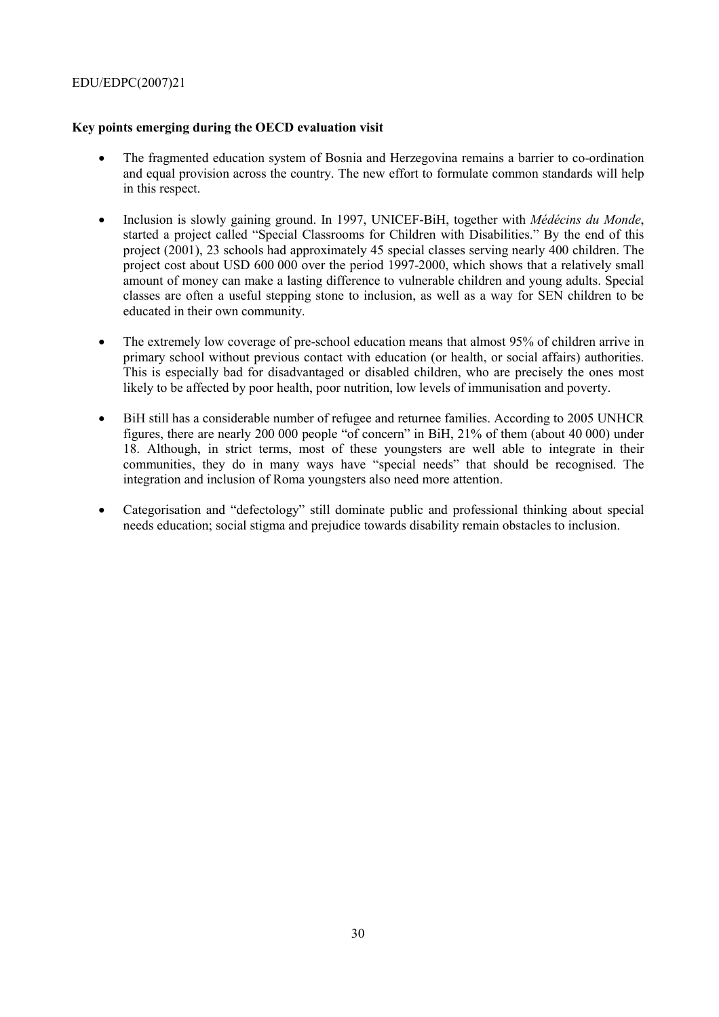### **Key points emerging during the OECD evaluation visit**

- The fragmented education system of Bosnia and Herzegovina remains a barrier to co-ordination and equal provision across the country. The new effort to formulate common standards will help in this respect.
- Inclusion is slowly gaining ground. In 1997, UNICEF-BiH, together with *Médécins du Monde*, started a project called "Special Classrooms for Children with Disabilities." By the end of this project (2001), 23 schools had approximately 45 special classes serving nearly 400 children. The project cost about USD 600 000 over the period 1997-2000, which shows that a relatively small amount of money can make a lasting difference to vulnerable children and young adults. Special classes are often a useful stepping stone to inclusion, as well as a way for SEN children to be educated in their own community.
- The extremely low coverage of pre-school education means that almost 95% of children arrive in primary school without previous contact with education (or health, or social affairs) authorities. This is especially bad for disadvantaged or disabled children, who are precisely the ones most likely to be affected by poor health, poor nutrition, low levels of immunisation and poverty.
- BiH still has a considerable number of refugee and returnee families. According to 2005 UNHCR figures, there are nearly 200 000 people "of concern" in BiH,  $21\%$  of them (about 40 000) under 18. Although, in strict terms, most of these youngsters are well able to integrate in their communities, they do in many ways have "special needs" that should be recognised. The integration and inclusion of Roma youngsters also need more attention.
- Categorisation and "defectology" still dominate public and professional thinking about special needs education; social stigma and prejudice towards disability remain obstacles to inclusion.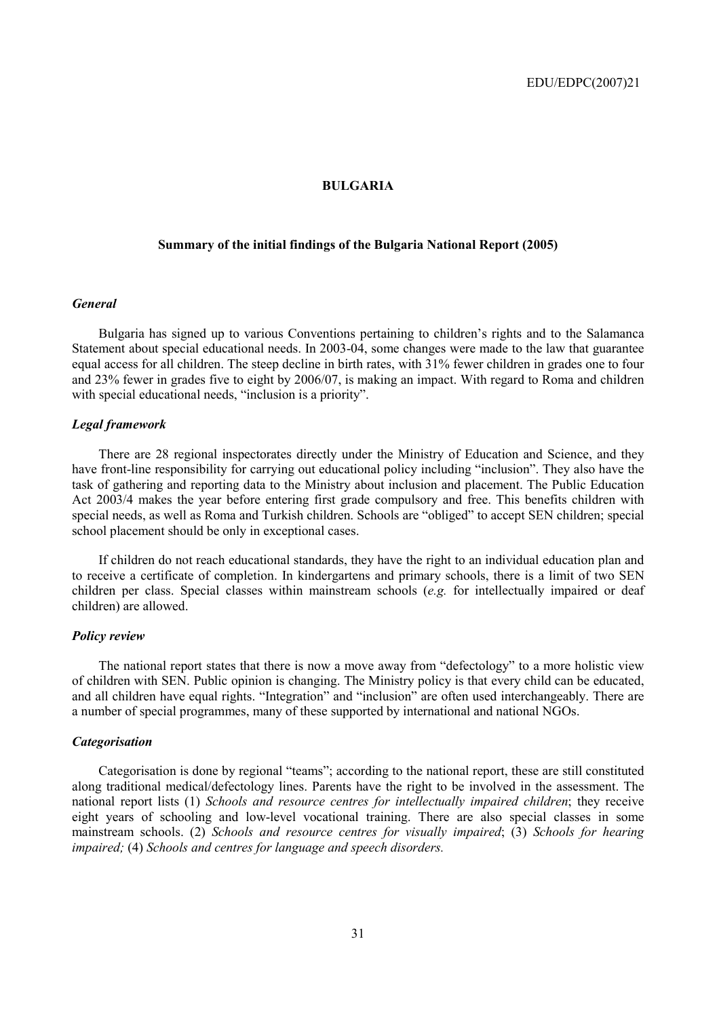#### **BULGARIA**

### **Summary of the initial findings of the Bulgaria National Report (2005)**

#### *General*

Bulgaria has signed up to various Conventions pertaining to children's rights and to the Salamanca Statement about special educational needs. In 2003-04, some changes were made to the law that guarantee equal access for all children. The steep decline in birth rates, with 31% fewer children in grades one to four and 23% fewer in grades five to eight by 2006/07, is making an impact. With regard to Roma and children with special educational needs, "inclusion is a priority".

#### *Legal framework*

There are 28 regional inspectorates directly under the Ministry of Education and Science, and they have front-line responsibility for carrying out educational policy including "inclusion". They also have the task of gathering and reporting data to the Ministry about inclusion and placement. The Public Education Act 2003/4 makes the year before entering first grade compulsory and free. This benefits children with special needs, as well as Roma and Turkish children. Schools are "obliged" to accept SEN children; special school placement should be only in exceptional cases.

If children do not reach educational standards, they have the right to an individual education plan and to receive a certificate of completion. In kindergartens and primary schools, there is a limit of two SEN children per class. Special classes within mainstream schools (*e.g.* for intellectually impaired or deaf children) are allowed.

#### *Policy review*

The national report states that there is now a move away from "defectology" to a more holistic view of children with SEN. Public opinion is changing. The Ministry policy is that every child can be educated, and all children have equal rights. "Integration" and "inclusion" are often used interchangeably. There are a number of special programmes, many of these supported by international and national NGOs.

#### *Categorisation*

Categorisation is done by regional "teams"; according to the national report, these are still constituted along traditional medical/defectology lines. Parents have the right to be involved in the assessment. The national report lists (1) *Schools and resource centres for intellectually impaired children*; they receive eight years of schooling and low-level vocational training. There are also special classes in some mainstream schools. (2) *Schools and resource centres for visually impaired*; (3) *Schools for hearing impaired;* (4) *Schools and centres for language and speech disorders.*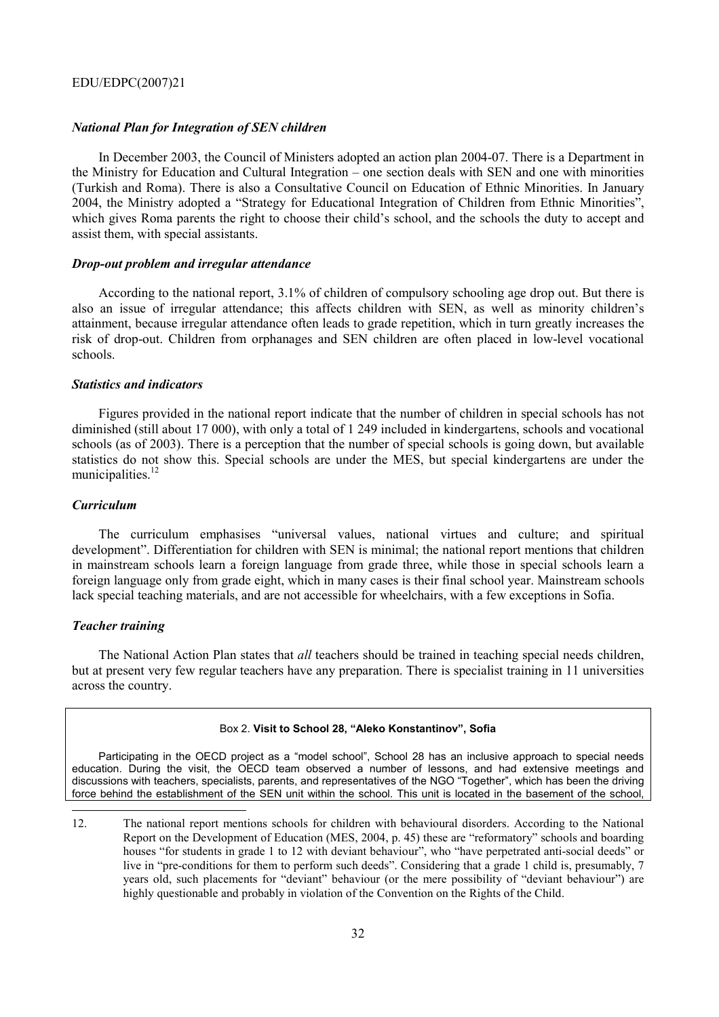#### *National Plan for Integration of SEN children*

In December 2003, the Council of Ministers adopted an action plan 2004-07. There is a Department in the Ministry for Education and Cultural Integration – one section deals with SEN and one with minorities (Turkish and Roma). There is also a Consultative Council on Education of Ethnic Minorities. In January 2004, the Ministry adopted a "Strategy for Educational Integration of Children from Ethnic Minorities". which gives Roma parents the right to choose their child's school, and the schools the duty to accept and assist them, with special assistants.

#### *Drop-out problem and irregular attendance*

According to the national report, 3.1% of children of compulsory schooling age drop out. But there is also an issue of irregular attendance; this affects children with SEN, as well as minority children's attainment, because irregular attendance often leads to grade repetition, which in turn greatly increases the risk of drop-out. Children from orphanages and SEN children are often placed in low-level vocational schools.

#### *Statistics and indicators*

Figures provided in the national report indicate that the number of children in special schools has not diminished (still about 17 000), with only a total of 1 249 included in kindergartens, schools and vocational schools (as of 2003). There is a perception that the number of special schools is going down, but available statistics do not show this. Special schools are under the MES, but special kindergartens are under the municipalities $12$ 

#### *Curriculum*

The curriculum emphasises "universal values, national virtues and culture; and spiritual development". Differentiation for children with SEN is minimal; the national report mentions that children in mainstream schools learn a foreign language from grade three, while those in special schools learn a foreign language only from grade eight, which in many cases is their final school year. Mainstream schools lack special teaching materials, and are not accessible for wheelchairs, with a few exceptions in Sofia.

#### *Teacher training*

 $\overline{a}$ 

The National Action Plan states that *all* teachers should be trained in teaching special needs children, but at present very few regular teachers have any preparation. There is specialist training in 11 universities across the country.

#### Box 2. Visit to School 28, "Aleko Konstantinov", Sofia

Participating in the OECD project as a "model school". School 28 has an inclusive approach to special needs education. During the visit, the OECD team observed a number of lessons, and had extensive meetings and discussions with teachers, specialists, parents, and representatives of the NGO "Together", which has been the driving force behind the establishment of the SEN unit within the school. This unit is located in the basement of the school,

<sup>12.</sup> The national report mentions schools for children with behavioural disorders. According to the National Report on the Development of Education (MES, 2004, p. 45) these are "reformatory" schools and boarding houses "for students in grade 1 to 12 with deviant behaviour", who "have perpetrated anti-social deeds" or live in "pre-conditions for them to perform such deeds". Considering that a grade 1 child is, presumably, 7 years old, such placements for "deviant" behaviour (or the mere possibility of "deviant behaviour") are highly questionable and probably in violation of the Convention on the Rights of the Child.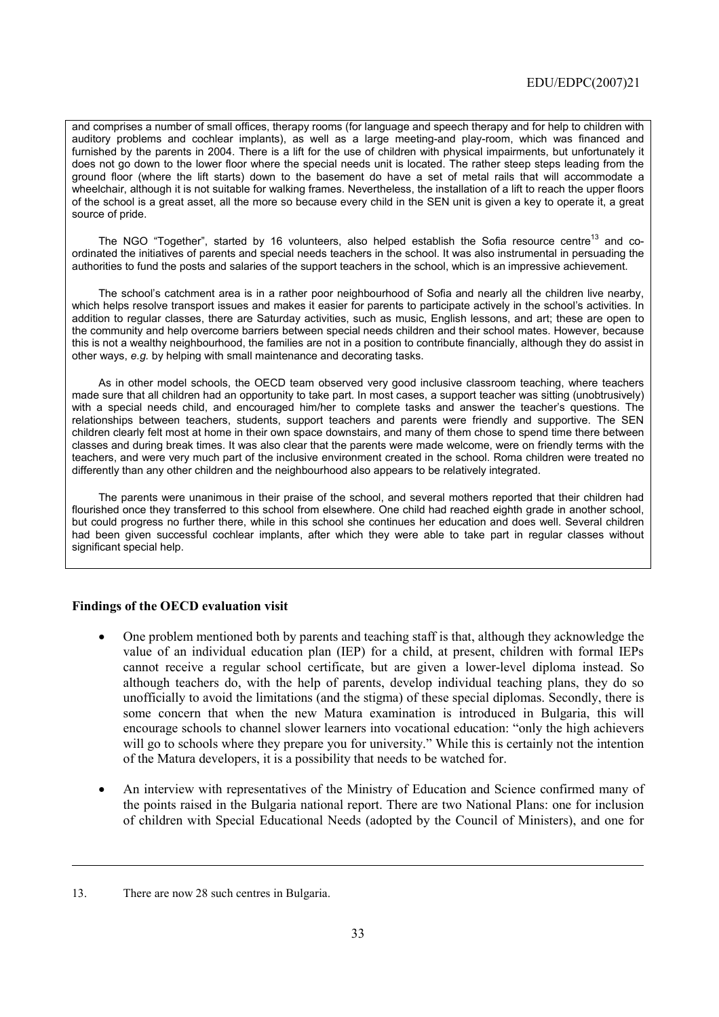and comprises a number of small offices, therapy rooms (for language and speech therapy and for help to children with auditory problems and cochlear implants), as well as a large meeting-and play-room, which was financed and furnished by the parents in 2004. There is a lift for the use of children with physical impairments, but unfortunately it does not go down to the lower floor where the special needs unit is located. The rather steep steps leading from the ground floor (where the lift starts) down to the basement do have a set of metal rails that will accommodate a wheelchair, although it is not suitable for walking frames. Nevertheless, the installation of a lift to reach the upper floors of the school is a great asset, all the more so because every child in the SEN unit is given a key to operate it, a great source of pride.

The NGO "Together", started by 16 volunteers, also helped establish the Sofia resource centre<sup>13</sup> and coordinated the initiatives of parents and special needs teachers in the school. It was also instrumental in persuading the authorities to fund the posts and salaries of the support teachers in the school, which is an impressive achievement.

The school's catchment area is in a rather poor neighbourhood of Sofia and nearly all the children live nearby, which helps resolve transport issues and makes it easier for parents to participate actively in the school's activities. In addition to regular classes, there are Saturday activities, such as music, English lessons, and art; these are open to the community and help overcome barriers between special needs children and their school mates. However, because this is not a wealthy neighbourhood, the families are not in a position to contribute financially, although they do assist in other ways, *e.g.* by helping with small maintenance and decorating tasks.

As in other model schools, the OECD team observed very good inclusive classroom teaching, where teachers made sure that all children had an opportunity to take part. In most cases, a support teacher was sitting (unobtrusively) with a special needs child, and encouraged him/her to complete tasks and answer the teacher's questions. The relationships between teachers, students, support teachers and parents were friendly and supportive. The SEN children clearly felt most at home in their own space downstairs, and many of them chose to spend time there between classes and during break times. It was also clear that the parents were made welcome, were on friendly terms with the teachers, and were very much part of the inclusive environment created in the school. Roma children were treated no differently than any other children and the neighbourhood also appears to be relatively integrated.

The parents were unanimous in their praise of the school, and several mothers reported that their children had flourished once they transferred to this school from elsewhere. One child had reached eighth grade in another school, but could progress no further there, while in this school she continues her education and does well. Several children had been given successful cochlear implants, after which they were able to take part in regular classes without significant special help.

#### **Findings of the OECD evaluation visit**

- One problem mentioned both by parents and teaching staff is that, although they acknowledge the value of an individual education plan (IEP) for a child, at present, children with formal IEPs cannot receive a regular school certificate, but are given a lower-level diploma instead. So although teachers do, with the help of parents, develop individual teaching plans, they do so unofficially to avoid the limitations (and the stigma) of these special diplomas. Secondly, there is some concern that when the new Matura examination is introduced in Bulgaria, this will encourage schools to channel slower learners into vocational education: "only the high achievers" will go to schools where they prepare you for university." While this is certainly not the intention of the Matura developers, it is a possibility that needs to be watched for.
- An interview with representatives of the Ministry of Education and Science confirmed many of the points raised in the Bulgaria national report. There are two National Plans: one for inclusion of children with Special Educational Needs (adopted by the Council of Ministers), and one for

1

<sup>13.</sup> There are now 28 such centres in Bulgaria.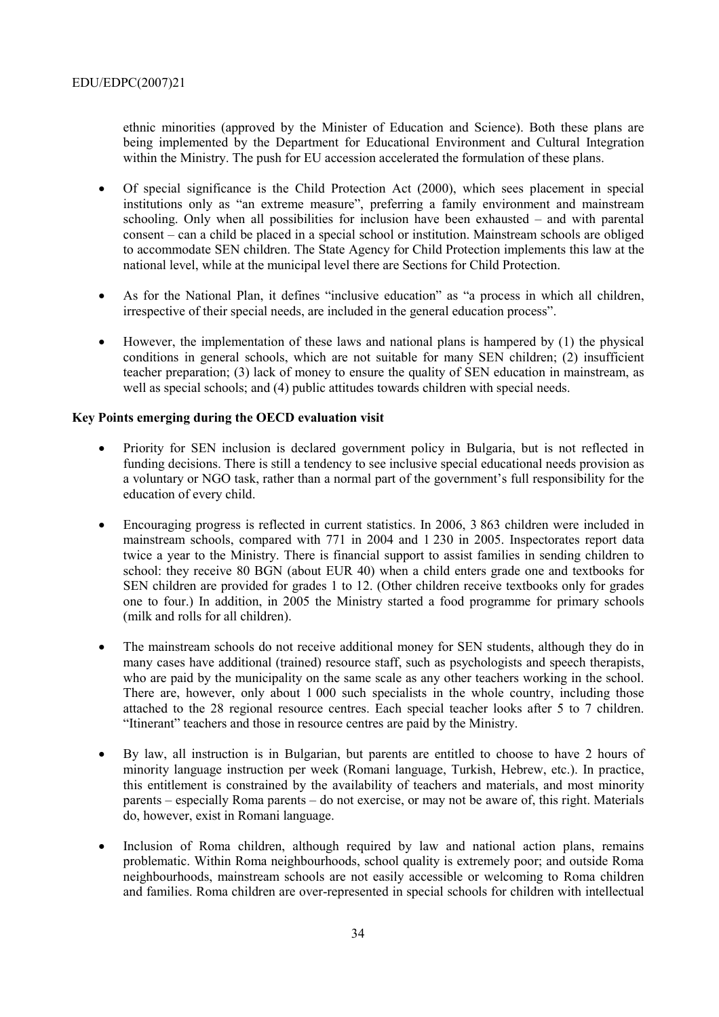ethnic minorities (approved by the Minister of Education and Science). Both these plans are being implemented by the Department for Educational Environment and Cultural Integration within the Ministry. The push for EU accession accelerated the formulation of these plans.

- Of special significance is the Child Protection Act (2000), which sees placement in special institutions only as "an extreme measure", preferring a family environment and mainstream schooling. Only when all possibilities for inclusion have been exhausted  $-$  and with parental consent – can a child be placed in a special school or institution. Mainstream schools are obliged to accommodate SEN children. The State Agency for Child Protection implements this law at the national level, while at the municipal level there are Sections for Child Protection.
- As for the National Plan, it defines "inclusive education" as "a process in which all children, irrespective of their special needs, are included in the general education process".
- However, the implementation of these laws and national plans is hampered by (1) the physical conditions in general schools, which are not suitable for many SEN children; (2) insufficient teacher preparation; (3) lack of money to ensure the quality of SEN education in mainstream, as well as special schools; and (4) public attitudes towards children with special needs.

### **Key Points emerging during the OECD evaluation visit**

- Priority for SEN inclusion is declared government policy in Bulgaria, but is not reflected in funding decisions. There is still a tendency to see inclusive special educational needs provision as a voluntary or NGO task, rather than a normal part of the government's full responsibility for the education of every child.
- Encouraging progress is reflected in current statistics. In 2006, 3 863 children were included in mainstream schools, compared with 771 in 2004 and 1 230 in 2005. Inspectorates report data twice a year to the Ministry. There is financial support to assist families in sending children to school: they receive 80 BGN (about EUR 40) when a child enters grade one and textbooks for SEN children are provided for grades 1 to 12. (Other children receive textbooks only for grades one to four.) In addition, in 2005 the Ministry started a food programme for primary schools (milk and rolls for all children).
- The mainstream schools do not receive additional money for SEN students, although they do in many cases have additional (trained) resource staff, such as psychologists and speech therapists, who are paid by the municipality on the same scale as any other teachers working in the school. There are, however, only about 1 000 such specialists in the whole country, including those attached to the 28 regional resource centres. Each special teacher looks after 5 to 7 children. "Itinerant" teachers and those in resource centres are paid by the Ministry.
- By law, all instruction is in Bulgarian, but parents are entitled to choose to have 2 hours of minority language instruction per week (Romani language, Turkish, Hebrew, etc.). In practice, this entitlement is constrained by the availability of teachers and materials, and most minority parents – especially Roma parents – do not exercise, or may not be aware of, this right. Materials do, however, exist in Romani language.
- Inclusion of Roma children, although required by law and national action plans, remains problematic. Within Roma neighbourhoods, school quality is extremely poor; and outside Roma neighbourhoods, mainstream schools are not easily accessible or welcoming to Roma children and families. Roma children are over-represented in special schools for children with intellectual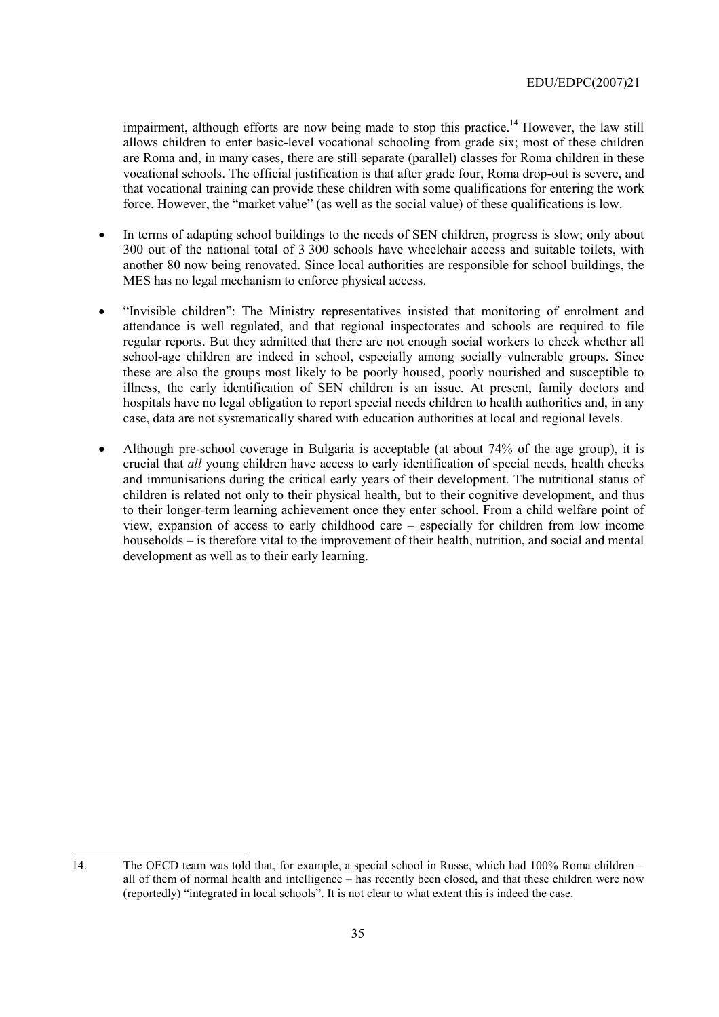impairment, although efforts are now being made to stop this practice.<sup>14</sup> However, the law still allows children to enter basic-level vocational schooling from grade six; most of these children are Roma and, in many cases, there are still separate (parallel) classes for Roma children in these vocational schools. The official justification is that after grade four, Roma drop-out is severe, and that vocational training can provide these children with some qualifications for entering the work force. However, the "market value" (as well as the social value) of these qualifications is low.

- In terms of adapting school buildings to the needs of SEN children, progress is slow; only about 300 out of the national total of 3 300 schools have wheelchair access and suitable toilets, with another 80 now being renovated. Since local authorities are responsible for school buildings, the MES has no legal mechanism to enforce physical access.
- "Invisible children": The Ministry representatives insisted that monitoring of enrolment and attendance is well regulated, and that regional inspectorates and schools are required to file regular reports. But they admitted that there are not enough social workers to check whether all school-age children are indeed in school, especially among socially vulnerable groups. Since these are also the groups most likely to be poorly housed, poorly nourished and susceptible to illness, the early identification of SEN children is an issue. At present, family doctors and hospitals have no legal obligation to report special needs children to health authorities and, in any case, data are not systematically shared with education authorities at local and regional levels.
- Although pre-school coverage in Bulgaria is acceptable (at about 74% of the age group), it is crucial that *all* young children have access to early identification of special needs, health checks and immunisations during the critical early years of their development. The nutritional status of children is related not only to their physical health, but to their cognitive development, and thus to their longer-term learning achievement once they enter school. From a child welfare point of view, expansion of access to early childhood care  $-$  especially for children from low income households – is therefore vital to the improvement of their health, nutrition, and social and mental development as well as to their early learning.

 $\overline{a}$ 

<sup>14.</sup> The OECD team was told that, for example, a special school in Russe, which had 100% Roma children – all of them of normal health and intelligence – has recently been closed, and that these children were now (reportedly) "integrated in local schools". It is not clear to what extent this is indeed the case.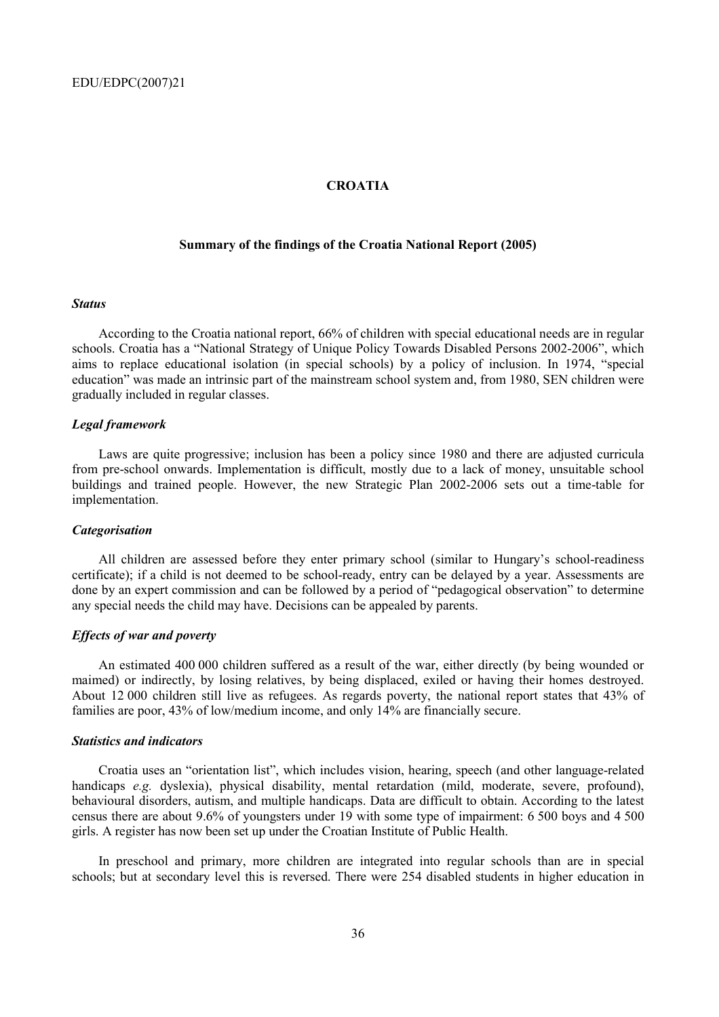#### **CROATIA**

### **Summary of the findings of the Croatia National Report (2005)**

#### *Status*

According to the Croatia national report, 66% of children with special educational needs are in regular schools. Croatia has a "National Strategy of Unique Policy Towards Disabled Persons 2002-2006", which aims to replace educational isolation (in special schools) by a policy of inclusion. In 1974, "special education" was made an intrinsic part of the mainstream school system and, from 1980, SEN children were gradually included in regular classes.

#### *Legal framework*

Laws are quite progressive; inclusion has been a policy since 1980 and there are adjusted curricula from pre-school onwards. Implementation is difficult, mostly due to a lack of money, unsuitable school buildings and trained people. However, the new Strategic Plan 2002-2006 sets out a time-table for implementation.

#### *Categorisation*

All children are assessed before they enter primary school (similar to Hungary's school-readiness certificate); if a child is not deemed to be school-ready, entry can be delayed by a year. Assessments are done by an expert commission and can be followed by a period of "pedagogical observation" to determine any special needs the child may have. Decisions can be appealed by parents.

#### *Effects of war and poverty*

An estimated 400 000 children suffered as a result of the war, either directly (by being wounded or maimed) or indirectly, by losing relatives, by being displaced, exiled or having their homes destroyed. About 12 000 children still live as refugees. As regards poverty, the national report states that 43% of families are poor, 43% of low/medium income, and only 14% are financially secure.

#### *Statistics and indicators*

Croatia uses an "orientation list", which includes vision, hearing, speech (and other language-related handicaps *e.g.* dyslexia), physical disability, mental retardation (mild, moderate, severe, profound), behavioural disorders, autism, and multiple handicaps. Data are difficult to obtain. According to the latest census there are about 9.6% of youngsters under 19 with some type of impairment: 6 500 boys and 4 500 girls. A register has now been set up under the Croatian Institute of Public Health.

In preschool and primary, more children are integrated into regular schools than are in special schools; but at secondary level this is reversed. There were 254 disabled students in higher education in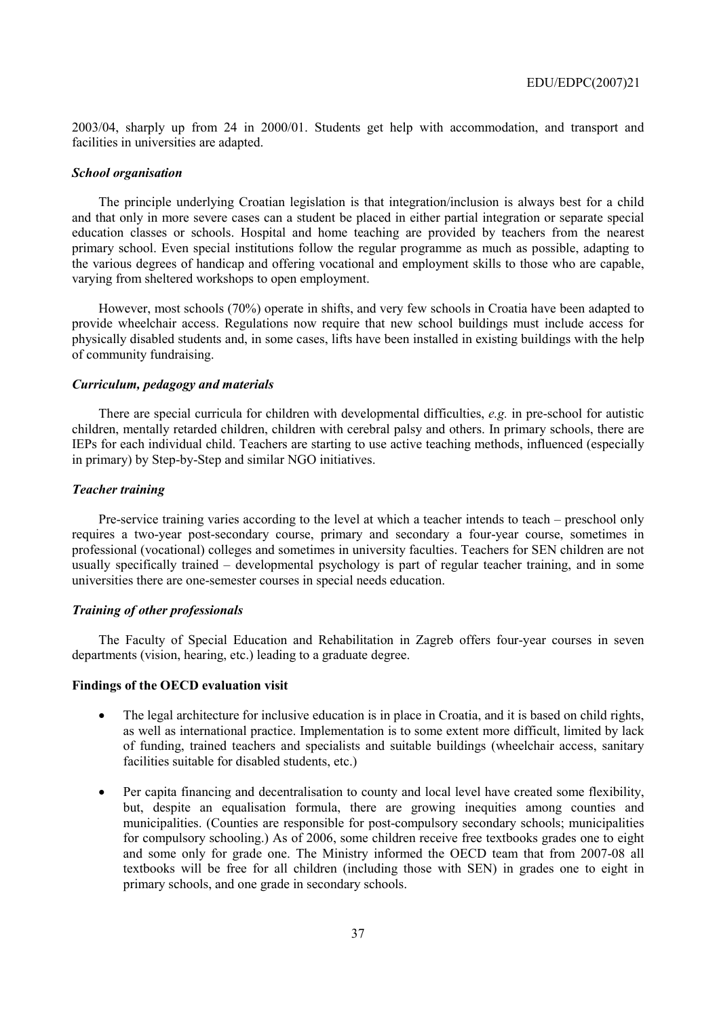2003/04, sharply up from 24 in 2000/01. Students get help with accommodation, and transport and facilities in universities are adapted.

#### *School organisation*

The principle underlying Croatian legislation is that integration/inclusion is always best for a child and that only in more severe cases can a student be placed in either partial integration or separate special education classes or schools. Hospital and home teaching are provided by teachers from the nearest primary school. Even special institutions follow the regular programme as much as possible, adapting to the various degrees of handicap and offering vocational and employment skills to those who are capable, varying from sheltered workshops to open employment.

However, most schools (70%) operate in shifts, and very few schools in Croatia have been adapted to provide wheelchair access. Regulations now require that new school buildings must include access for physically disabled students and, in some cases, lifts have been installed in existing buildings with the help of community fundraising.

### *Curriculum, pedagogy and materials*

There are special curricula for children with developmental difficulties, *e.g.* in pre-school for autistic children, mentally retarded children, children with cerebral palsy and others. In primary schools, there are IEPs for each individual child. Teachers are starting to use active teaching methods, influenced (especially in primary) by Step-by-Step and similar NGO initiatives.

### *Teacher training*

Pre-service training varies according to the level at which a teacher intends to teach – preschool only requires a two-year post-secondary course, primary and secondary a four-year course, sometimes in professional (vocational) colleges and sometimes in university faculties. Teachers for SEN children are not usually specifically trained  $-$  developmental psychology is part of regular teacher training, and in some universities there are one-semester courses in special needs education.

### *Training of other professionals*

The Faculty of Special Education and Rehabilitation in Zagreb offers four-year courses in seven departments (vision, hearing, etc.) leading to a graduate degree.

### **Findings of the OECD evaluation visit**

- The legal architecture for inclusive education is in place in Croatia, and it is based on child rights, as well as international practice. Implementation is to some extent more difficult, limited by lack of funding, trained teachers and specialists and suitable buildings (wheelchair access, sanitary facilities suitable for disabled students, etc.)
- Per capita financing and decentralisation to county and local level have created some flexibility, but, despite an equalisation formula, there are growing inequities among counties and municipalities. (Counties are responsible for post-compulsory secondary schools; municipalities for compulsory schooling.) As of 2006, some children receive free textbooks grades one to eight and some only for grade one. The Ministry informed the OECD team that from 2007-08 all textbooks will be free for all children (including those with SEN) in grades one to eight in primary schools, and one grade in secondary schools.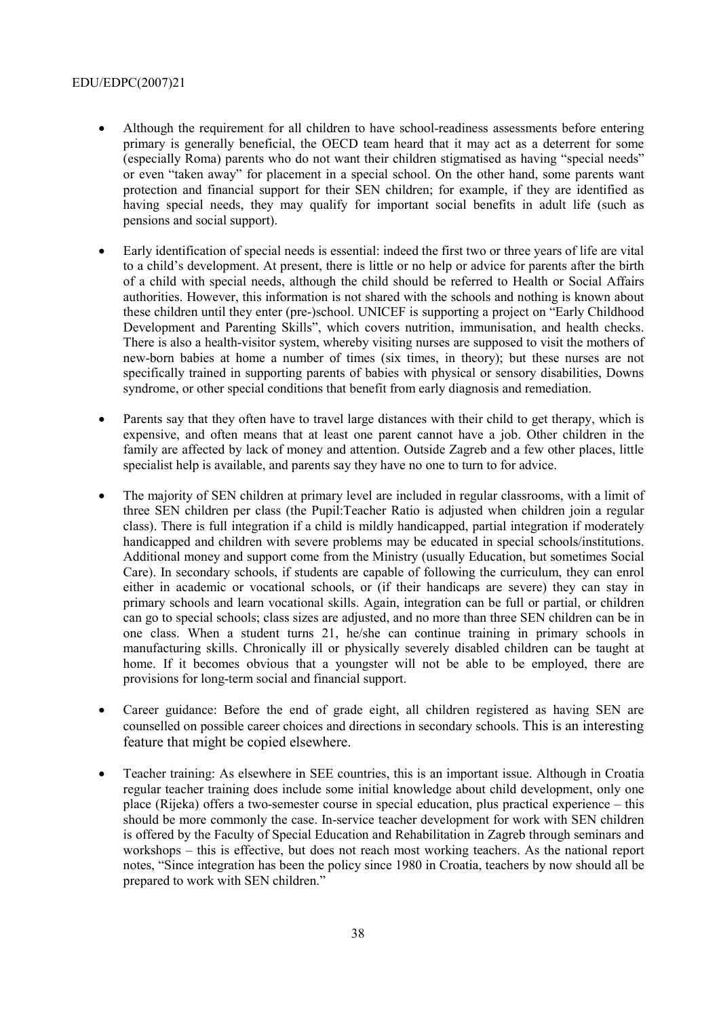- Although the requirement for all children to have school-readiness assessments before entering primary is generally beneficial, the OECD team heard that it may act as a deterrent for some (especially Roma) parents who do not want their children stigmatised as having "special needs" or even "taken away" for placement in a special school. On the other hand, some parents want protection and financial support for their SEN children; for example, if they are identified as having special needs, they may qualify for important social benefits in adult life (such as pensions and social support).
- Early identification of special needs is essential: indeed the first two or three years of life are vital to a childís development. At present, there is little or no help or advice for parents after the birth of a child with special needs, although the child should be referred to Health or Social Affairs authorities. However, this information is not shared with the schools and nothing is known about these children until they enter (pre-)school. UNICEF is supporting a project on "Early Childhood" Development and Parenting Skills", which covers nutrition, immunisation, and health checks. There is also a health-visitor system, whereby visiting nurses are supposed to visit the mothers of new-born babies at home a number of times (six times, in theory); but these nurses are not specifically trained in supporting parents of babies with physical or sensory disabilities, Downs syndrome, or other special conditions that benefit from early diagnosis and remediation.
- Parents say that they often have to travel large distances with their child to get therapy, which is expensive, and often means that at least one parent cannot have a job. Other children in the family are affected by lack of money and attention. Outside Zagreb and a few other places, little specialist help is available, and parents say they have no one to turn to for advice.
- The majority of SEN children at primary level are included in regular classrooms, with a limit of three SEN children per class (the Pupil:Teacher Ratio is adjusted when children join a regular class). There is full integration if a child is mildly handicapped, partial integration if moderately handicapped and children with severe problems may be educated in special schools/institutions. Additional money and support come from the Ministry (usually Education, but sometimes Social Care). In secondary schools, if students are capable of following the curriculum, they can enrol either in academic or vocational schools, or (if their handicaps are severe) they can stay in primary schools and learn vocational skills. Again, integration can be full or partial, or children can go to special schools; class sizes are adjusted, and no more than three SEN children can be in one class. When a student turns 21, he/she can continue training in primary schools in manufacturing skills. Chronically ill or physically severely disabled children can be taught at home. If it becomes obvious that a youngster will not be able to be employed, there are provisions for long-term social and financial support.
- Career guidance: Before the end of grade eight, all children registered as having SEN are counselled on possible career choices and directions in secondary schools. This is an interesting feature that might be copied elsewhere.
- Teacher training: As elsewhere in SEE countries, this is an important issue. Although in Croatia regular teacher training does include some initial knowledge about child development, only one place (Rijeka) offers a two-semester course in special education, plus practical experience  $-$  this should be more commonly the case. In-service teacher development for work with SEN children is offered by the Faculty of Special Education and Rehabilitation in Zagreb through seminars and workshops – this is effective, but does not reach most working teachers. As the national report notes, "Since integration has been the policy since 1980 in Croatia, teachers by now should all be prepared to work with SEN children."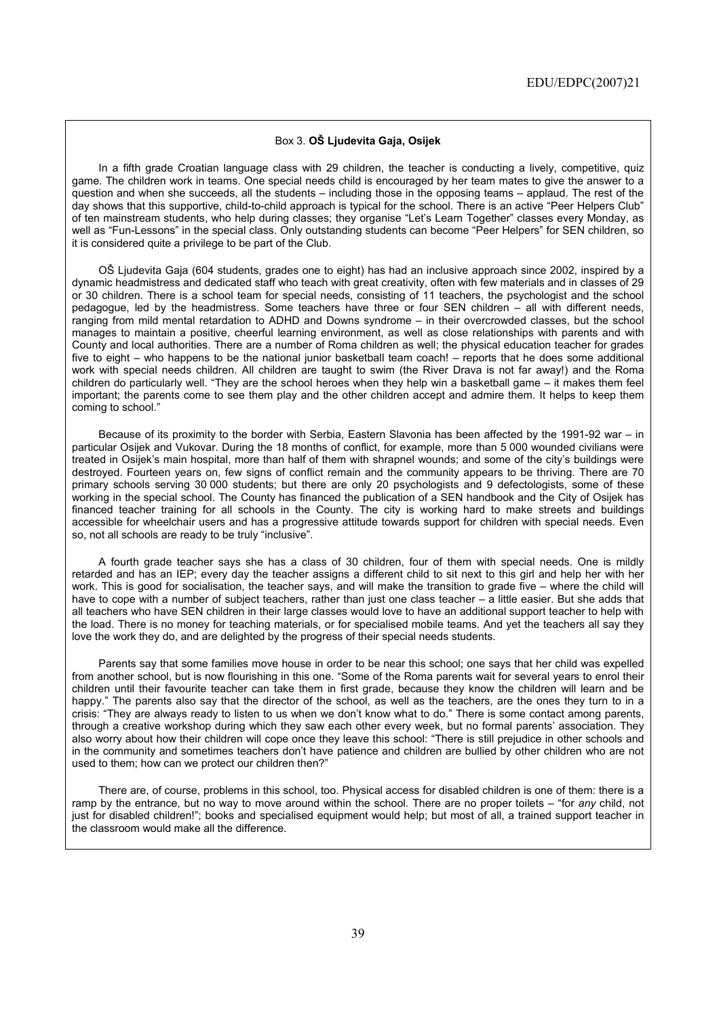#### Box 3. **Oä Ljudevita Gaja, Osijek**

In a fifth grade Croatian language class with 29 children, the teacher is conducting a lively, competitive, quiz game. The children work in teams. One special needs child is encouraged by her team mates to give the answer to a question and when she succeeds, all the students – including those in the opposing teams – applaud. The rest of the day shows that this supportive, child-to-child approach is typical for the school. There is an active "Peer Helpers Club" of ten mainstream students, who help during classes; they organise "Let's Learn Together" classes every Monday, as well as "Fun-Lessons" in the special class. Only outstanding students can become "Peer Helpers" for SEN children, so it is considered quite a privilege to be part of the Club.

Oä Ljudevita Gaja (604 students, grades one to eight) has had an inclusive approach since 2002, inspired by a dynamic headmistress and dedicated staff who teach with great creativity, often with few materials and in classes of 29 or 30 children. There is a school team for special needs, consisting of 11 teachers, the psychologist and the school pedagogue, led by the headmistress. Some teachers have three or four SEN children - all with different needs, ranging from mild mental retardation to ADHD and Downs syndrome – in their overcrowded classes, but the school manages to maintain a positive, cheerful learning environment, as well as close relationships with parents and with County and local authorities. There are a number of Roma children as well; the physical education teacher for grades five to eight – who happens to be the national junior basketball team coach! – reports that he does some additional work with special needs children. All children are taught to swim (the River Drava is not far away!) and the Roma children do particularly well. "They are the school heroes when they help win a basketball game  $-$  it makes them feel important; the parents come to see them play and the other children accept and admire them. It helps to keep them coming to school."

Because of its proximity to the border with Serbia, Eastern Slavonia has been affected by the 1991-92 war – in particular Osijek and Vukovar. During the 18 months of conflict, for example, more than 5 000 wounded civilians were treated in Osijekís main hospital, more than half of them with shrapnel wounds; and some of the cityís buildings were destroyed. Fourteen years on, few signs of conflict remain and the community appears to be thriving. There are 70 primary schools serving 30 000 students; but there are only 20 psychologists and 9 defectologists, some of these working in the special school. The County has financed the publication of a SEN handbook and the City of Osijek has financed teacher training for all schools in the County. The city is working hard to make streets and buildings accessible for wheelchair users and has a progressive attitude towards support for children with special needs. Even so, not all schools are ready to be truly "inclusive".

A fourth grade teacher says she has a class of 30 children, four of them with special needs. One is mildly retarded and has an IEP; every day the teacher assigns a different child to sit next to this girl and help her with her work. This is good for socialisation, the teacher says, and will make the transition to grade five – where the child will have to cope with a number of subject teachers, rather than just one class teacher - a little easier. But she adds that all teachers who have SEN children in their large classes would love to have an additional support teacher to help with the load. There is no money for teaching materials, or for specialised mobile teams. And yet the teachers all say they love the work they do, and are delighted by the progress of their special needs students.

Parents say that some families move house in order to be near this school; one says that her child was expelled from another school, but is now flourishing in this one. "Some of the Roma parents wait for several years to enrol their children until their favourite teacher can take them in first grade, because they know the children will learn and be happy." The parents also say that the director of the school, as well as the teachers, are the ones they turn to in a crisis: "They are always ready to listen to us when we don't know what to do." There is some contact among parents, through a creative workshop during which they saw each other every week, but no formal parentsí association. They also worry about how their children will cope once they leave this school: "There is still prejudice in other schools and in the community and sometimes teachers don't have patience and children are bullied by other children who are not used to them; how can we protect our children then?"

There are, of course, problems in this school, too. Physical access for disabled children is one of them: there is a ramp by the entrance, but no way to move around within the school. There are no proper toilets – "for *any* child, not just for disabled children!î; books and specialised equipment would help; but most of all, a trained support teacher in the classroom would make all the difference.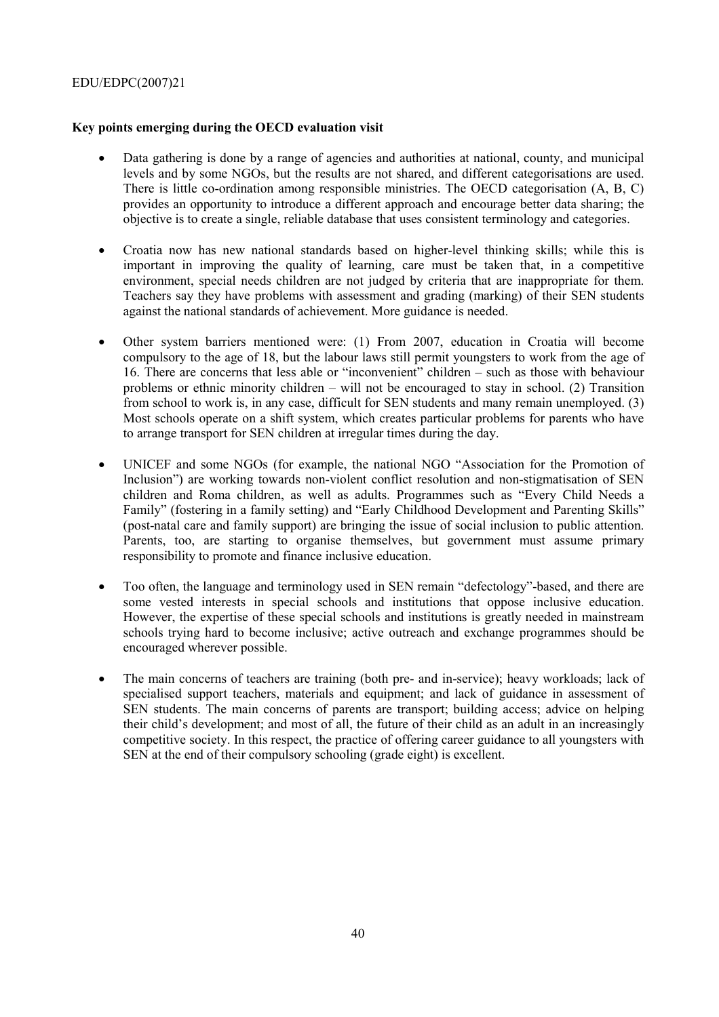## **Key points emerging during the OECD evaluation visit**

- Data gathering is done by a range of agencies and authorities at national, county, and municipal levels and by some NGOs, but the results are not shared, and different categorisations are used. There is little co-ordination among responsible ministries. The OECD categorisation (A, B, C) provides an opportunity to introduce a different approach and encourage better data sharing; the objective is to create a single, reliable database that uses consistent terminology and categories.
- Croatia now has new national standards based on higher-level thinking skills; while this is important in improving the quality of learning, care must be taken that, in a competitive environment, special needs children are not judged by criteria that are inappropriate for them. Teachers say they have problems with assessment and grading (marking) of their SEN students against the national standards of achievement. More guidance is needed.
- Other system barriers mentioned were: (1) From 2007, education in Croatia will become compulsory to the age of 18, but the labour laws still permit youngsters to work from the age of 16. There are concerns that less able or "inconvenient" children  $-$  such as those with behaviour problems or ethnic minority children  $-$  will not be encouraged to stay in school. (2) Transition from school to work is, in any case, difficult for SEN students and many remain unemployed. (3) Most schools operate on a shift system, which creates particular problems for parents who have to arrange transport for SEN children at irregular times during the day.
- UNICEF and some NGOs (for example, the national NGO "Association for the Promotion of Inclusion") are working towards non-violent conflict resolution and non-stigmatisation of SEN children and Roma children, as well as adults. Programmes such as "Every Child Needs a Family" (fostering in a family setting) and "Early Childhood Development and Parenting Skills" (post-natal care and family support) are bringing the issue of social inclusion to public attention. Parents, too, are starting to organise themselves, but government must assume primary responsibility to promote and finance inclusive education.
- Too often, the language and terminology used in SEN remain "defectology"-based, and there are some vested interests in special schools and institutions that oppose inclusive education. However, the expertise of these special schools and institutions is greatly needed in mainstream schools trying hard to become inclusive; active outreach and exchange programmes should be encouraged wherever possible.
- The main concerns of teachers are training (both pre- and in-service); heavy workloads; lack of specialised support teachers, materials and equipment; and lack of guidance in assessment of SEN students. The main concerns of parents are transport; building access; advice on helping their child's development; and most of all, the future of their child as an adult in an increasingly competitive society. In this respect, the practice of offering career guidance to all youngsters with SEN at the end of their compulsory schooling (grade eight) is excellent.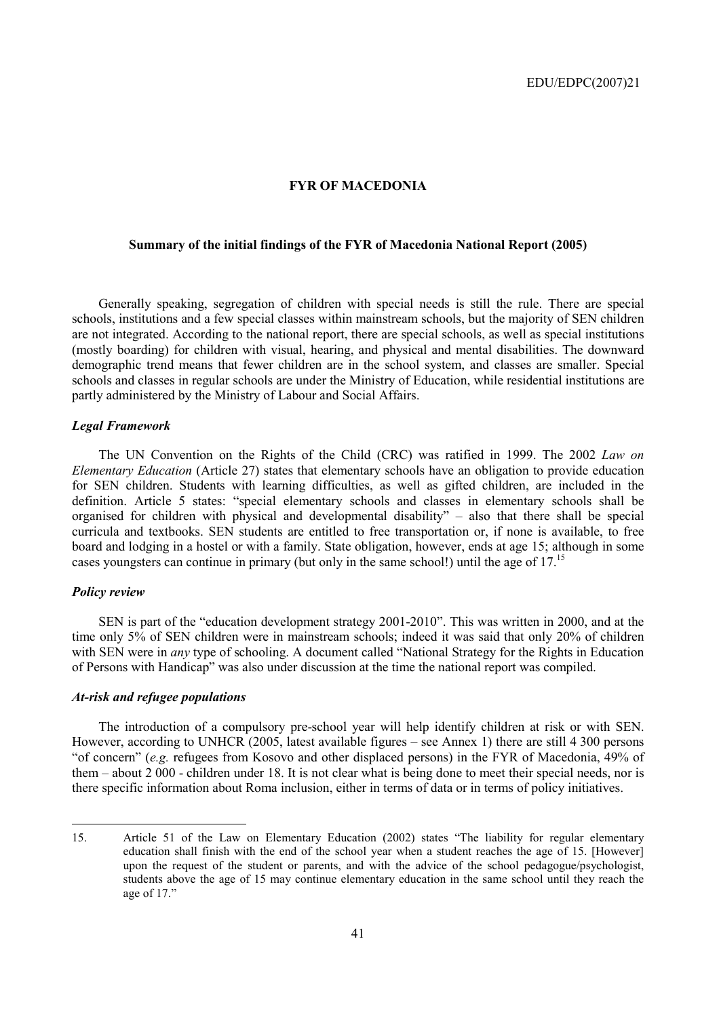### **FYR OF MACEDONIA**

## **Summary of the initial findings of the FYR of Macedonia National Report (2005)**

Generally speaking, segregation of children with special needs is still the rule. There are special schools, institutions and a few special classes within mainstream schools, but the majority of SEN children are not integrated. According to the national report, there are special schools, as well as special institutions (mostly boarding) for children with visual, hearing, and physical and mental disabilities. The downward demographic trend means that fewer children are in the school system, and classes are smaller. Special schools and classes in regular schools are under the Ministry of Education, while residential institutions are partly administered by the Ministry of Labour and Social Affairs.

### *Legal Framework*

The UN Convention on the Rights of the Child (CRC) was ratified in 1999. The 2002 *Law on Elementary Education* (Article 27) states that elementary schools have an obligation to provide education for SEN children. Students with learning difficulties, as well as gifted children, are included in the definition. Article 5 states: "special elementary schools and classes in elementary schools shall be organised for children with physical and developmental disability"  $-$  also that there shall be special curricula and textbooks. SEN students are entitled to free transportation or, if none is available, to free board and lodging in a hostel or with a family. State obligation, however, ends at age 15; although in some cases youngsters can continue in primary (but only in the same school!) until the age of 17.<sup>15</sup>

## *Policy review*

SEN is part of the "education development strategy 2001-2010". This was written in 2000, and at the time only 5% of SEN children were in mainstream schools; indeed it was said that only 20% of children with SEN were in *any* type of schooling. A document called "National Strategy for the Rights in Education of Persons with Handicapî was also under discussion at the time the national report was compiled.

### *At-risk and refugee populations*

The introduction of a compulsory pre-school year will help identify children at risk or with SEN. However, according to UNHCR  $(2005)$ , latest available figures – see Annex 1) there are still 4 300 persons ìof concernî (*e.g.* refugees from Kosovo and other displaced persons) in the FYR of Macedonia, 49% of them – about 2 000 - children under 18. It is not clear what is being done to meet their special needs, nor is there specific information about Roma inclusion, either in terms of data or in terms of policy initiatives.

<sup>15.</sup> Article 51 of the Law on Elementary Education (2002) states "The liability for regular elementary education shall finish with the end of the school year when a student reaches the age of 15. [However] upon the request of the student or parents, and with the advice of the school pedagogue/psychologist, students above the age of 15 may continue elementary education in the same school until they reach the age of  $17$ ."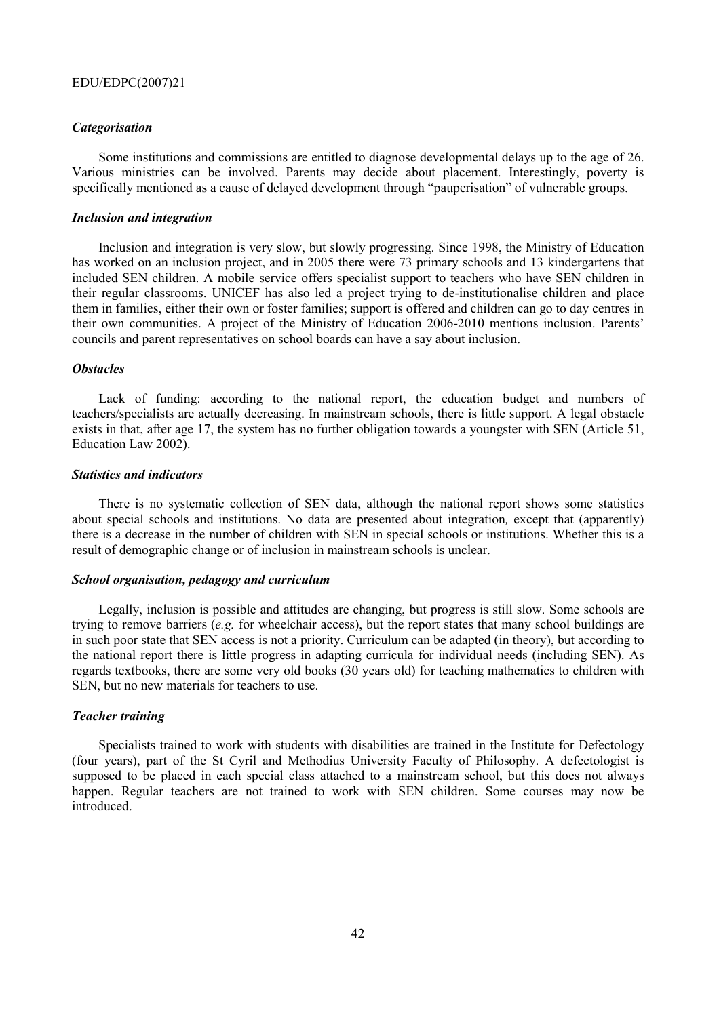#### *Categorisation*

Some institutions and commissions are entitled to diagnose developmental delays up to the age of 26. Various ministries can be involved. Parents may decide about placement. Interestingly, poverty is specifically mentioned as a cause of delayed development through "pauperisation" of vulnerable groups.

## *Inclusion and integration*

Inclusion and integration is very slow, but slowly progressing. Since 1998, the Ministry of Education has worked on an inclusion project, and in 2005 there were 73 primary schools and 13 kindergartens that included SEN children. A mobile service offers specialist support to teachers who have SEN children in their regular classrooms. UNICEF has also led a project trying to de-institutionalise children and place them in families, either their own or foster families; support is offered and children can go to day centres in their own communities. A project of the Ministry of Education 2006-2010 mentions inclusion. Parents' councils and parent representatives on school boards can have a say about inclusion.

#### *Obstacles*

Lack of funding: according to the national report, the education budget and numbers of teachers/specialists are actually decreasing. In mainstream schools, there is little support. A legal obstacle exists in that, after age 17, the system has no further obligation towards a youngster with SEN (Article 51, Education Law 2002).

#### *Statistics and indicators*

There is no systematic collection of SEN data, although the national report shows some statistics about special schools and institutions. No data are presented about integration*,* except that (apparently) there is a decrease in the number of children with SEN in special schools or institutions. Whether this is a result of demographic change or of inclusion in mainstream schools is unclear.

#### *School organisation, pedagogy and curriculum*

Legally, inclusion is possible and attitudes are changing, but progress is still slow. Some schools are trying to remove barriers (*e.g.* for wheelchair access), but the report states that many school buildings are in such poor state that SEN access is not a priority. Curriculum can be adapted (in theory), but according to the national report there is little progress in adapting curricula for individual needs (including SEN). As regards textbooks, there are some very old books (30 years old) for teaching mathematics to children with SEN, but no new materials for teachers to use.

### *Teacher training*

Specialists trained to work with students with disabilities are trained in the Institute for Defectology (four years), part of the St Cyril and Methodius University Faculty of Philosophy. A defectologist is supposed to be placed in each special class attached to a mainstream school, but this does not always happen. Regular teachers are not trained to work with SEN children. Some courses may now be introduced.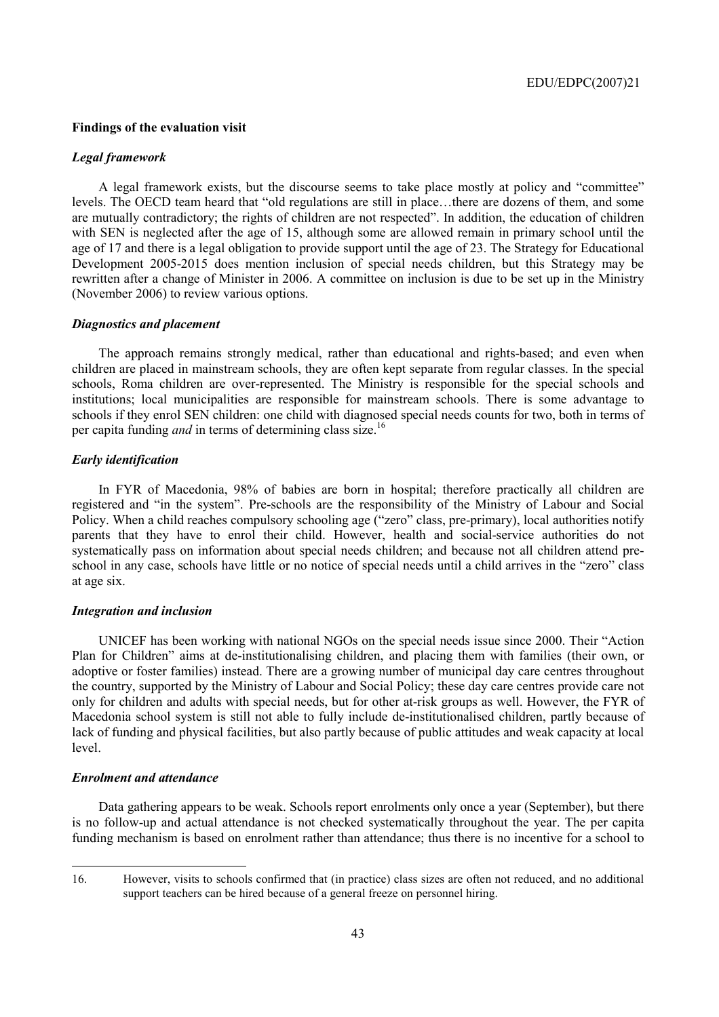#### **Findings of the evaluation visit**

#### *Legal framework*

A legal framework exists, but the discourse seems to take place mostly at policy and "committee" levels. The OECD team heard that "old regulations are still in place...there are dozens of them, and some are mutually contradictory; the rights of children are not respected". In addition, the education of children with SEN is neglected after the age of 15, although some are allowed remain in primary school until the age of 17 and there is a legal obligation to provide support until the age of 23. The Strategy for Educational Development 2005-2015 does mention inclusion of special needs children, but this Strategy may be rewritten after a change of Minister in 2006. A committee on inclusion is due to be set up in the Ministry (November 2006) to review various options.

#### *Diagnostics and placement*

The approach remains strongly medical, rather than educational and rights-based; and even when children are placed in mainstream schools, they are often kept separate from regular classes. In the special schools, Roma children are over-represented. The Ministry is responsible for the special schools and institutions; local municipalities are responsible for mainstream schools. There is some advantage to schools if they enrol SEN children: one child with diagnosed special needs counts for two, both in terms of per capita funding *and* in terms of determining class size.<sup>16</sup>

#### *Early identification*

In FYR of Macedonia, 98% of babies are born in hospital; therefore practically all children are registered and "in the system". Pre-schools are the responsibility of the Ministry of Labour and Social Policy. When a child reaches compulsory schooling age ("zero" class, pre-primary), local authorities notify parents that they have to enrol their child. However, health and social-service authorities do not systematically pass on information about special needs children; and because not all children attend preschool in any case, schools have little or no notice of special needs until a child arrives in the "zero" class at age six.

### *Integration and inclusion*

UNICEF has been working with national NGOs on the special needs issue since 2000. Their "Action" Plan for Children" aims at de-institutionalising children, and placing them with families (their own, or adoptive or foster families) instead. There are a growing number of municipal day care centres throughout the country, supported by the Ministry of Labour and Social Policy; these day care centres provide care not only for children and adults with special needs, but for other at-risk groups as well. However, the FYR of Macedonia school system is still not able to fully include de-institutionalised children, partly because of lack of funding and physical facilities, but also partly because of public attitudes and weak capacity at local level.

#### *Enrolment and attendance*

 $\overline{a}$ 

Data gathering appears to be weak. Schools report enrolments only once a year (September), but there is no follow-up and actual attendance is not checked systematically throughout the year. The per capita funding mechanism is based on enrolment rather than attendance; thus there is no incentive for a school to

<sup>16.</sup> However, visits to schools confirmed that (in practice) class sizes are often not reduced, and no additional support teachers can be hired because of a general freeze on personnel hiring.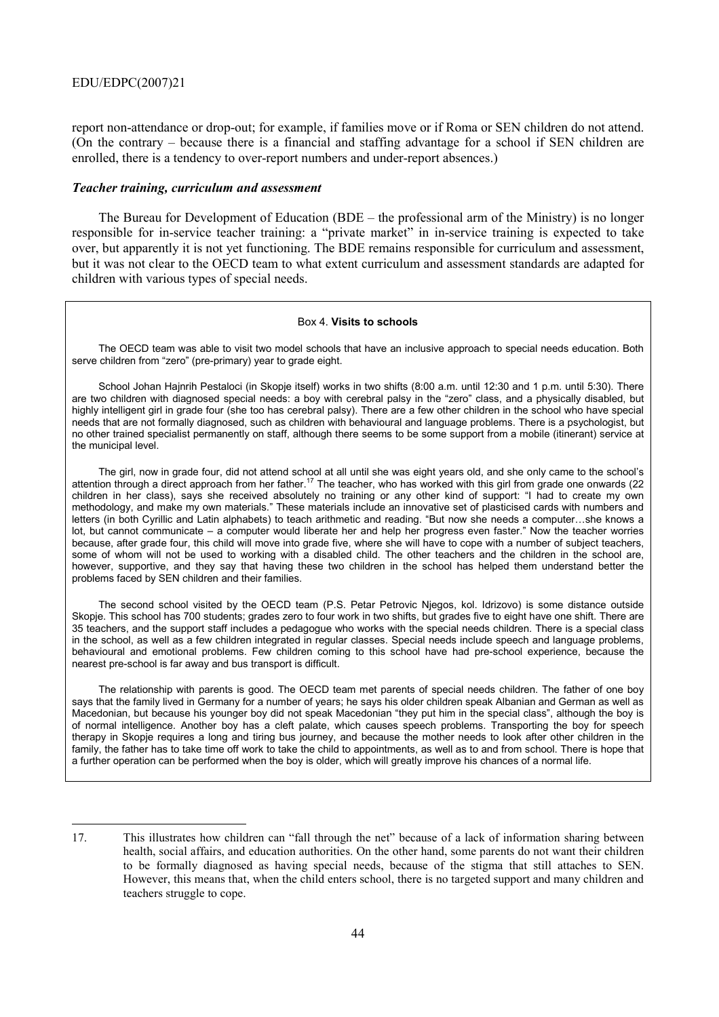report non-attendance or drop-out; for example, if families move or if Roma or SEN children do not attend. (On the contrary  $-$  because there is a financial and staffing advantage for a school if SEN children are enrolled, there is a tendency to over-report numbers and under-report absences.)

#### *Teacher training, curriculum and assessment*

The Bureau for Development of Education (BDE  $-$  the professional arm of the Ministry) is no longer responsible for in-service teacher training: a "private market" in in-service training is expected to take over, but apparently it is not yet functioning. The BDE remains responsible for curriculum and assessment, but it was not clear to the OECD team to what extent curriculum and assessment standards are adapted for children with various types of special needs.

#### Box 4. **Visits to schools**

The OECD team was able to visit two model schools that have an inclusive approach to special needs education. Both serve children from "zero" (pre-primary) year to grade eight.

School Johan Hajnrih Pestaloci (in Skopje itself) works in two shifts (8:00 a.m. until 12:30 and 1 p.m. until 5:30). There are two children with diagnosed special needs: a boy with cerebral palsy in the "zero" class, and a physically disabled, but highly intelligent girl in grade four (she too has cerebral palsy). There are a few other children in the school who have special needs that are not formally diagnosed, such as children with behavioural and language problems. There is a psychologist, but no other trained specialist permanently on staff, although there seems to be some support from a mobile (itinerant) service at the municipal level.

The girl, now in grade four, did not attend school at all until she was eight years old, and she only came to the schoolís attention through a direct approach from her father.<sup>17</sup> The teacher, who has worked with this girl from grade one onwards (22 children in her class), says she received absolutely no training or any other kind of support: "I had to create my own methodology, and make my own materials." These materials include an innovative set of plasticised cards with numbers and letters (in both Cyrillic and Latin alphabets) to teach arithmetic and reading. "But now she needs a computer...she knows a lot, but cannot communicate  $-$  a computer would liberate her and help her progress even faster." Now the teacher worries because, after grade four, this child will move into grade five, where she will have to cope with a number of subject teachers, some of whom will not be used to working with a disabled child. The other teachers and the children in the school are, however, supportive, and they say that having these two children in the school has helped them understand better the problems faced by SEN children and their families.

The second school visited by the OECD team (P.S. Petar Petrovic Njegos, kol. Idrizovo) is some distance outside Skopje. This school has 700 students; grades zero to four work in two shifts, but grades five to eight have one shift. There are 35 teachers, and the support staff includes a pedagogue who works with the special needs children. There is a special class in the school, as well as a few children integrated in regular classes. Special needs include speech and language problems, behavioural and emotional problems. Few children coming to this school have had pre-school experience, because the nearest pre-school is far away and bus transport is difficult.

The relationship with parents is good. The OECD team met parents of special needs children. The father of one boy says that the family lived in Germany for a number of years; he says his older children speak Albanian and German as well as Macedonian, but because his younger boy did not speak Macedonian "they put him in the special class", although the boy is of normal intelligence. Another boy has a cleft palate, which causes speech problems. Transporting the boy for speech therapy in Skopje requires a long and tiring bus journey, and because the mother needs to look after other children in the family, the father has to take time off work to take the child to appointments, as well as to and from school. There is hope that a further operation can be performed when the boy is older, which will greatly improve his chances of a normal life.

<sup>17.</sup> This illustrates how children can "fall through the net" because of a lack of information sharing between health, social affairs, and education authorities. On the other hand, some parents do not want their children to be formally diagnosed as having special needs, because of the stigma that still attaches to SEN. However, this means that, when the child enters school, there is no targeted support and many children and teachers struggle to cope.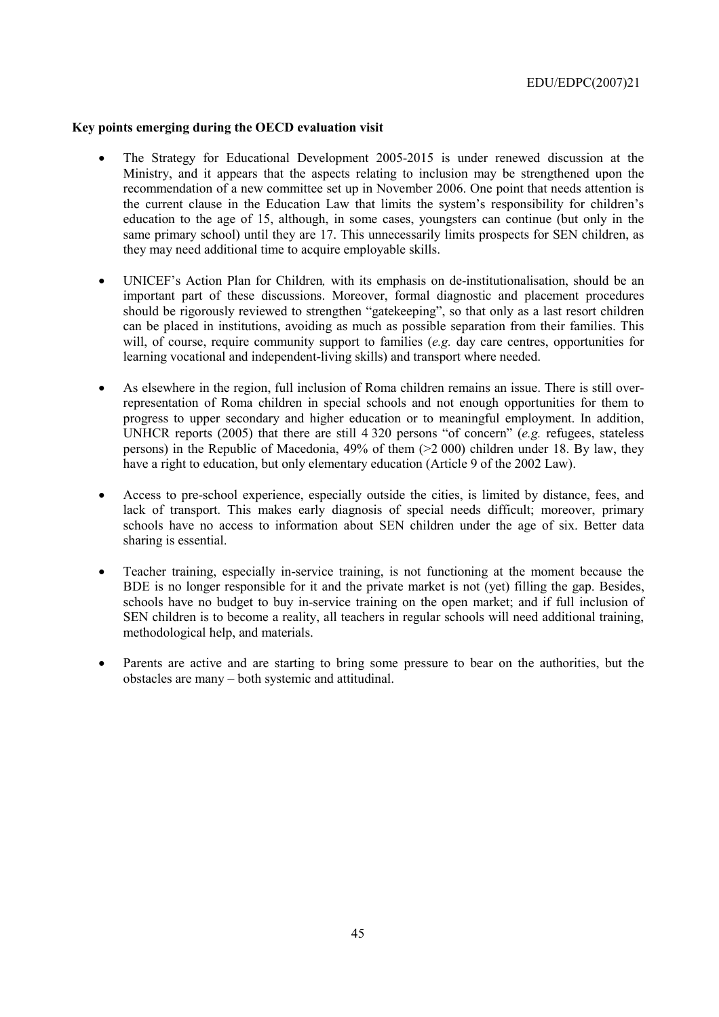## **Key points emerging during the OECD evaluation visit**

- The Strategy for Educational Development 2005-2015 is under renewed discussion at the Ministry, and it appears that the aspects relating to inclusion may be strengthened upon the recommendation of a new committee set up in November 2006. One point that needs attention is the current clause in the Education Law that limits the system's responsibility for children's education to the age of 15, although, in some cases, youngsters can continue (but only in the same primary school) until they are 17. This unnecessarily limits prospects for SEN children, as they may need additional time to acquire employable skills.
- UNICEF's Action Plan for Children, with its emphasis on de-institutionalisation, should be an important part of these discussions. Moreover, formal diagnostic and placement procedures should be rigorously reviewed to strengthen "gatekeeping", so that only as a last resort children can be placed in institutions, avoiding as much as possible separation from their families. This will, of course, require community support to families (*e.g.* day care centres, opportunities for learning vocational and independent-living skills) and transport where needed.
- As elsewhere in the region, full inclusion of Roma children remains an issue. There is still overrepresentation of Roma children in special schools and not enough opportunities for them to progress to upper secondary and higher education or to meaningful employment. In addition, UNHCR reports (2005) that there are still 4 320 persons "of concern" (*e.g.* refugees, stateless persons) in the Republic of Macedonia, 49% of them (>2 000) children under 18. By law, they have a right to education, but only elementary education (Article 9 of the 2002 Law).
- Access to pre-school experience, especially outside the cities, is limited by distance, fees, and lack of transport. This makes early diagnosis of special needs difficult; moreover, primary schools have no access to information about SEN children under the age of six. Better data sharing is essential.
- Teacher training, especially in-service training, is not functioning at the moment because the BDE is no longer responsible for it and the private market is not (yet) filling the gap. Besides, schools have no budget to buy in-service training on the open market; and if full inclusion of SEN children is to become a reality, all teachers in regular schools will need additional training, methodological help, and materials.
- Parents are active and are starting to bring some pressure to bear on the authorities, but the obstacles are many – both systemic and attitudinal.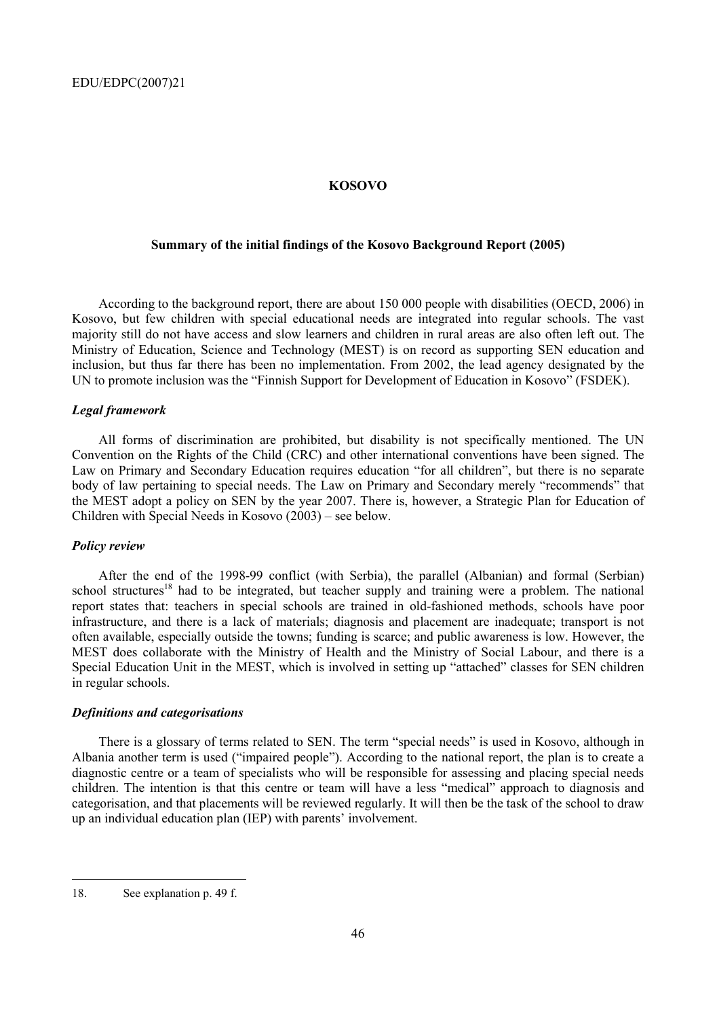### **KOSOVO**

## **Summary of the initial findings of the Kosovo Background Report (2005)**

According to the background report, there are about 150 000 people with disabilities (OECD, 2006) in Kosovo, but few children with special educational needs are integrated into regular schools. The vast majority still do not have access and slow learners and children in rural areas are also often left out. The Ministry of Education, Science and Technology (MEST) is on record as supporting SEN education and inclusion, but thus far there has been no implementation. From 2002, the lead agency designated by the UN to promote inclusion was the "Finnish Support for Development of Education in Kosovo" (FSDEK).

### *Legal framework*

All forms of discrimination are prohibited, but disability is not specifically mentioned. The UN Convention on the Rights of the Child (CRC) and other international conventions have been signed. The Law on Primary and Secondary Education requires education "for all children", but there is no separate body of law pertaining to special needs. The Law on Primary and Secondary merely "recommends" that the MEST adopt a policy on SEN by the year 2007. There is, however, a Strategic Plan for Education of Children with Special Needs in Kosovo  $(2003)$  – see below.

#### *Policy review*

After the end of the 1998-99 conflict (with Serbia), the parallel (Albanian) and formal (Serbian) school structures<sup>18</sup> had to be integrated, but teacher supply and training were a problem. The national report states that: teachers in special schools are trained in old-fashioned methods, schools have poor infrastructure, and there is a lack of materials; diagnosis and placement are inadequate; transport is not often available, especially outside the towns; funding is scarce; and public awareness is low. However, the MEST does collaborate with the Ministry of Health and the Ministry of Social Labour, and there is a Special Education Unit in the MEST, which is involved in setting up "attached" classes for SEN children in regular schools.

### *Definitions and categorisations*

There is a glossary of terms related to SEN. The term "special needs" is used in Kosovo, although in Albania another term is used ("impaired people"). According to the national report, the plan is to create a diagnostic centre or a team of specialists who will be responsible for assessing and placing special needs children. The intention is that this centre or team will have a less "medical" approach to diagnosis and categorisation, and that placements will be reviewed regularly. It will then be the task of the school to draw up an individual education plan (IEP) with parents' involvement.

<sup>18.</sup> See explanation p. 49 f.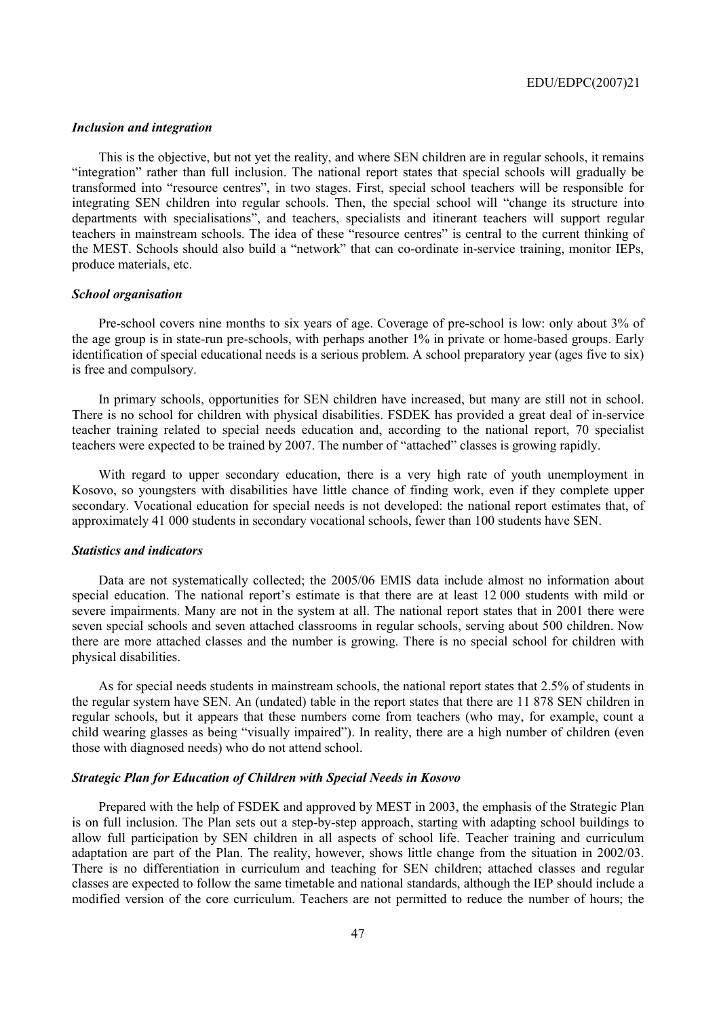#### *Inclusion and integration*

This is the objective, but not yet the reality, and where SEN children are in regular schools, it remains ìintegrationî rather than full inclusion. The national report states that special schools will gradually be transformed into "resource centres", in two stages. First, special school teachers will be responsible for integrating SEN children into regular schools. Then, the special school will "change its structure into departments with specialisations", and teachers, specialists and itinerant teachers will support regular teachers in mainstream schools. The idea of these "resource centres" is central to the current thinking of the MEST. Schools should also build a "network" that can co-ordinate in-service training, monitor IEPs, produce materials, etc.

#### *School organisation*

Pre-school covers nine months to six years of age. Coverage of pre-school is low: only about 3% of the age group is in state-run pre-schools, with perhaps another 1% in private or home-based groups. Early identification of special educational needs is a serious problem. A school preparatory year (ages five to six) is free and compulsory.

In primary schools, opportunities for SEN children have increased, but many are still not in school. There is no school for children with physical disabilities. FSDEK has provided a great deal of in-service teacher training related to special needs education and, according to the national report, 70 specialist teachers were expected to be trained by 2007. The number of "attached" classes is growing rapidly.

With regard to upper secondary education, there is a very high rate of youth unemployment in Kosovo, so youngsters with disabilities have little chance of finding work, even if they complete upper secondary. Vocational education for special needs is not developed: the national report estimates that, of approximately 41 000 students in secondary vocational schools, fewer than 100 students have SEN.

## *Statistics and indicators*

Data are not systematically collected; the 2005/06 EMIS data include almost no information about special education. The national report's estimate is that there are at least 12 000 students with mild or severe impairments. Many are not in the system at all. The national report states that in 2001 there were seven special schools and seven attached classrooms in regular schools, serving about 500 children. Now there are more attached classes and the number is growing. There is no special school for children with physical disabilities.

As for special needs students in mainstream schools, the national report states that 2.5% of students in the regular system have SEN. An (undated) table in the report states that there are 11 878 SEN children in regular schools, but it appears that these numbers come from teachers (who may, for example, count a child wearing glasses as being "visually impaired"). In reality, there are a high number of children (even those with diagnosed needs) who do not attend school.

## *Strategic Plan for Education of Children with Special Needs in Kosovo*

Prepared with the help of FSDEK and approved by MEST in 2003, the emphasis of the Strategic Plan is on full inclusion. The Plan sets out a step-by-step approach, starting with adapting school buildings to allow full participation by SEN children in all aspects of school life. Teacher training and curriculum adaptation are part of the Plan. The reality, however, shows little change from the situation in 2002/03. There is no differentiation in curriculum and teaching for SEN children; attached classes and regular classes are expected to follow the same timetable and national standards, although the IEP should include a modified version of the core curriculum. Teachers are not permitted to reduce the number of hours; the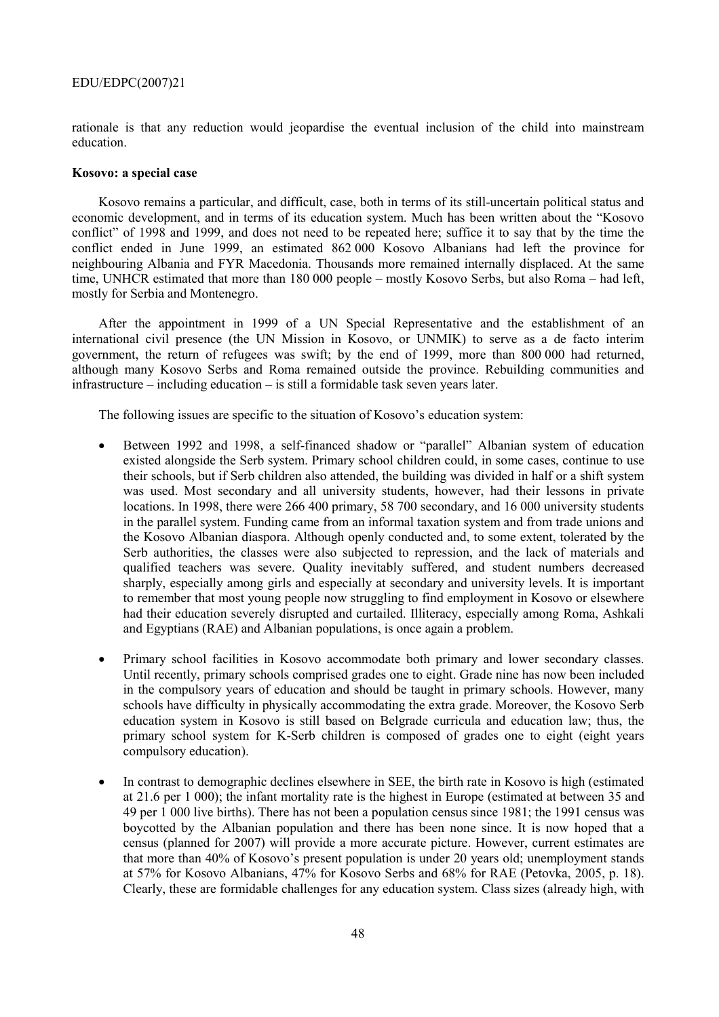rationale is that any reduction would jeopardise the eventual inclusion of the child into mainstream education.

#### **Kosovo: a special case**

Kosovo remains a particular, and difficult, case, both in terms of its still-uncertain political status and economic development, and in terms of its education system. Much has been written about the "Kosovo conflict" of 1998 and 1999, and does not need to be repeated here; suffice it to say that by the time the conflict ended in June 1999, an estimated 862 000 Kosovo Albanians had left the province for neighbouring Albania and FYR Macedonia. Thousands more remained internally displaced. At the same time, UNHCR estimated that more than 180 000 people – mostly Kosovo Serbs, but also Roma – had left, mostly for Serbia and Montenegro.

After the appointment in 1999 of a UN Special Representative and the establishment of an international civil presence (the UN Mission in Kosovo, or UNMIK) to serve as a de facto interim government, the return of refugees was swift; by the end of 1999, more than 800 000 had returned, although many Kosovo Serbs and Roma remained outside the province. Rebuilding communities and  $in$  frastructure – including education – is still a formidable task seven years later.

The following issues are specific to the situation of Kosovo's education system:

- Between 1992 and 1998, a self-financed shadow or "parallel" Albanian system of education existed alongside the Serb system. Primary school children could, in some cases, continue to use their schools, but if Serb children also attended, the building was divided in half or a shift system was used. Most secondary and all university students, however, had their lessons in private locations. In 1998, there were 266 400 primary, 58 700 secondary, and 16 000 university students in the parallel system. Funding came from an informal taxation system and from trade unions and the Kosovo Albanian diaspora. Although openly conducted and, to some extent, tolerated by the Serb authorities, the classes were also subjected to repression, and the lack of materials and qualified teachers was severe. Quality inevitably suffered, and student numbers decreased sharply, especially among girls and especially at secondary and university levels. It is important to remember that most young people now struggling to find employment in Kosovo or elsewhere had their education severely disrupted and curtailed. Illiteracy, especially among Roma, Ashkali and Egyptians (RAE) and Albanian populations, is once again a problem.
- Primary school facilities in Kosovo accommodate both primary and lower secondary classes. Until recently, primary schools comprised grades one to eight. Grade nine has now been included in the compulsory years of education and should be taught in primary schools. However, many schools have difficulty in physically accommodating the extra grade. Moreover, the Kosovo Serb education system in Kosovo is still based on Belgrade curricula and education law; thus, the primary school system for K-Serb children is composed of grades one to eight (eight years compulsory education).
- In contrast to demographic declines elsewhere in SEE, the birth rate in Kosovo is high (estimated at 21.6 per 1 000); the infant mortality rate is the highest in Europe (estimated at between 35 and 49 per 1 000 live births). There has not been a population census since 1981; the 1991 census was boycotted by the Albanian population and there has been none since. It is now hoped that a census (planned for 2007) will provide a more accurate picture. However, current estimates are that more than 40% of Kosovo's present population is under 20 years old; unemployment stands at 57% for Kosovo Albanians, 47% for Kosovo Serbs and 68% for RAE (Petovka, 2005, p. 18). Clearly, these are formidable challenges for any education system. Class sizes (already high, with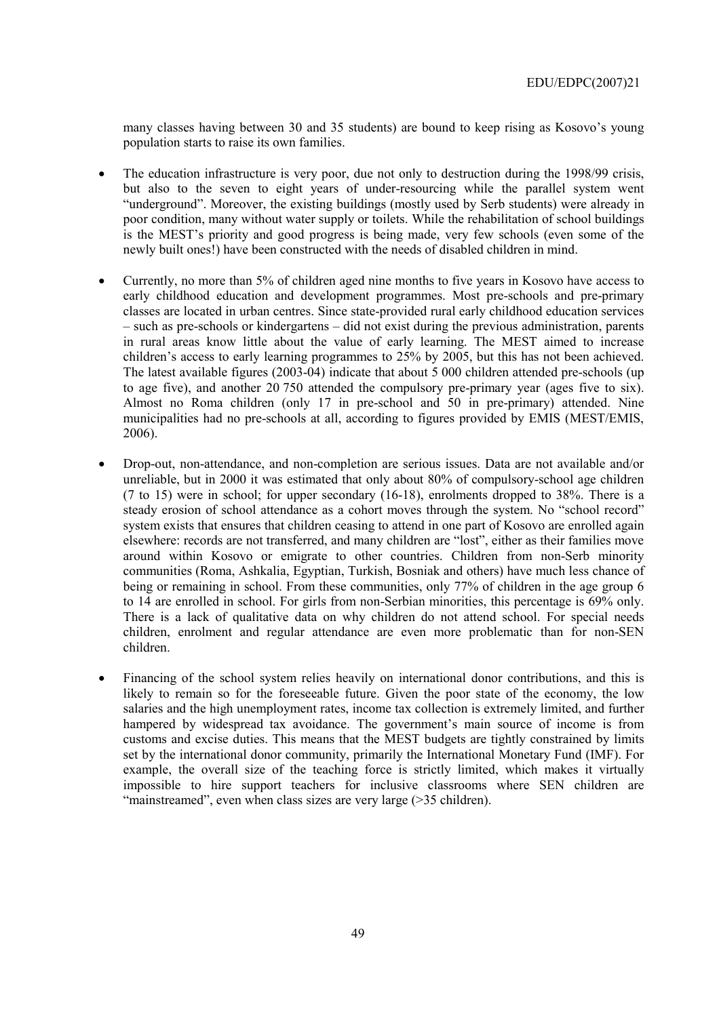many classes having between 30 and 35 students) are bound to keep rising as Kosovo's young population starts to raise its own families.

- The education infrastructure is very poor, due not only to destruction during the 1998/99 crisis, but also to the seven to eight years of under-resourcing while the parallel system went "underground". Moreover, the existing buildings (mostly used by Serb students) were already in poor condition, many without water supply or toilets. While the rehabilitation of school buildings is the MEST's priority and good progress is being made, very few schools (even some of the newly built ones!) have been constructed with the needs of disabled children in mind.
- Currently, no more than 5% of children aged nine months to five years in Kosovo have access to early childhood education and development programmes. Most pre-schools and pre-primary classes are located in urban centres. Since state-provided rural early childhood education services – such as pre-schools or kindergartens – did not exist during the previous administration, parents in rural areas know little about the value of early learning. The MEST aimed to increase children's access to early learning programmes to 25% by 2005, but this has not been achieved. The latest available figures (2003-04) indicate that about 5 000 children attended pre-schools (up to age five), and another 20 750 attended the compulsory pre-primary year (ages five to six). Almost no Roma children (only 17 in pre-school and 50 in pre-primary) attended. Nine municipalities had no pre-schools at all, according to figures provided by EMIS (MEST/EMIS, 2006).
- Drop-out, non-attendance, and non-completion are serious issues. Data are not available and/or unreliable, but in 2000 it was estimated that only about 80% of compulsory-school age children (7 to 15) were in school; for upper secondary (16-18), enrolments dropped to 38%. There is a steady erosion of school attendance as a cohort moves through the system. No "school record" system exists that ensures that children ceasing to attend in one part of Kosovo are enrolled again elsewhere: records are not transferred, and many children are "lost", either as their families move around within Kosovo or emigrate to other countries. Children from non-Serb minority communities (Roma, Ashkalia, Egyptian, Turkish, Bosniak and others) have much less chance of being or remaining in school. From these communities, only 77% of children in the age group 6 to 14 are enrolled in school. For girls from non-Serbian minorities, this percentage is 69% only. There is a lack of qualitative data on why children do not attend school. For special needs children, enrolment and regular attendance are even more problematic than for non-SEN children.
- Financing of the school system relies heavily on international donor contributions, and this is likely to remain so for the foreseeable future. Given the poor state of the economy, the low salaries and the high unemployment rates, income tax collection is extremely limited, and further hampered by widespread tax avoidance. The government's main source of income is from customs and excise duties. This means that the MEST budgets are tightly constrained by limits set by the international donor community, primarily the International Monetary Fund (IMF). For example, the overall size of the teaching force is strictly limited, which makes it virtually impossible to hire support teachers for inclusive classrooms where SEN children are  $\cdot$  "mainstreamed", even when class sizes are very large ( $>$ 35 children).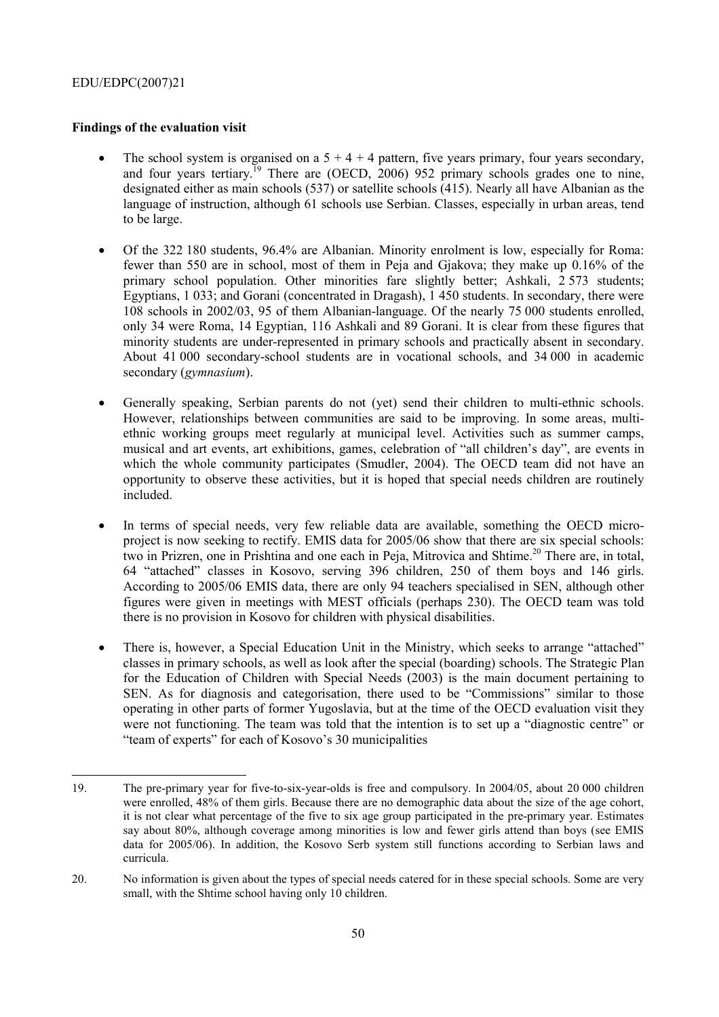## **Findings of the evaluation visit**

- The school system is organised on a  $5 + 4 + 4$  pattern, five years primary, four years secondary, and four years tertiary.<sup>19</sup> There are (OECD, 2006) 952 primary schools grades one to nine, designated either as main schools (537) or satellite schools (415). Nearly all have Albanian as the language of instruction, although 61 schools use Serbian. Classes, especially in urban areas, tend to be large.
- Of the 322 180 students, 96.4% are Albanian. Minority enrolment is low, especially for Roma: fewer than 550 are in school, most of them in Peja and Gjakova; they make up 0.16% of the primary school population. Other minorities fare slightly better; Ashkali, 2 573 students; Egyptians, 1 033; and Gorani (concentrated in Dragash), 1 450 students. In secondary, there were 108 schools in 2002/03, 95 of them Albanian-language. Of the nearly 75 000 students enrolled, only 34 were Roma, 14 Egyptian, 116 Ashkali and 89 Gorani. It is clear from these figures that minority students are under-represented in primary schools and practically absent in secondary. About 41 000 secondary-school students are in vocational schools, and 34 000 in academic secondary (*gymnasium*).
- Generally speaking, Serbian parents do not (yet) send their children to multi-ethnic schools. However, relationships between communities are said to be improving. In some areas, multiethnic working groups meet regularly at municipal level. Activities such as summer camps, musical and art events, art exhibitions, games, celebration of "all children's day", are events in which the whole community participates (Smudler, 2004). The OECD team did not have an opportunity to observe these activities, but it is hoped that special needs children are routinely included.
- In terms of special needs, very few reliable data are available, something the OECD microproject is now seeking to rectify. EMIS data for 2005/06 show that there are six special schools: two in Prizren, one in Prishtina and one each in Peja, Mitrovica and Shtime.<sup>20</sup> There are, in total, 64 "attached" classes in Kosovo, serving 396 children, 250 of them boys and 146 girls. According to 2005/06 EMIS data, there are only 94 teachers specialised in SEN, although other figures were given in meetings with MEST officials (perhaps 230). The OECD team was told there is no provision in Kosovo for children with physical disabilities.
- There is, however, a Special Education Unit in the Ministry, which seeks to arrange "attached" classes in primary schools, as well as look after the special (boarding) schools. The Strategic Plan for the Education of Children with Special Needs (2003) is the main document pertaining to SEN. As for diagnosis and categorisation, there used to be "Commissions" similar to those operating in other parts of former Yugoslavia, but at the time of the OECD evaluation visit they were not functioning. The team was told that the intention is to set up a "diagnostic centre" or "team of experts" for each of Kosovo's 30 municipalities

 19. The pre-primary year for five-to-six-year-olds is free and compulsory. In 2004/05, about 20 000 children were enrolled, 48% of them girls. Because there are no demographic data about the size of the age cohort, it is not clear what percentage of the five to six age group participated in the pre-primary year. Estimates say about 80%, although coverage among minorities is low and fewer girls attend than boys (see EMIS data for 2005/06). In addition, the Kosovo Serb system still functions according to Serbian laws and curricula.

<sup>20.</sup> No information is given about the types of special needs catered for in these special schools. Some are very small, with the Shtime school having only 10 children.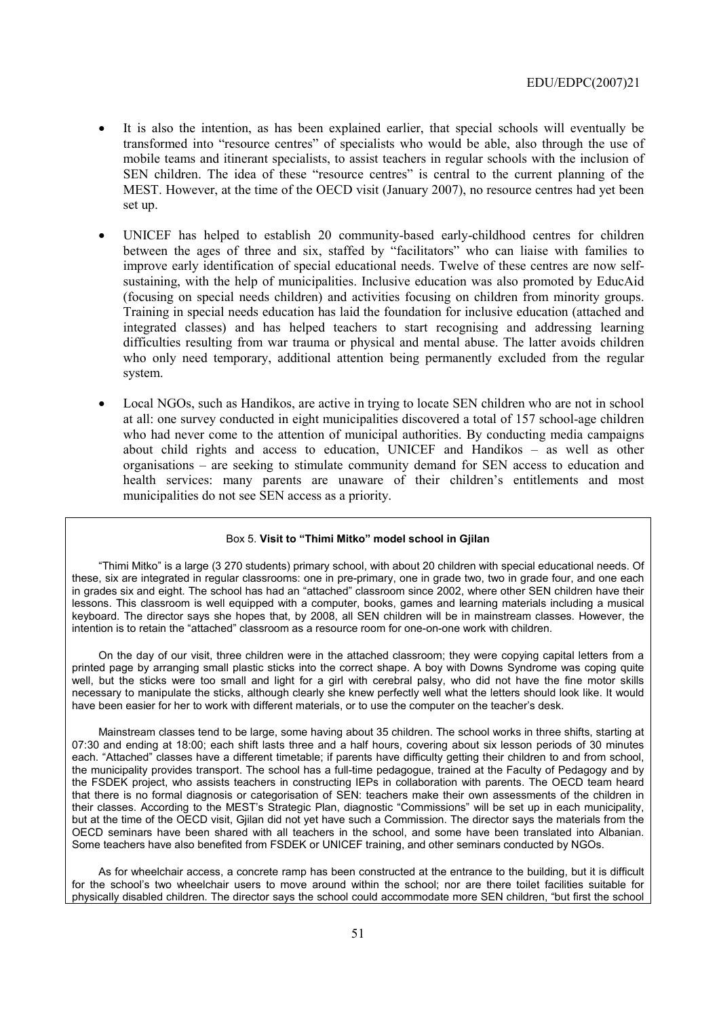- It is also the intention, as has been explained earlier, that special schools will eventually be transformed into "resource centres" of specialists who would be able, also through the use of mobile teams and itinerant specialists, to assist teachers in regular schools with the inclusion of SEN children. The idea of these "resource centres" is central to the current planning of the MEST. However, at the time of the OECD visit (January 2007), no resource centres had yet been set up.
- UNICEF has helped to establish 20 community-based early-childhood centres for children between the ages of three and six, staffed by "facilitators" who can liaise with families to improve early identification of special educational needs. Twelve of these centres are now selfsustaining, with the help of municipalities. Inclusive education was also promoted by EducAid (focusing on special needs children) and activities focusing on children from minority groups. Training in special needs education has laid the foundation for inclusive education (attached and integrated classes) and has helped teachers to start recognising and addressing learning difficulties resulting from war trauma or physical and mental abuse. The latter avoids children who only need temporary, additional attention being permanently excluded from the regular system.
- Local NGOs, such as Handikos, are active in trying to locate SEN children who are not in school at all: one survey conducted in eight municipalities discovered a total of 157 school-age children who had never come to the attention of municipal authorities. By conducting media campaigns about child rights and access to education, UNICEF and Handikos  $-$  as well as other organisations  $-$  are seeking to stimulate community demand for SEN access to education and health services: many parents are unaware of their children's entitlements and most municipalities do not see SEN access as a priority.

#### Box 5. Visit to "Thimi Mitko" model school in Gjilan

ìThimi Mitkoî is a large (3 270 students) primary school, with about 20 children with special educational needs. Of these, six are integrated in regular classrooms: one in pre-primary, one in grade two, two in grade four, and one each in grades six and eight. The school has had an "attached" classroom since 2002, where other SEN children have their lessons. This classroom is well equipped with a computer, books, games and learning materials including a musical keyboard. The director says she hopes that, by 2008, all SEN children will be in mainstream classes. However, the intention is to retain the "attached" classroom as a resource room for one-on-one work with children.

On the day of our visit, three children were in the attached classroom; they were copying capital letters from a printed page by arranging small plastic sticks into the correct shape. A boy with Downs Syndrome was coping quite well, but the sticks were too small and light for a girl with cerebral palsy, who did not have the fine motor skills necessary to manipulate the sticks, although clearly she knew perfectly well what the letters should look like. It would have been easier for her to work with different materials, or to use the computer on the teacher's desk.

Mainstream classes tend to be large, some having about 35 children. The school works in three shifts, starting at 07:30 and ending at 18:00; each shift lasts three and a half hours, covering about six lesson periods of 30 minutes each. "Attached" classes have a different timetable; if parents have difficulty getting their children to and from school, the municipality provides transport. The school has a full-time pedagogue, trained at the Faculty of Pedagogy and by the FSDEK project, who assists teachers in constructing IEPs in collaboration with parents. The OECD team heard that there is no formal diagnosis or categorisation of SEN: teachers make their own assessments of the children in their classes. According to the MEST's Strategic Plan, diagnostic "Commissions" will be set up in each municipality, but at the time of the OECD visit, Gjilan did not yet have such a Commission. The director says the materials from the OECD seminars have been shared with all teachers in the school, and some have been translated into Albanian. Some teachers have also benefited from FSDEK or UNICEF training, and other seminars conducted by NGOs.

As for wheelchair access, a concrete ramp has been constructed at the entrance to the building, but it is difficult for the school's two wheelchair users to move around within the school; nor are there toilet facilities suitable for physically disabled children. The director says the school could accommodate more SEN children, "but first the school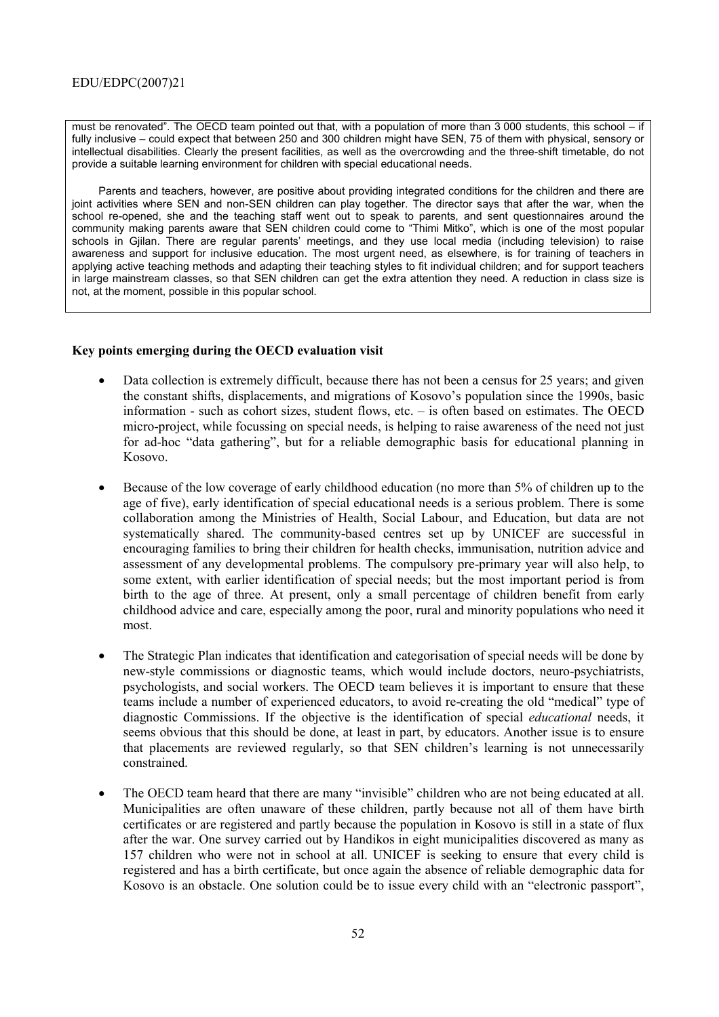must be renovated". The OECD team pointed out that, with a population of more than 3 000 students, this school – if fully inclusive – could expect that between 250 and 300 children might have SEN, 75 of them with physical, sensory or intellectual disabilities. Clearly the present facilities, as well as the overcrowding and the three-shift timetable, do not provide a suitable learning environment for children with special educational needs.

Parents and teachers, however, are positive about providing integrated conditions for the children and there are joint activities where SEN and non-SEN children can play together. The director says that after the war, when the school re-opened, she and the teaching staff went out to speak to parents, and sent questionnaires around the community making parents aware that SEN children could come to "Thimi Mitko", which is one of the most popular schools in Gjilan. There are regular parents' meetings, and they use local media (including television) to raise awareness and support for inclusive education. The most urgent need, as elsewhere, is for training of teachers in applying active teaching methods and adapting their teaching styles to fit individual children; and for support teachers in large mainstream classes, so that SEN children can get the extra attention they need. A reduction in class size is not, at the moment, possible in this popular school.

## **Key points emerging during the OECD evaluation visit**

- Data collection is extremely difficult, because there has not been a census for 25 years; and given the constant shifts, displacements, and migrations of Kosovo's population since the 1990s, basic information - such as cohort sizes, student flows, etc.  $-$  is often based on estimates. The OECD micro-project, while focussing on special needs, is helping to raise awareness of the need not just for ad-hoc "data gathering", but for a reliable demographic basis for educational planning in Kosovo.
- Because of the low coverage of early childhood education (no more than 5% of children up to the age of five), early identification of special educational needs is a serious problem. There is some collaboration among the Ministries of Health, Social Labour, and Education, but data are not systematically shared. The community-based centres set up by UNICEF are successful in encouraging families to bring their children for health checks, immunisation, nutrition advice and assessment of any developmental problems. The compulsory pre-primary year will also help, to some extent, with earlier identification of special needs; but the most important period is from birth to the age of three. At present, only a small percentage of children benefit from early childhood advice and care, especially among the poor, rural and minority populations who need it most.
- The Strategic Plan indicates that identification and categorisation of special needs will be done by new-style commissions or diagnostic teams, which would include doctors, neuro-psychiatrists, psychologists, and social workers. The OECD team believes it is important to ensure that these teams include a number of experienced educators, to avoid re-creating the old "medical" type of diagnostic Commissions. If the objective is the identification of special *educational* needs, it seems obvious that this should be done, at least in part, by educators. Another issue is to ensure that placements are reviewed regularly, so that SEN children's learning is not unnecessarily constrained.
- The OECD team heard that there are many "invisible" children who are not being educated at all. Municipalities are often unaware of these children, partly because not all of them have birth certificates or are registered and partly because the population in Kosovo is still in a state of flux after the war. One survey carried out by Handikos in eight municipalities discovered as many as 157 children who were not in school at all. UNICEF is seeking to ensure that every child is registered and has a birth certificate, but once again the absence of reliable demographic data for Kosovo is an obstacle. One solution could be to issue every child with an "electronic passport",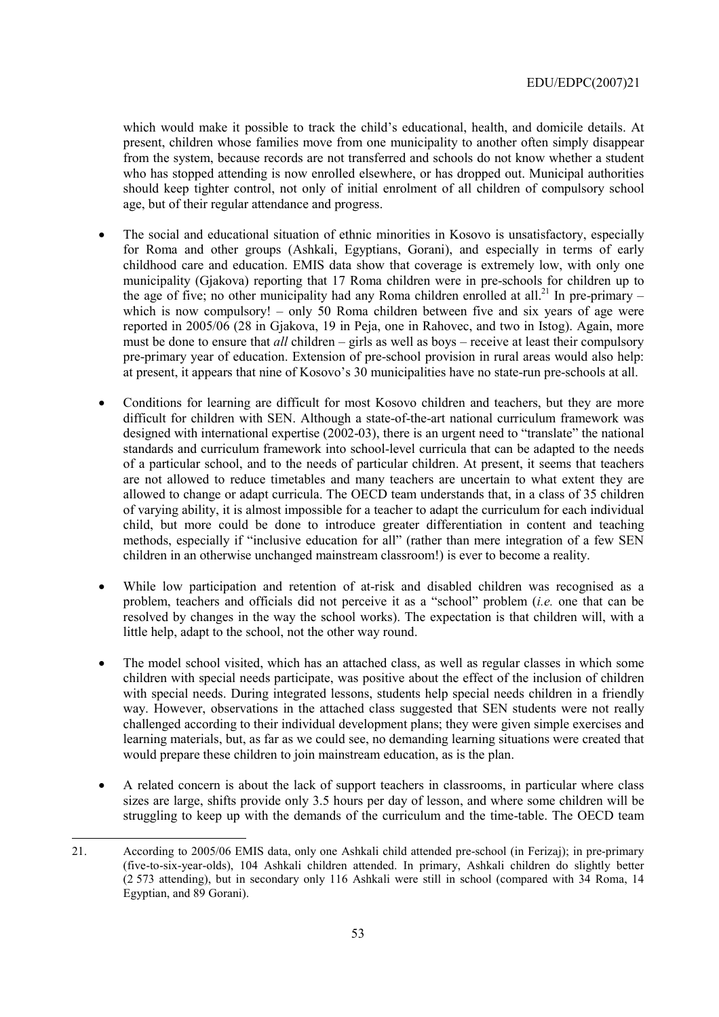which would make it possible to track the child's educational, health, and domicile details. At present, children whose families move from one municipality to another often simply disappear from the system, because records are not transferred and schools do not know whether a student who has stopped attending is now enrolled elsewhere, or has dropped out. Municipal authorities should keep tighter control, not only of initial enrolment of all children of compulsory school age, but of their regular attendance and progress.

- The social and educational situation of ethnic minorities in Kosovo is unsatisfactory, especially for Roma and other groups (Ashkali, Egyptians, Gorani), and especially in terms of early childhood care and education. EMIS data show that coverage is extremely low, with only one municipality (Gjakova) reporting that 17 Roma children were in pre-schools for children up to the age of five; no other municipality had any Roma children enrolled at all.<sup>21</sup> In pre-primary – which is now compulsory!  $-$  only 50 Roma children between five and six years of age were reported in 2005/06 (28 in Gjakova, 19 in Peja, one in Rahovec, and two in Istog). Again, more must be done to ensure that *all* children – girls as well as boys – receive at least their compulsory pre-primary year of education. Extension of pre-school provision in rural areas would also help: at present, it appears that nine of Kosovo's 30 municipalities have no state-run pre-schools at all.
- Conditions for learning are difficult for most Kosovo children and teachers, but they are more difficult for children with SEN. Although a state-of-the-art national curriculum framework was designed with international expertise  $(2002-03)$ , there is an urgent need to "translate" the national standards and curriculum framework into school-level curricula that can be adapted to the needs of a particular school, and to the needs of particular children. At present, it seems that teachers are not allowed to reduce timetables and many teachers are uncertain to what extent they are allowed to change or adapt curricula. The OECD team understands that, in a class of 35 children of varying ability, it is almost impossible for a teacher to adapt the curriculum for each individual child, but more could be done to introduce greater differentiation in content and teaching methods, especially if "inclusive education for all" (rather than mere integration of a few SEN children in an otherwise unchanged mainstream classroom!) is ever to become a reality.
- While low participation and retention of at-risk and disabled children was recognised as a problem, teachers and officials did not perceive it as a "school" problem (*i.e.* one that can be resolved by changes in the way the school works). The expectation is that children will, with a little help, adapt to the school, not the other way round.
- The model school visited, which has an attached class, as well as regular classes in which some children with special needs participate, was positive about the effect of the inclusion of children with special needs. During integrated lessons, students help special needs children in a friendly way. However, observations in the attached class suggested that SEN students were not really challenged according to their individual development plans; they were given simple exercises and learning materials, but, as far as we could see, no demanding learning situations were created that would prepare these children to join mainstream education, as is the plan.
- A related concern is about the lack of support teachers in classrooms, in particular where class sizes are large, shifts provide only 3.5 hours per day of lesson, and where some children will be struggling to keep up with the demands of the curriculum and the time-table. The OECD team

<sup>21.</sup> According to 2005/06 EMIS data, only one Ashkali child attended pre-school (in Ferizaj); in pre-primary (five-to-six-year-olds), 104 Ashkali children attended. In primary, Ashkali children do slightly better (2 573 attending), but in secondary only 116 Ashkali were still in school (compared with 34 Roma, 14 Egyptian, and 89 Gorani).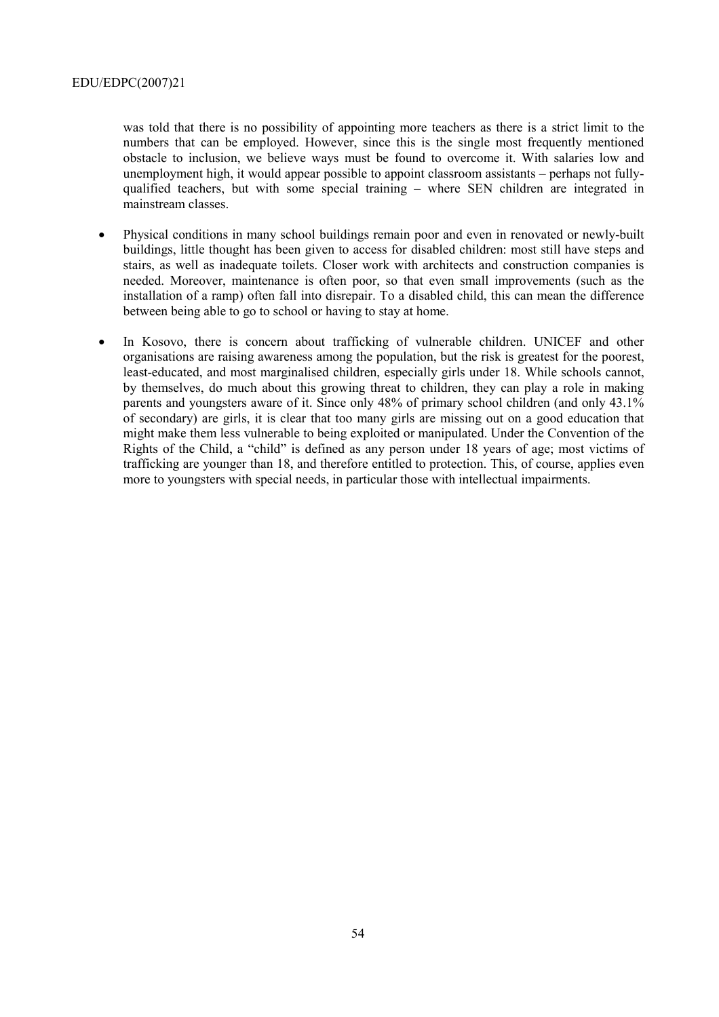was told that there is no possibility of appointing more teachers as there is a strict limit to the numbers that can be employed. However, since this is the single most frequently mentioned obstacle to inclusion, we believe ways must be found to overcome it. With salaries low and unemployment high, it would appear possible to appoint classroom assistants – perhaps not fullyqualified teachers, but with some special training  $-$  where SEN children are integrated in mainstream classes.

- Physical conditions in many school buildings remain poor and even in renovated or newly-built buildings, little thought has been given to access for disabled children: most still have steps and stairs, as well as inadequate toilets. Closer work with architects and construction companies is needed. Moreover, maintenance is often poor, so that even small improvements (such as the installation of a ramp) often fall into disrepair. To a disabled child, this can mean the difference between being able to go to school or having to stay at home.
- In Kosovo, there is concern about trafficking of vulnerable children. UNICEF and other organisations are raising awareness among the population, but the risk is greatest for the poorest, least-educated, and most marginalised children, especially girls under 18. While schools cannot, by themselves, do much about this growing threat to children, they can play a role in making parents and youngsters aware of it. Since only 48% of primary school children (and only 43.1% of secondary) are girls, it is clear that too many girls are missing out on a good education that might make them less vulnerable to being exploited or manipulated. Under the Convention of the Rights of the Child, a "child" is defined as any person under 18 years of age; most victims of trafficking are younger than 18, and therefore entitled to protection. This, of course, applies even more to youngsters with special needs, in particular those with intellectual impairments.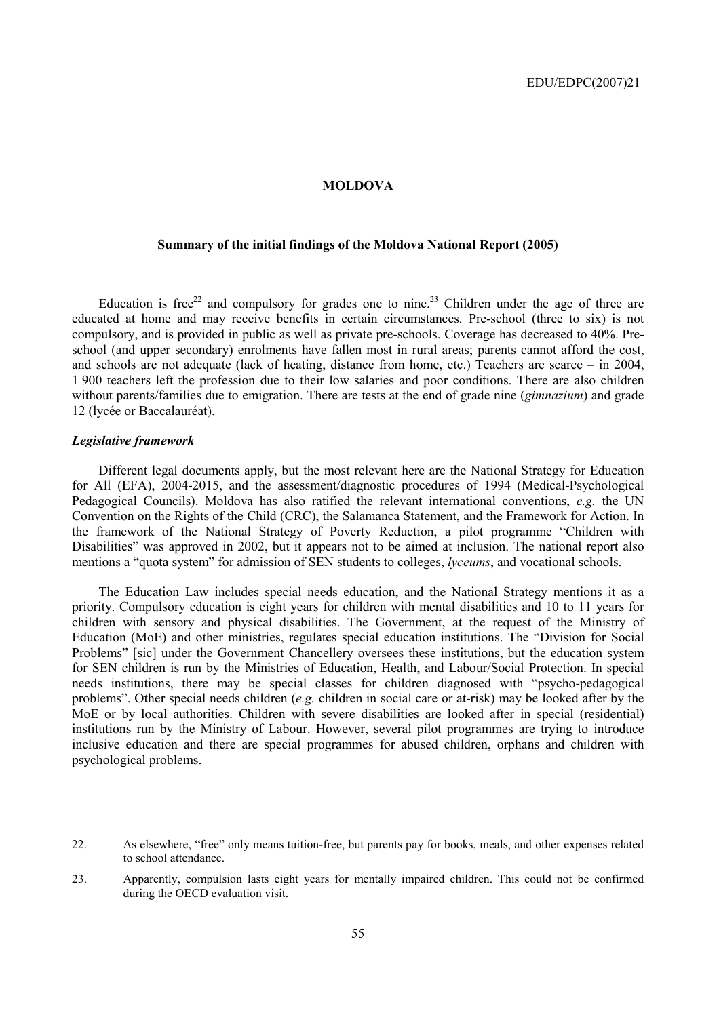#### **MOLDOVA**

## **Summary of the initial findings of the Moldova National Report (2005)**

Education is free<sup>22</sup> and compulsory for grades one to nine.<sup>23</sup> Children under the age of three are educated at home and may receive benefits in certain circumstances. Pre-school (three to six) is not compulsory, and is provided in public as well as private pre-schools. Coverage has decreased to 40%. Preschool (and upper secondary) enrolments have fallen most in rural areas; parents cannot afford the cost, and schools are not adequate (lack of heating, distance from home, etc.) Teachers are scarce  $-$  in 2004, 1 900 teachers left the profession due to their low salaries and poor conditions. There are also children without parents/families due to emigration. There are tests at the end of grade nine (*gimnazium*) and grade 12 (lycée or Baccalauréat).

### *Legislative framework*

Different legal documents apply, but the most relevant here are the National Strategy for Education for All (EFA), 2004-2015, and the assessment/diagnostic procedures of 1994 (Medical-Psychological Pedagogical Councils). Moldova has also ratified the relevant international conventions, *e.g.* the UN Convention on the Rights of the Child (CRC), the Salamanca Statement, and the Framework for Action. In the framework of the National Strategy of Poverty Reduction, a pilot programme "Children with Disabilities" was approved in 2002, but it appears not to be aimed at inclusion. The national report also mentions a "quota system" for admission of SEN students to colleges, *lyceums*, and vocational schools.

The Education Law includes special needs education, and the National Strategy mentions it as a priority. Compulsory education is eight years for children with mental disabilities and 10 to 11 years for children with sensory and physical disabilities. The Government, at the request of the Ministry of Education (MoE) and other ministries, regulates special education institutions. The "Division for Social Problems" [sic] under the Government Chancellery oversees these institutions, but the education system for SEN children is run by the Ministries of Education, Health, and Labour/Social Protection. In special needs institutions, there may be special classes for children diagnosed with "psycho-pedagogical" problemsî. Other special needs children (*e.g.* children in social care or at-risk) may be looked after by the MoE or by local authorities. Children with severe disabilities are looked after in special (residential) institutions run by the Ministry of Labour. However, several pilot programmes are trying to introduce inclusive education and there are special programmes for abused children, orphans and children with psychological problems.

<sup>22.</sup> As elsewhere, "free" only means tuition-free, but parents pay for books, meals, and other expenses related to school attendance.

<sup>23.</sup> Apparently, compulsion lasts eight years for mentally impaired children. This could not be confirmed during the OECD evaluation visit.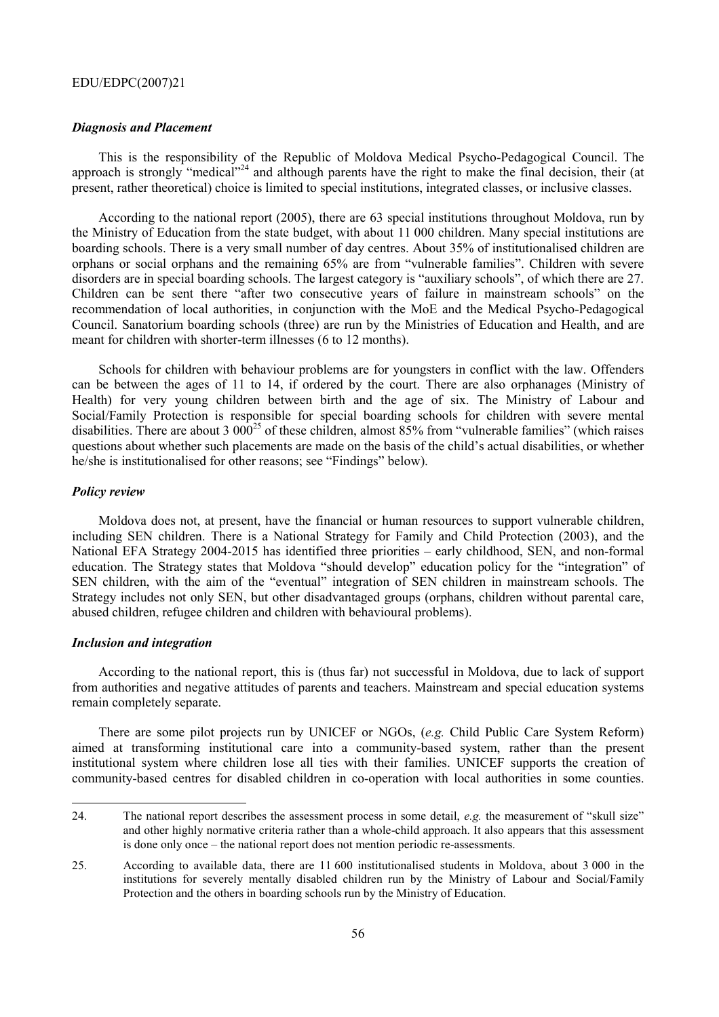#### *Diagnosis and Placement*

This is the responsibility of the Republic of Moldova Medical Psycho-Pedagogical Council. The approach is strongly "medical"<sup>24</sup> and although parents have the right to make the final decision, their (at present, rather theoretical) choice is limited to special institutions, integrated classes, or inclusive classes.

According to the national report (2005), there are 63 special institutions throughout Moldova, run by the Ministry of Education from the state budget, with about 11 000 children. Many special institutions are boarding schools. There is a very small number of day centres. About 35% of institutionalised children are orphans or social orphans and the remaining 65% are from "vulnerable families". Children with severe disorders are in special boarding schools. The largest category is "auxiliary schools", of which there are 27. Children can be sent there "after two consecutive years of failure in mainstream schools" on the recommendation of local authorities, in conjunction with the MoE and the Medical Psycho-Pedagogical Council. Sanatorium boarding schools (three) are run by the Ministries of Education and Health, and are meant for children with shorter-term illnesses (6 to 12 months).

Schools for children with behaviour problems are for youngsters in conflict with the law. Offenders can be between the ages of 11 to 14, if ordered by the court. There are also orphanages (Ministry of Health) for very young children between birth and the age of six. The Ministry of Labour and Social/Family Protection is responsible for special boarding schools for children with severe mental disabilities. There are about 3  $000^{25}$  of these children, almost 85% from "vulnerable families" (which raises questions about whether such placements are made on the basis of the child's actual disabilities, or whether he/she is institutionalised for other reasons; see "Findings" below).

#### *Policy review*

 $\overline{a}$ 

Moldova does not, at present, have the financial or human resources to support vulnerable children, including SEN children. There is a National Strategy for Family and Child Protection (2003), and the National EFA Strategy 2004-2015 has identified three priorities – early childhood, SEN, and non-formal education. The Strategy states that Moldova "should develop" education policy for the "integration" of SEN children, with the aim of the "eventual" integration of SEN children in mainstream schools. The Strategy includes not only SEN, but other disadvantaged groups (orphans, children without parental care, abused children, refugee children and children with behavioural problems).

#### *Inclusion and integration*

According to the national report, this is (thus far) not successful in Moldova, due to lack of support from authorities and negative attitudes of parents and teachers. Mainstream and special education systems remain completely separate.

There are some pilot projects run by UNICEF or NGOs, (*e.g.* Child Public Care System Reform) aimed at transforming institutional care into a community-based system, rather than the present institutional system where children lose all ties with their families. UNICEF supports the creation of community-based centres for disabled children in co-operation with local authorities in some counties.

<sup>24.</sup> The national report describes the assessment process in some detail, *e.g.* the measurement of "skull size" and other highly normative criteria rather than a whole-child approach. It also appears that this assessment is done only once – the national report does not mention periodic re-assessments.

<sup>25.</sup> According to available data, there are 11 600 institutionalised students in Moldova, about 3 000 in the institutions for severely mentally disabled children run by the Ministry of Labour and Social/Family Protection and the others in boarding schools run by the Ministry of Education.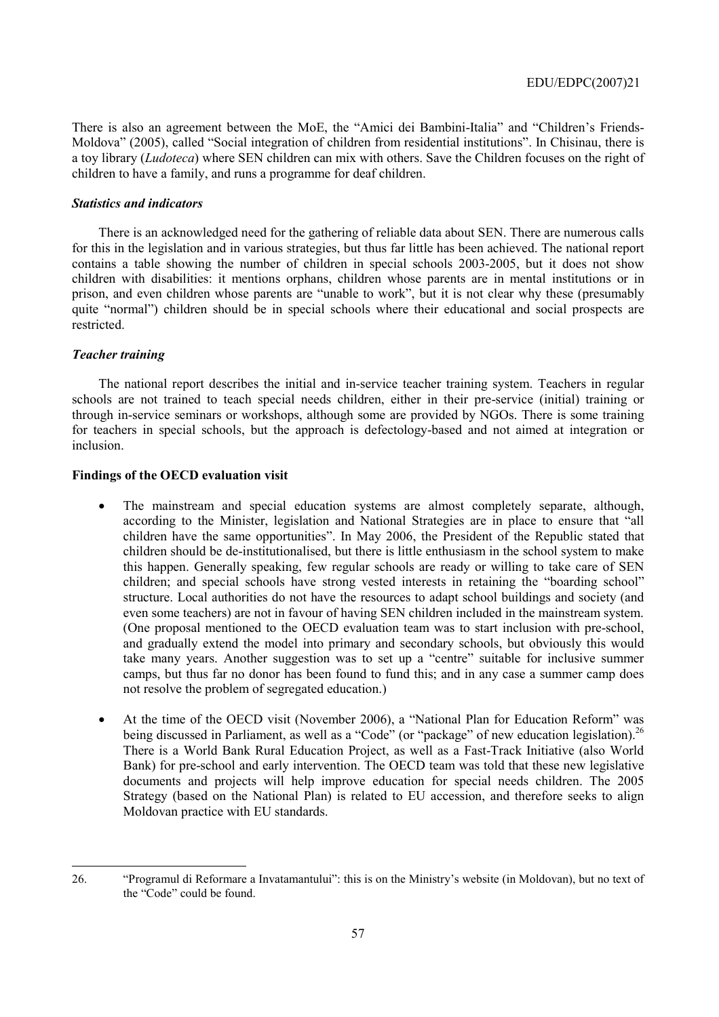There is also an agreement between the MoE, the "Amici dei Bambini-Italia" and "Children's Friends-Moldova" (2005), called "Social integration of children from residential institutions". In Chisinau, there is a toy library (*Ludoteca*) where SEN children can mix with others. Save the Children focuses on the right of children to have a family, and runs a programme for deaf children.

#### *Statistics and indicators*

There is an acknowledged need for the gathering of reliable data about SEN. There are numerous calls for this in the legislation and in various strategies, but thus far little has been achieved. The national report contains a table showing the number of children in special schools 2003-2005, but it does not show children with disabilities: it mentions orphans, children whose parents are in mental institutions or in prison, and even children whose parents are "unable to work", but it is not clear why these (presumably quite "normal") children should be in special schools where their educational and social prospects are restricted.

### *Teacher training*

 $\overline{a}$ 

The national report describes the initial and in-service teacher training system. Teachers in regular schools are not trained to teach special needs children, either in their pre-service (initial) training or through in-service seminars or workshops, although some are provided by NGOs. There is some training for teachers in special schools, but the approach is defectology-based and not aimed at integration or inclusion.

### **Findings of the OECD evaluation visit**

- The mainstream and special education systems are almost completely separate, although, according to the Minister, legislation and National Strategies are in place to ensure that "all children have the same opportunities". In May 2006, the President of the Republic stated that children should be de-institutionalised, but there is little enthusiasm in the school system to make this happen. Generally speaking, few regular schools are ready or willing to take care of SEN children; and special schools have strong vested interests in retaining the "boarding school" structure. Local authorities do not have the resources to adapt school buildings and society (and even some teachers) are not in favour of having SEN children included in the mainstream system. (One proposal mentioned to the OECD evaluation team was to start inclusion with pre-school, and gradually extend the model into primary and secondary schools, but obviously this would take many years. Another suggestion was to set up a "centre" suitable for inclusive summer camps, but thus far no donor has been found to fund this; and in any case a summer camp does not resolve the problem of segregated education.)
- At the time of the OECD visit (November 2006), a "National Plan for Education Reform" was being discussed in Parliament, as well as a "Code" (or "package" of new education legislation).<sup>26</sup> There is a World Bank Rural Education Project, as well as a Fast-Track Initiative (also World Bank) for pre-school and early intervention. The OECD team was told that these new legislative documents and projects will help improve education for special needs children. The 2005 Strategy (based on the National Plan) is related to EU accession, and therefore seeks to align Moldovan practice with EU standards.

<sup>26. &</sup>lt;sup>"Programul di Reformare a Invatamantului": this is on the Ministry's website (in Moldovan), but no text of</sup> the "Code" could be found.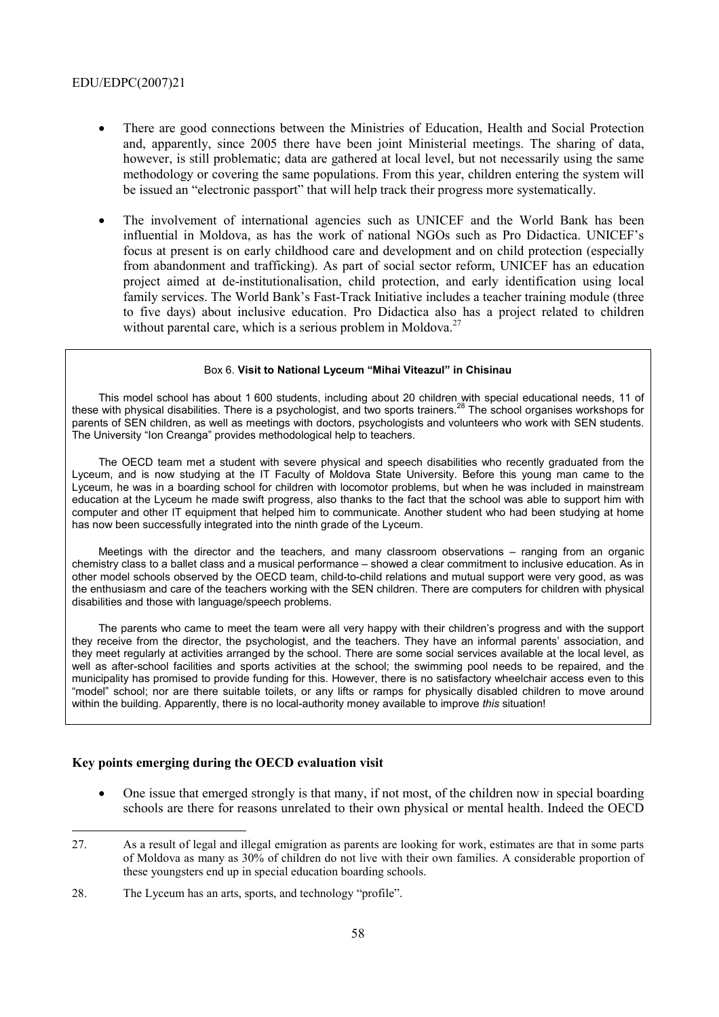- There are good connections between the Ministries of Education, Health and Social Protection and, apparently, since 2005 there have been joint Ministerial meetings. The sharing of data, however, is still problematic; data are gathered at local level, but not necessarily using the same methodology or covering the same populations. From this year, children entering the system will be issued an "electronic passport" that will help track their progress more systematically.
- The involvement of international agencies such as UNICEF and the World Bank has been influential in Moldova, as has the work of national NGOs such as Pro Didactica. UNICEF's focus at present is on early childhood care and development and on child protection (especially from abandonment and trafficking). As part of social sector reform, UNICEF has an education project aimed at de-institutionalisation, child protection, and early identification using local family services. The World Bank's Fast-Track Initiative includes a teacher training module (three to five days) about inclusive education. Pro Didactica also has a project related to children without parental care, which is a serious problem in Moldova.<sup>27</sup>

#### Box 6. Visit to National Lyceum "Mihai Viteazul" in Chisinau

This model school has about 1 600 students, including about 20 children with special educational needs, 11 of these with physical disabilities. There is a psychologist, and two sports trainers.28 The school organises workshops for parents of SEN children, as well as meetings with doctors, psychologists and volunteers who work with SEN students. The University "Ion Creanga" provides methodological help to teachers.

The OECD team met a student with severe physical and speech disabilities who recently graduated from the Lyceum, and is now studying at the IT Faculty of Moldova State University. Before this young man came to the Lyceum, he was in a boarding school for children with locomotor problems, but when he was included in mainstream education at the Lyceum he made swift progress, also thanks to the fact that the school was able to support him with computer and other IT equipment that helped him to communicate. Another student who had been studying at home has now been successfully integrated into the ninth grade of the Lyceum.

Meetings with the director and the teachers, and many classroom observations  $-$  ranging from an organic chemistry class to a ballet class and a musical performance – showed a clear commitment to inclusive education. As in other model schools observed by the OECD team, child-to-child relations and mutual support were very good, as was the enthusiasm and care of the teachers working with the SEN children. There are computers for children with physical disabilities and those with language/speech problems.

The parents who came to meet the team were all very happy with their children's progress and with the support they receive from the director, the psychologist, and the teachers. They have an informal parentsí association, and they meet regularly at activities arranged by the school. There are some social services available at the local level, as well as after-school facilities and sports activities at the school; the swimming pool needs to be repaired, and the municipality has promised to provide funding for this. However, there is no satisfactory wheelchair access even to this ìmodelî school; nor are there suitable toilets, or any lifts or ramps for physically disabled children to move around within the building. Apparently, there is no local-authority money available to improve *this* situation!

### **Key points emerging during the OECD evaluation visit**

- One issue that emerged strongly is that many, if not most, of the children now in special boarding schools are there for reasons unrelated to their own physical or mental health. Indeed the OECD
- 27. As a result of legal and illegal emigration as parents are looking for work, estimates are that in some parts of Moldova as many as 30% of children do not live with their own families. A considerable proportion of these youngsters end up in special education boarding schools.
- 28. The Lyceum has an arts, sports, and technology "profile".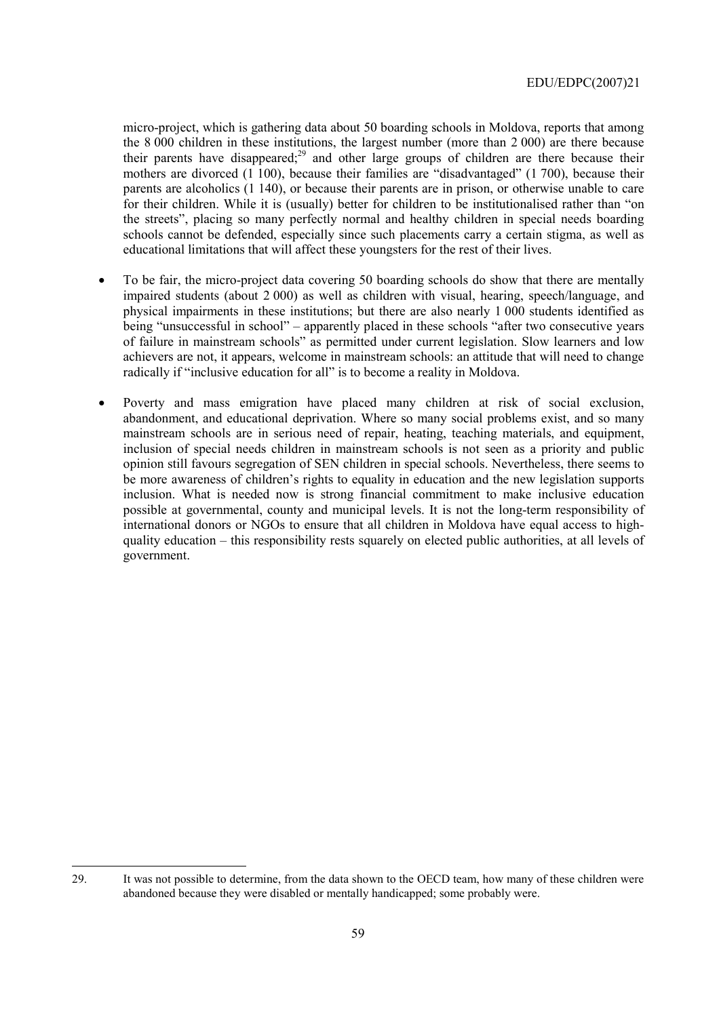micro-project, which is gathering data about 50 boarding schools in Moldova, reports that among the 8 000 children in these institutions, the largest number (more than 2 000) are there because their parents have disappeared;<sup>29</sup> and other large groups of children are there because their mothers are divorced  $(1\ 100)$ , because their families are "disadvantaged" (1 700), because their parents are alcoholics (1 140), or because their parents are in prison, or otherwise unable to care for their children. While it is (usually) better for children to be institutionalised rather than "on the streets", placing so many perfectly normal and healthy children in special needs boarding schools cannot be defended, especially since such placements carry a certain stigma, as well as educational limitations that will affect these youngsters for the rest of their lives.

- To be fair, the micro-project data covering 50 boarding schools do show that there are mentally impaired students (about 2 000) as well as children with visual, hearing, speech/language, and physical impairments in these institutions; but there are also nearly 1 000 students identified as being "unsuccessful in school" – apparently placed in these schools "after two consecutive years of failure in mainstream schools" as permitted under current legislation. Slow learners and low achievers are not, it appears, welcome in mainstream schools: an attitude that will need to change radically if "inclusive education for all" is to become a reality in Moldova.
- Poverty and mass emigration have placed many children at risk of social exclusion, abandonment, and educational deprivation. Where so many social problems exist, and so many mainstream schools are in serious need of repair, heating, teaching materials, and equipment, inclusion of special needs children in mainstream schools is not seen as a priority and public opinion still favours segregation of SEN children in special schools. Nevertheless, there seems to be more awareness of children's rights to equality in education and the new legislation supports inclusion. What is needed now is strong financial commitment to make inclusive education possible at governmental, county and municipal levels. It is not the long-term responsibility of international donors or NGOs to ensure that all children in Moldova have equal access to highquality education – this responsibility rests squarely on elected public authorities, at all levels of government.

 $\overline{a}$ 29. It was not possible to determine, from the data shown to the OECD team, how many of these children were abandoned because they were disabled or mentally handicapped; some probably were.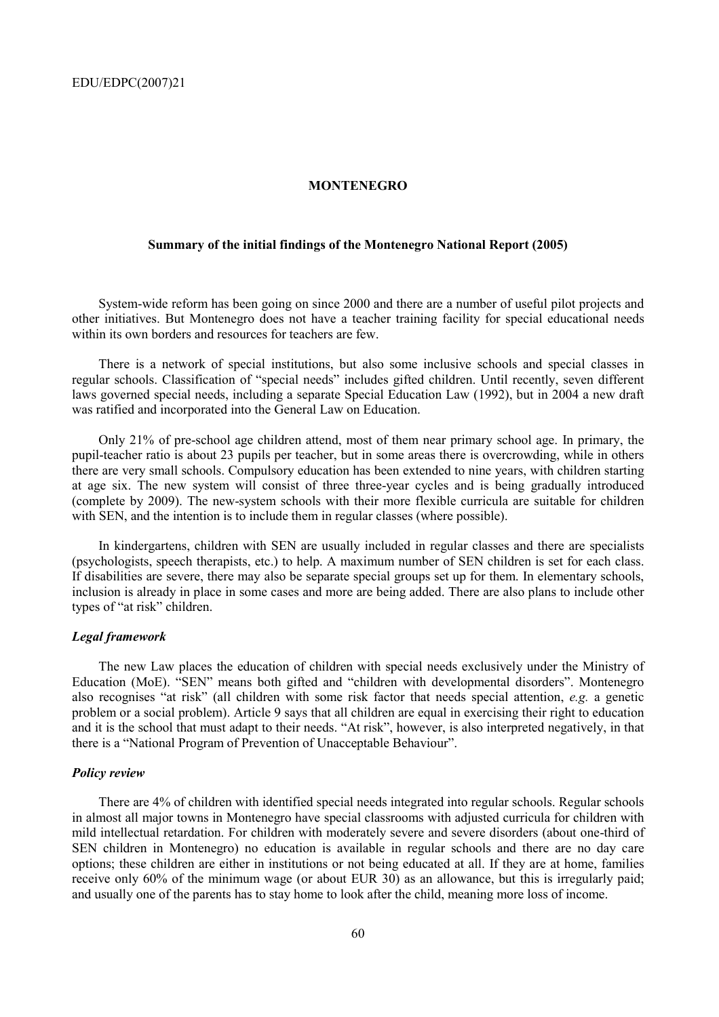#### **MONTENEGRO**

## **Summary of the initial findings of the Montenegro National Report (2005)**

System-wide reform has been going on since 2000 and there are a number of useful pilot projects and other initiatives. But Montenegro does not have a teacher training facility for special educational needs within its own borders and resources for teachers are few.

There is a network of special institutions, but also some inclusive schools and special classes in regular schools. Classification of "special needs" includes gifted children. Until recently, seven different laws governed special needs, including a separate Special Education Law (1992), but in 2004 a new draft was ratified and incorporated into the General Law on Education.

Only 21% of pre-school age children attend, most of them near primary school age. In primary, the pupil-teacher ratio is about 23 pupils per teacher, but in some areas there is overcrowding, while in others there are very small schools. Compulsory education has been extended to nine years, with children starting at age six. The new system will consist of three three-year cycles and is being gradually introduced (complete by 2009). The new-system schools with their more flexible curricula are suitable for children with SEN, and the intention is to include them in regular classes (where possible).

In kindergartens, children with SEN are usually included in regular classes and there are specialists (psychologists, speech therapists, etc.) to help. A maximum number of SEN children is set for each class. If disabilities are severe, there may also be separate special groups set up for them. In elementary schools, inclusion is already in place in some cases and more are being added. There are also plans to include other types of "at risk" children.

### *Legal framework*

The new Law places the education of children with special needs exclusively under the Ministry of Education (MoE). "SEN" means both gifted and "children with developmental disorders". Montenegro also recognises "at risk" (all children with some risk factor that needs special attention, *e.g.* a genetic problem or a social problem). Article 9 says that all children are equal in exercising their right to education and it is the school that must adapt to their needs. "At risk", however, is also interpreted negatively, in that there is a "National Program of Prevention of Unacceptable Behaviour".

### *Policy review*

There are 4% of children with identified special needs integrated into regular schools. Regular schools in almost all major towns in Montenegro have special classrooms with adjusted curricula for children with mild intellectual retardation. For children with moderately severe and severe disorders (about one-third of SEN children in Montenegro) no education is available in regular schools and there are no day care options; these children are either in institutions or not being educated at all. If they are at home, families receive only 60% of the minimum wage (or about EUR 30) as an allowance, but this is irregularly paid; and usually one of the parents has to stay home to look after the child, meaning more loss of income.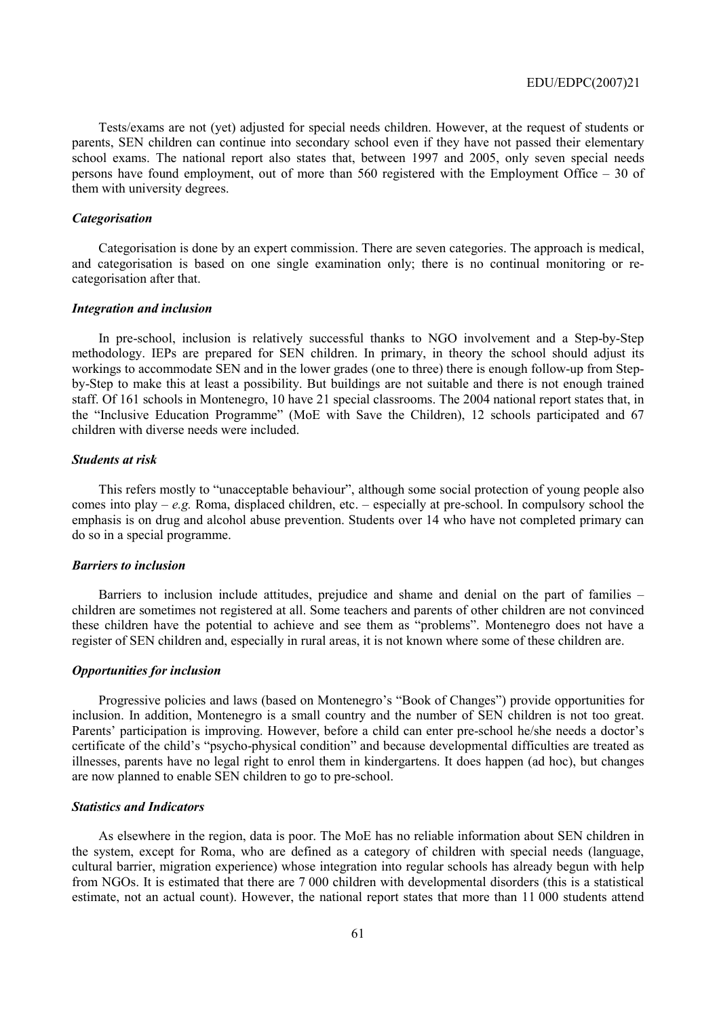Tests/exams are not (yet) adjusted for special needs children. However, at the request of students or parents, SEN children can continue into secondary school even if they have not passed their elementary school exams. The national report also states that, between 1997 and 2005, only seven special needs persons have found employment, out of more than  $560$  registered with the Employment Office  $-30$  of them with university degrees.

### *Categorisation*

Categorisation is done by an expert commission. There are seven categories. The approach is medical, and categorisation is based on one single examination only; there is no continual monitoring or recategorisation after that.

#### *Integration and inclusion*

In pre-school, inclusion is relatively successful thanks to NGO involvement and a Step-by-Step methodology. IEPs are prepared for SEN children. In primary, in theory the school should adjust its workings to accommodate SEN and in the lower grades (one to three) there is enough follow-up from Stepby-Step to make this at least a possibility. But buildings are not suitable and there is not enough trained staff. Of 161 schools in Montenegro, 10 have 21 special classrooms. The 2004 national report states that, in the "Inclusive Education Programme" (MoE with Save the Children), 12 schools participated and 67 children with diverse needs were included.

#### *Students at risk*

This refers mostly to "unacceptable behaviour", although some social protection of young people also comes into play  $-e.g.$  Roma, displaced children, etc.  $-e$  especially at pre-school. In compulsory school the emphasis is on drug and alcohol abuse prevention. Students over 14 who have not completed primary can do so in a special programme.

#### *Barriers to inclusion*

Barriers to inclusion include attitudes, prejudice and shame and denial on the part of families – children are sometimes not registered at all. Some teachers and parents of other children are not convinced these children have the potential to achieve and see them as "problems". Montenegro does not have a register of SEN children and, especially in rural areas, it is not known where some of these children are.

#### *Opportunities for inclusion*

Progressive policies and laws (based on Montenegro's "Book of Changes") provide opportunities for inclusion. In addition, Montenegro is a small country and the number of SEN children is not too great. Parents' participation is improving. However, before a child can enter pre-school he/she needs a doctor's certificate of the child's "psycho-physical condition" and because developmental difficulties are treated as illnesses, parents have no legal right to enrol them in kindergartens. It does happen (ad hoc), but changes are now planned to enable SEN children to go to pre-school.

### *Statistics and Indicators*

As elsewhere in the region, data is poor. The MoE has no reliable information about SEN children in the system, except for Roma, who are defined as a category of children with special needs (language, cultural barrier, migration experience) whose integration into regular schools has already begun with help from NGOs. It is estimated that there are 7 000 children with developmental disorders (this is a statistical estimate, not an actual count). However, the national report states that more than 11 000 students attend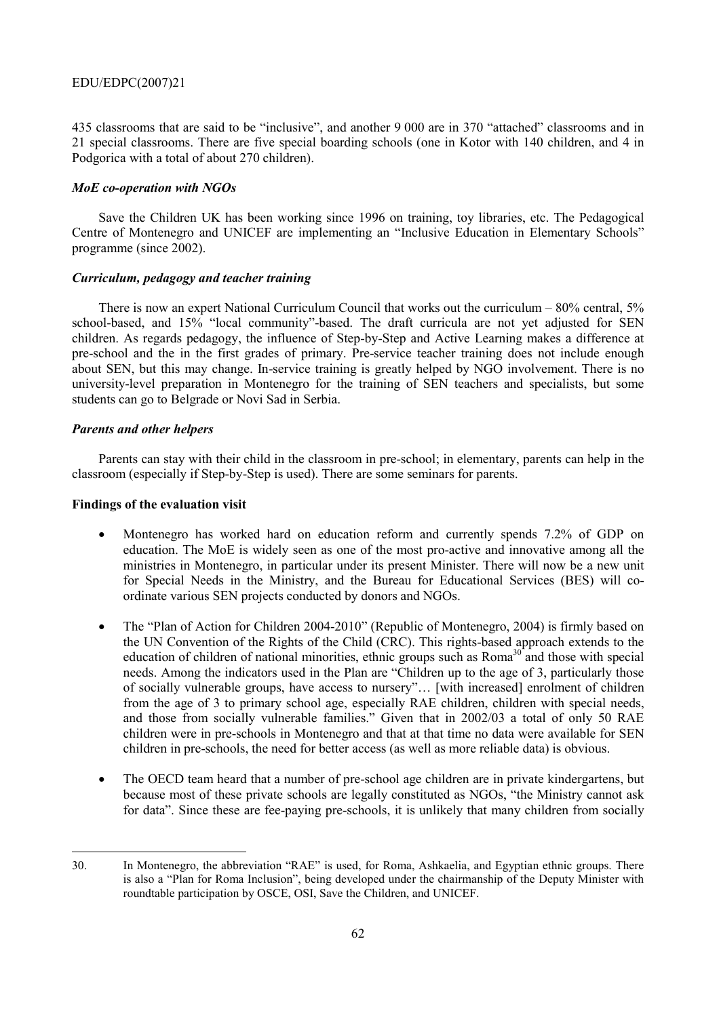435 classrooms that are said to be "inclusive", and another 9 000 are in 370 "attached" classrooms and in 21 special classrooms. There are five special boarding schools (one in Kotor with 140 children, and 4 in Podgorica with a total of about 270 children).

### *MoE co-operation with NGOs*

Save the Children UK has been working since 1996 on training, toy libraries, etc. The Pedagogical Centre of Montenegro and UNICEF are implementing an "Inclusive Education in Elementary Schools" programme (since 2002).

## *Curriculum, pedagogy and teacher training*

There is now an expert National Curriculum Council that works out the curriculum  $-80\%$  central, 5% school-based, and 15% "local community"-based. The draft curricula are not yet adjusted for SEN children. As regards pedagogy, the influence of Step-by-Step and Active Learning makes a difference at pre-school and the in the first grades of primary. Pre-service teacher training does not include enough about SEN, but this may change. In-service training is greatly helped by NGO involvement. There is no university-level preparation in Montenegro for the training of SEN teachers and specialists, but some students can go to Belgrade or Novi Sad in Serbia.

## *Parents and other helpers*

Parents can stay with their child in the classroom in pre-school; in elementary, parents can help in the classroom (especially if Step-by-Step is used). There are some seminars for parents.

## **Findings of the evaluation visit**

- Montenegro has worked hard on education reform and currently spends 7.2% of GDP on education. The MoE is widely seen as one of the most pro-active and innovative among all the ministries in Montenegro, in particular under its present Minister. There will now be a new unit for Special Needs in the Ministry, and the Bureau for Educational Services (BES) will coordinate various SEN projects conducted by donors and NGOs.
- The "Plan of Action for Children 2004-2010" (Republic of Montenegro, 2004) is firmly based on the UN Convention of the Rights of the Child (CRC). This rights-based approach extends to the education of children of national minorities, ethnic groups such as Roma<sup>30</sup> and those with special needs. Among the indicators used in the Plan are "Children up to the age of 3, particularly those of socially vulnerable groups, have access to nursery"... [with increased] enrolment of children from the age of 3 to primary school age, especially RAE children, children with special needs, and those from socially vulnerable families." Given that in 2002/03 a total of only 50 RAE children were in pre-schools in Montenegro and that at that time no data were available for SEN children in pre-schools, the need for better access (as well as more reliable data) is obvious.
- The OECD team heard that a number of pre-school age children are in private kindergartens, but because most of these private schools are legally constituted as NGOs, "the Ministry cannot ask for dataî. Since these are fee-paying pre-schools, it is unlikely that many children from socially

 $\overline{a}$ 30. In Montenegro, the abbreviation "RAE" is used, for Roma, Ashkaelia, and Egyptian ethnic groups. There is also a "Plan for Roma Inclusion", being developed under the chairmanship of the Deputy Minister with roundtable participation by OSCE, OSI, Save the Children, and UNICEF.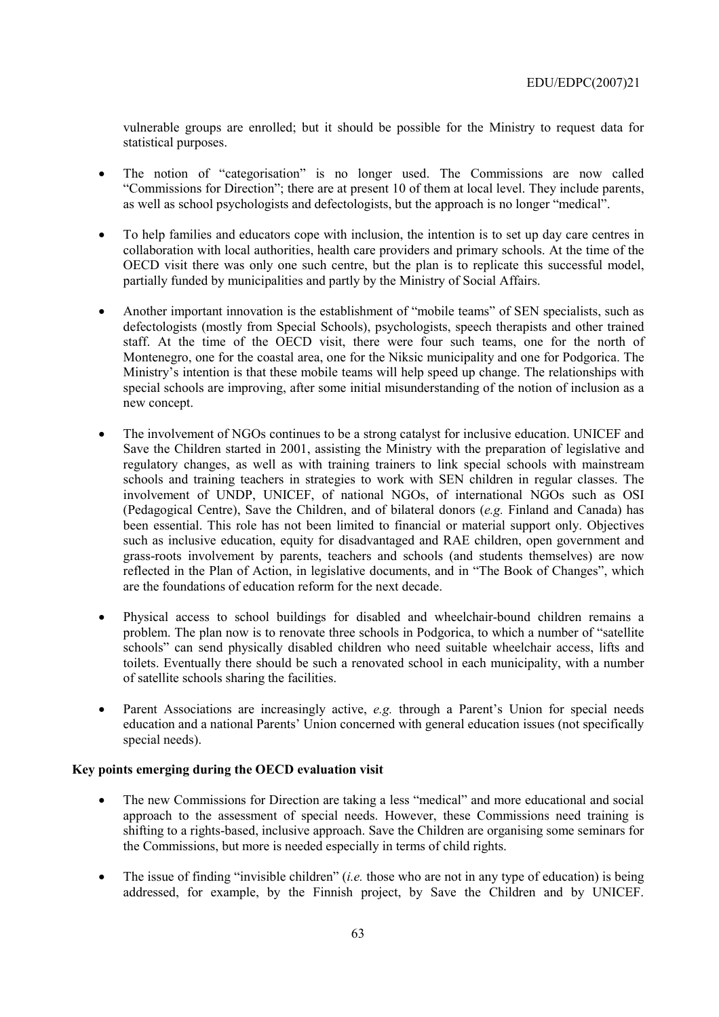vulnerable groups are enrolled; but it should be possible for the Ministry to request data for statistical purposes.

- The notion of "categorisation" is no longer used. The Commissions are now called ìCommissions for Directionî; there are at present 10 of them at local level. They include parents, as well as school psychologists and defectologists, but the approach is no longer "medical".
- To help families and educators cope with inclusion, the intention is to set up day care centres in collaboration with local authorities, health care providers and primary schools. At the time of the OECD visit there was only one such centre, but the plan is to replicate this successful model, partially funded by municipalities and partly by the Ministry of Social Affairs.
- Another important innovation is the establishment of "mobile teams" of SEN specialists, such as defectologists (mostly from Special Schools), psychologists, speech therapists and other trained staff. At the time of the OECD visit, there were four such teams, one for the north of Montenegro, one for the coastal area, one for the Niksic municipality and one for Podgorica. The Ministry's intention is that these mobile teams will help speed up change. The relationships with special schools are improving, after some initial misunderstanding of the notion of inclusion as a new concept.
- The involvement of NGOs continues to be a strong catalyst for inclusive education. UNICEF and Save the Children started in 2001, assisting the Ministry with the preparation of legislative and regulatory changes, as well as with training trainers to link special schools with mainstream schools and training teachers in strategies to work with SEN children in regular classes. The involvement of UNDP, UNICEF, of national NGOs, of international NGOs such as OSI (Pedagogical Centre), Save the Children, and of bilateral donors (*e.g.* Finland and Canada) has been essential. This role has not been limited to financial or material support only. Objectives such as inclusive education, equity for disadvantaged and RAE children, open government and grass-roots involvement by parents, teachers and schools (and students themselves) are now reflected in the Plan of Action, in legislative documents, and in "The Book of Changes", which are the foundations of education reform for the next decade.
- Physical access to school buildings for disabled and wheelchair-bound children remains a problem. The plan now is to renovate three schools in Podgorica, to which a number of "satellite" schools" can send physically disabled children who need suitable wheelchair access, lifts and toilets. Eventually there should be such a renovated school in each municipality, with a number of satellite schools sharing the facilities.
- Parent Associations are increasingly active, *e.g.* through a Parent's Union for special needs education and a national Parents' Union concerned with general education issues (not specifically special needs).

# **Key points emerging during the OECD evaluation visit**

- The new Commissions for Direction are taking a less "medical" and more educational and social approach to the assessment of special needs. However, these Commissions need training is shifting to a rights-based, inclusive approach. Save the Children are organising some seminars for the Commissions, but more is needed especially in terms of child rights.
- The issue of finding "invisible children" (*i.e.* those who are not in any type of education) is being addressed, for example, by the Finnish project, by Save the Children and by UNICEF.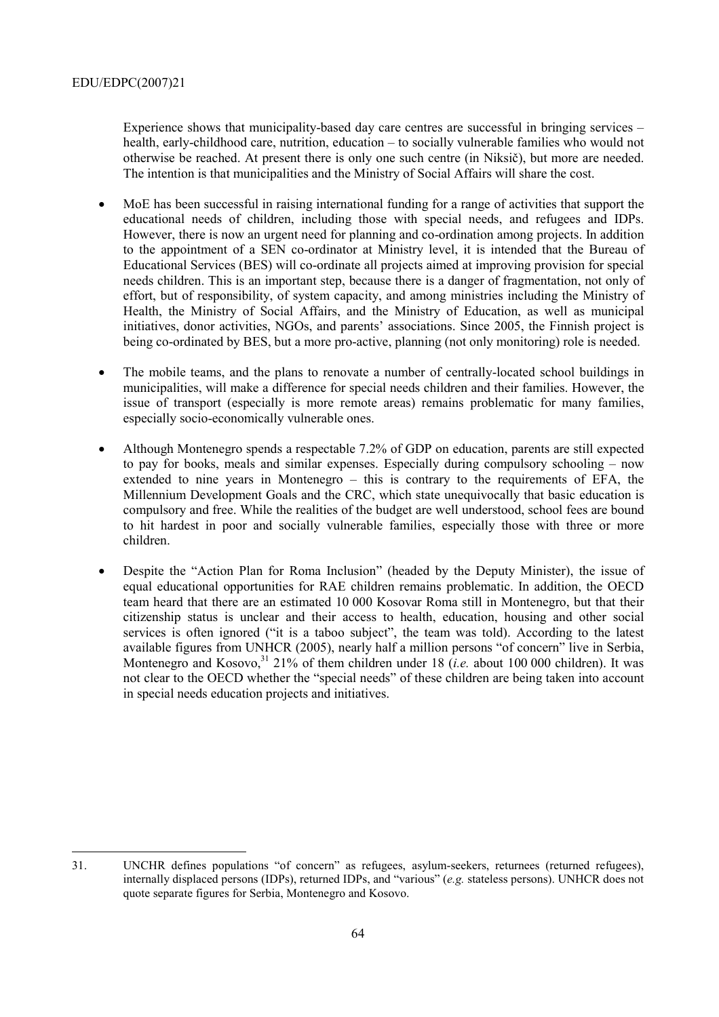Experience shows that municipality-based day care centres are successful in bringing services  $$ health, early-childhood care, nutrition, education – to socially vulnerable families who would not otherwise be reached. At present there is only one such centre (in Niksič), but more are needed. The intention is that municipalities and the Ministry of Social Affairs will share the cost.

- MoE has been successful in raising international funding for a range of activities that support the educational needs of children, including those with special needs, and refugees and IDPs. However, there is now an urgent need for planning and co-ordination among projects. In addition to the appointment of a SEN co-ordinator at Ministry level, it is intended that the Bureau of Educational Services (BES) will co-ordinate all projects aimed at improving provision for special needs children. This is an important step, because there is a danger of fragmentation, not only of effort, but of responsibility, of system capacity, and among ministries including the Ministry of Health, the Ministry of Social Affairs, and the Ministry of Education, as well as municipal initiatives, donor activities, NGOs, and parents' associations. Since 2005, the Finnish project is being co-ordinated by BES, but a more pro-active, planning (not only monitoring) role is needed.
- The mobile teams, and the plans to renovate a number of centrally-located school buildings in municipalities, will make a difference for special needs children and their families. However, the issue of transport (especially is more remote areas) remains problematic for many families, especially socio-economically vulnerable ones.
- Although Montenegro spends a respectable 7.2% of GDP on education, parents are still expected to pay for books, meals and similar expenses. Especially during compulsory schooling  $-$  now extended to nine years in Montenegro  $-$  this is contrary to the requirements of EFA, the Millennium Development Goals and the CRC, which state unequivocally that basic education is compulsory and free. While the realities of the budget are well understood, school fees are bound to hit hardest in poor and socially vulnerable families, especially those with three or more children.
- Despite the "Action Plan for Roma Inclusion" (headed by the Deputy Minister), the issue of equal educational opportunities for RAE children remains problematic. In addition, the OECD team heard that there are an estimated 10 000 Kosovar Roma still in Montenegro, but that their citizenship status is unclear and their access to health, education, housing and other social services is often ignored ("it is a taboo subject", the team was told). According to the latest available figures from UNHCR (2005), nearly half a million persons "of concern" live in Serbia, Montenegro and Kosovo,  $31\frac{21}{%}$  of them children under 18 (*i.e.* about 100 000 children). It was not clear to the OECD whether the "special needs" of these children are being taken into account in special needs education projects and initiatives.

 $\overline{a}$ 31. UNCHR defines populations "of concern" as refugees, asylum-seekers, returnees (returned refugees), internally displaced persons (IDPs), returned IDPs, and "various" (*e.g.* stateless persons). UNHCR does not quote separate figures for Serbia, Montenegro and Kosovo.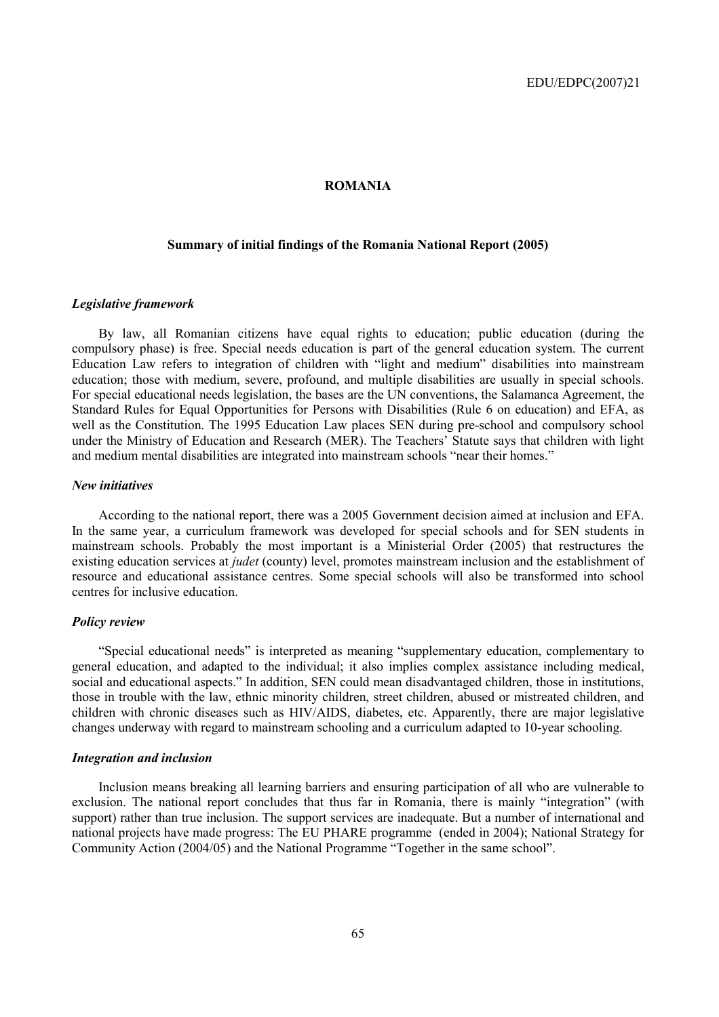### **ROMANIA**

## **Summary of initial findings of the Romania National Report (2005)**

#### *Legislative framework*

By law, all Romanian citizens have equal rights to education; public education (during the compulsory phase) is free. Special needs education is part of the general education system. The current Education Law refers to integration of children with "light and medium" disabilities into mainstream education; those with medium, severe, profound, and multiple disabilities are usually in special schools. For special educational needs legislation, the bases are the UN conventions, the Salamanca Agreement, the Standard Rules for Equal Opportunities for Persons with Disabilities (Rule 6 on education) and EFA, as well as the Constitution. The 1995 Education Law places SEN during pre-school and compulsory school under the Ministry of Education and Research (MER). The Teachers' Statute says that children with light and medium mental disabilities are integrated into mainstream schools "near their homes."

#### *New initiatives*

According to the national report, there was a 2005 Government decision aimed at inclusion and EFA. In the same year, a curriculum framework was developed for special schools and for SEN students in mainstream schools. Probably the most important is a Ministerial Order (2005) that restructures the existing education services at *judet* (county) level, promotes mainstream inclusion and the establishment of resource and educational assistance centres. Some special schools will also be transformed into school centres for inclusive education.

### *Policy review*

"Special educational needs" is interpreted as meaning "supplementary education, complementary to general education, and adapted to the individual; it also implies complex assistance including medical, social and educational aspects." In addition, SEN could mean disadvantaged children, those in institutions, those in trouble with the law, ethnic minority children, street children, abused or mistreated children, and children with chronic diseases such as HIV/AIDS, diabetes, etc. Apparently, there are major legislative changes underway with regard to mainstream schooling and a curriculum adapted to 10-year schooling.

#### *Integration and inclusion*

Inclusion means breaking all learning barriers and ensuring participation of all who are vulnerable to exclusion. The national report concludes that thus far in Romania, there is mainly "integration" (with support) rather than true inclusion. The support services are inadequate. But a number of international and national projects have made progress: The EU PHARE programme (ended in 2004); National Strategy for Community Action (2004/05) and the National Programme "Together in the same school".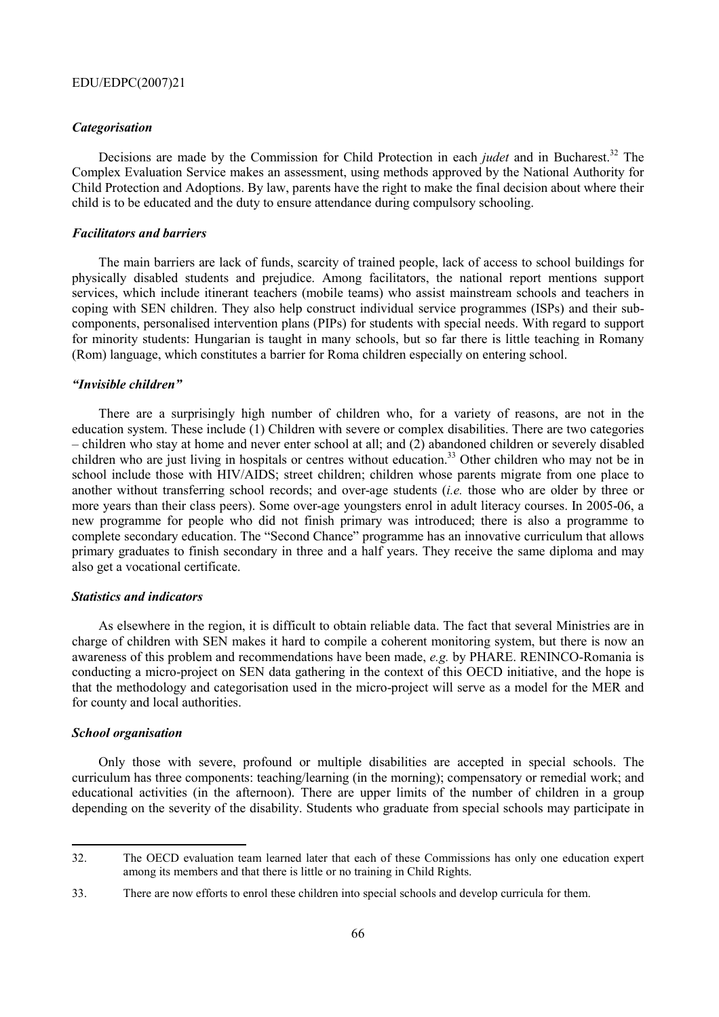#### *Categorisation*

Decisions are made by the Commission for Child Protection in each *judet* and in Bucharest.<sup>32</sup> The Complex Evaluation Service makes an assessment, using methods approved by the National Authority for Child Protection and Adoptions. By law, parents have the right to make the final decision about where their child is to be educated and the duty to ensure attendance during compulsory schooling.

### *Facilitators and barriers*

The main barriers are lack of funds, scarcity of trained people, lack of access to school buildings for physically disabled students and prejudice. Among facilitators, the national report mentions support services, which include itinerant teachers (mobile teams) who assist mainstream schools and teachers in coping with SEN children. They also help construct individual service programmes (ISPs) and their subcomponents, personalised intervention plans (PIPs) for students with special needs. With regard to support for minority students: Hungarian is taught in many schools, but so far there is little teaching in Romany (Rom) language, which constitutes a barrier for Roma children especially on entering school.

### *ìInvisible childrenî*

There are a surprisingly high number of children who, for a variety of reasons, are not in the education system. These include (1) Children with severe or complex disabilities. There are two categories ñ children who stay at home and never enter school at all; and (2) abandoned children or severely disabled children who are just living in hospitals or centres without education.<sup>33</sup> Other children who may not be in school include those with HIV/AIDS; street children; children whose parents migrate from one place to another without transferring school records; and over-age students (*i.e.* those who are older by three or more years than their class peers). Some over-age youngsters enrol in adult literacy courses. In 2005-06, a new programme for people who did not finish primary was introduced; there is also a programme to complete secondary education. The "Second Chance" programme has an innovative curriculum that allows primary graduates to finish secondary in three and a half years. They receive the same diploma and may also get a vocational certificate.

#### *Statistics and indicators*

As elsewhere in the region, it is difficult to obtain reliable data. The fact that several Ministries are in charge of children with SEN makes it hard to compile a coherent monitoring system, but there is now an awareness of this problem and recommendations have been made, *e.g.* by PHARE. RENINCO-Romania is conducting a micro-project on SEN data gathering in the context of this OECD initiative, and the hope is that the methodology and categorisation used in the micro-project will serve as a model for the MER and for county and local authorities.

## *School organisation*

 $\overline{a}$ 

Only those with severe, profound or multiple disabilities are accepted in special schools. The curriculum has three components: teaching/learning (in the morning); compensatory or remedial work; and educational activities (in the afternoon). There are upper limits of the number of children in a group depending on the severity of the disability. Students who graduate from special schools may participate in

<sup>32.</sup> The OECD evaluation team learned later that each of these Commissions has only one education expert among its members and that there is little or no training in Child Rights.

<sup>33.</sup> There are now efforts to enrol these children into special schools and develop curricula for them.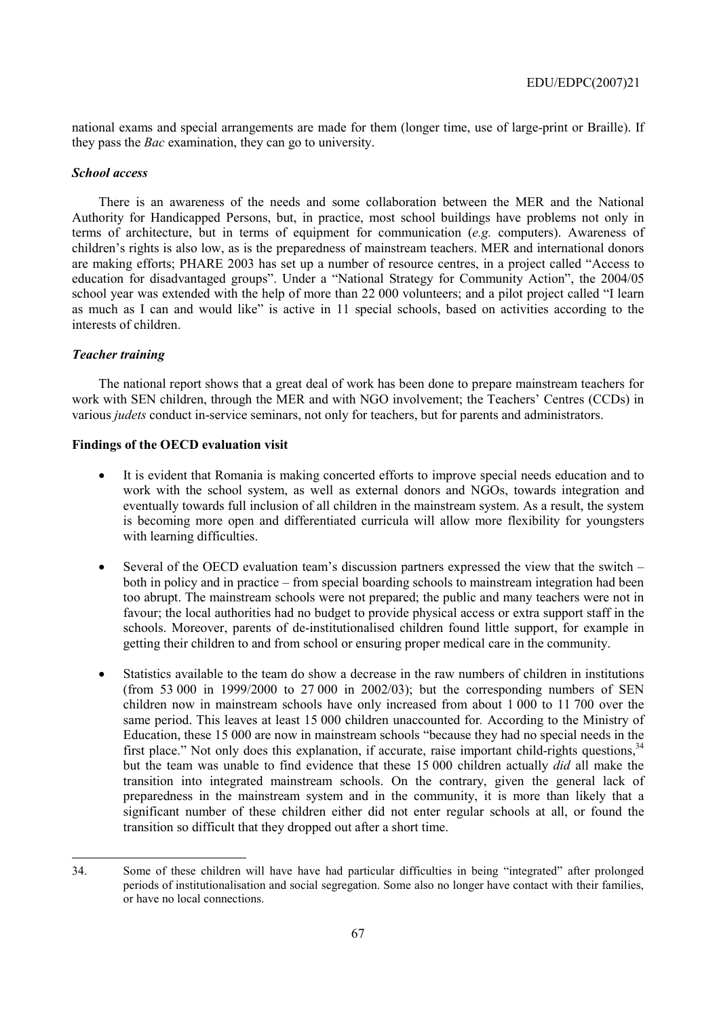national exams and special arrangements are made for them (longer time, use of large-print or Braille). If they pass the *Bac* examination, they can go to university.

#### *School access*

There is an awareness of the needs and some collaboration between the MER and the National Authority for Handicapped Persons, but, in practice, most school buildings have problems not only in terms of architecture, but in terms of equipment for communication (*e.g.* computers). Awareness of children's rights is also low, as is the preparedness of mainstream teachers. MER and international donors are making efforts; PHARE 2003 has set up a number of resource centres, in a project called "Access to education for disadvantaged groups". Under a "National Strategy for Community Action", the 2004/05 school year was extended with the help of more than 22 000 volunteers; and a pilot project called "I learn as much as I can and would like" is active in 11 special schools, based on activities according to the interests of children.

### *Teacher training*

 $\overline{a}$ 

The national report shows that a great deal of work has been done to prepare mainstream teachers for work with SEN children, through the MER and with NGO involvement; the Teachers' Centres (CCDs) in various *judets* conduct in-service seminars, not only for teachers, but for parents and administrators.

### **Findings of the OECD evaluation visit**

- It is evident that Romania is making concerted efforts to improve special needs education and to work with the school system, as well as external donors and NGOs, towards integration and eventually towards full inclusion of all children in the mainstream system. As a result, the system is becoming more open and differentiated curricula will allow more flexibility for youngsters with learning difficulties.
- Several of the OECD evaluation team's discussion partners expressed the view that the switch  $$ both in policy and in practice – from special boarding schools to mainstream integration had been too abrupt. The mainstream schools were not prepared; the public and many teachers were not in favour; the local authorities had no budget to provide physical access or extra support staff in the schools. Moreover, parents of de-institutionalised children found little support, for example in getting their children to and from school or ensuring proper medical care in the community.
- Statistics available to the team do show a decrease in the raw numbers of children in institutions (from 53 000 in 1999/2000 to 27 000 in 2002/03); but the corresponding numbers of SEN children now in mainstream schools have only increased from about 1 000 to 11 700 over the same period. This leaves at least 15 000 children unaccounted for*.* According to the Ministry of Education, these  $15\,000$  are now in mainstream schools "because they had no special needs in the first place." Not only does this explanation, if accurate, raise important child-rights questions,  $34$ but the team was unable to find evidence that these 15 000 children actually *did* all make the transition into integrated mainstream schools. On the contrary, given the general lack of preparedness in the mainstream system and in the community, it is more than likely that a significant number of these children either did not enter regular schools at all, or found the transition so difficult that they dropped out after a short time.

<sup>34.</sup> Some of these children will have have had particular difficulties in being "integrated" after prolonged periods of institutionalisation and social segregation. Some also no longer have contact with their families, or have no local connections.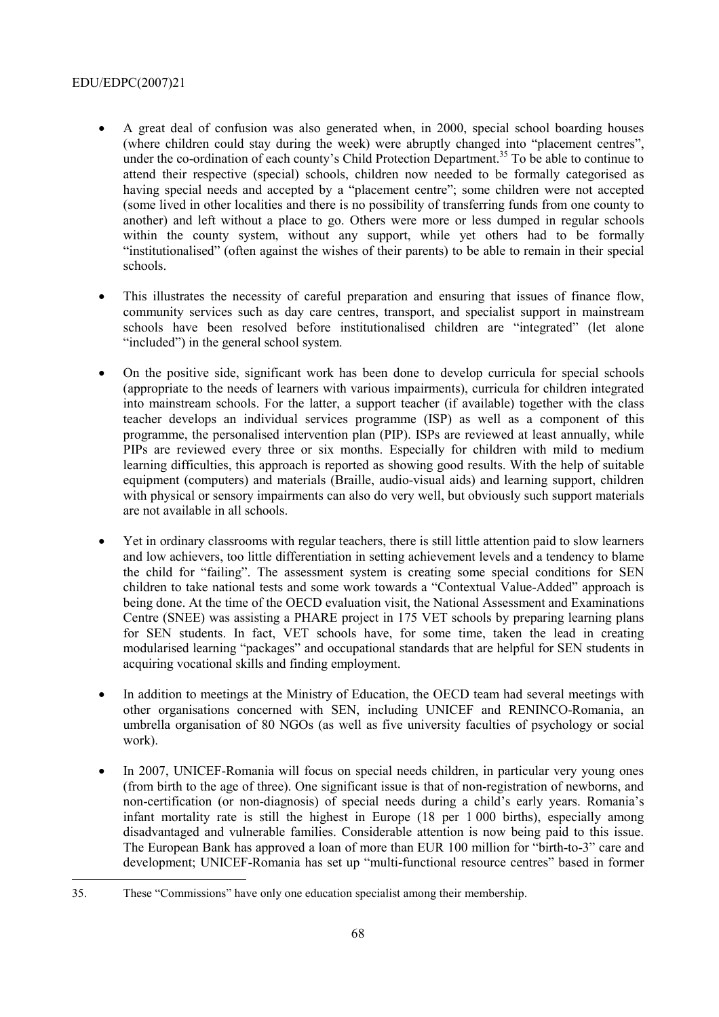- A great deal of confusion was also generated when, in 2000, special school boarding houses (where children could stay during the week) were abruptly changed into "placement centres", under the co-ordination of each county's Child Protection Department.<sup>35</sup> To be able to continue to attend their respective (special) schools, children now needed to be formally categorised as having special needs and accepted by a "placement centre"; some children were not accepted (some lived in other localities and there is no possibility of transferring funds from one county to another) and left without a place to go. Others were more or less dumped in regular schools within the county system, without any support, while yet others had to be formally ìinstitutionalisedî (often against the wishes of their parents) to be able to remain in their special schools.
- This illustrates the necessity of careful preparation and ensuring that issues of finance flow, community services such as day care centres, transport, and specialist support in mainstream schools have been resolved before institutionalised children are "integrated" (let alone "included") in the general school system.
- On the positive side, significant work has been done to develop curricula for special schools (appropriate to the needs of learners with various impairments), curricula for children integrated into mainstream schools. For the latter, a support teacher (if available) together with the class teacher develops an individual services programme (ISP) as well as a component of this programme, the personalised intervention plan (PIP). ISPs are reviewed at least annually, while PIPs are reviewed every three or six months. Especially for children with mild to medium learning difficulties, this approach is reported as showing good results. With the help of suitable equipment (computers) and materials (Braille, audio-visual aids) and learning support, children with physical or sensory impairments can also do very well, but obviously such support materials are not available in all schools.
- Yet in ordinary classrooms with regular teachers, there is still little attention paid to slow learners and low achievers, too little differentiation in setting achievement levels and a tendency to blame the child for "failing". The assessment system is creating some special conditions for SEN children to take national tests and some work towards a "Contextual Value-Added" approach is being done. At the time of the OECD evaluation visit, the National Assessment and Examinations Centre (SNEE) was assisting a PHARE project in 175 VET schools by preparing learning plans for SEN students. In fact, VET schools have, for some time, taken the lead in creating modularised learning "packages" and occupational standards that are helpful for SEN students in acquiring vocational skills and finding employment.
- In addition to meetings at the Ministry of Education, the OECD team had several meetings with other organisations concerned with SEN, including UNICEF and RENINCO-Romania, an umbrella organisation of 80 NGOs (as well as five university faculties of psychology or social work).
- In 2007, UNICEF-Romania will focus on special needs children, in particular very young ones (from birth to the age of three). One significant issue is that of non-registration of newborns, and non-certification (or non-diagnosis) of special needs during a child's early years. Romania's infant mortality rate is still the highest in Europe (18 per 1 000 births), especially among disadvantaged and vulnerable families. Considerable attention is now being paid to this issue. The European Bank has approved a loan of more than EUR 100 million for "birth-to-3" care and development; UNICEF-Romania has set up "multi-functional resource centres" based in former

<sup>35.</sup> These "Commissions" have only one education specialist among their membership.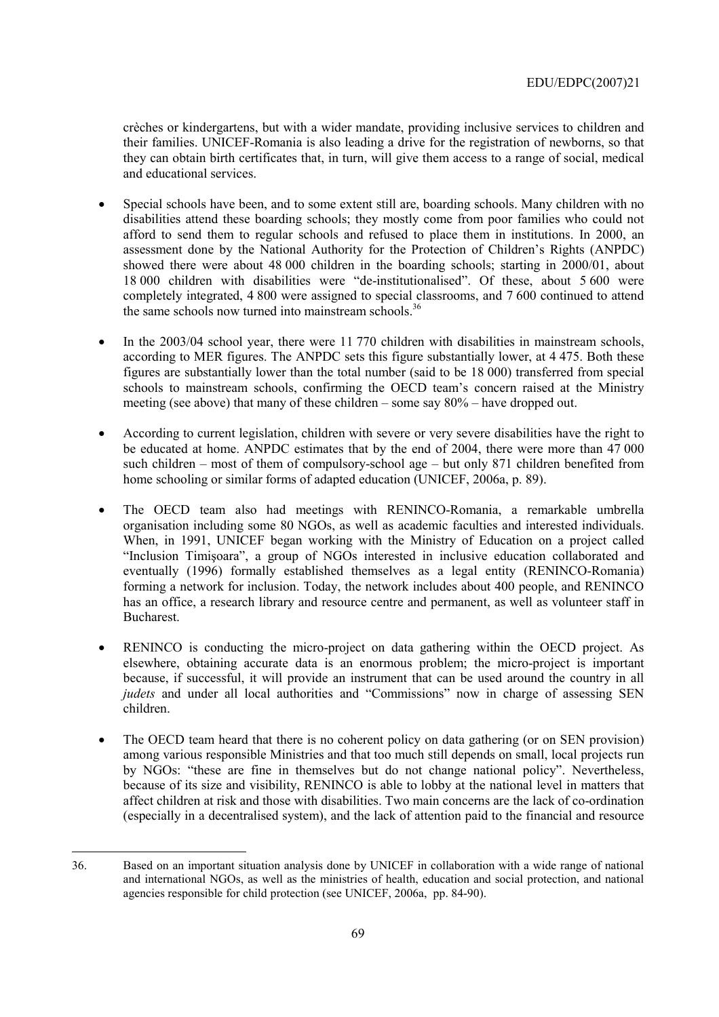crËches or kindergartens, but with a wider mandate, providing inclusive services to children and their families. UNICEF-Romania is also leading a drive for the registration of newborns, so that they can obtain birth certificates that, in turn, will give them access to a range of social, medical and educational services.

- Special schools have been, and to some extent still are, boarding schools. Many children with no disabilities attend these boarding schools; they mostly come from poor families who could not afford to send them to regular schools and refused to place them in institutions. In 2000, an assessment done by the National Authority for the Protection of Children's Rights (ANPDC) showed there were about 48 000 children in the boarding schools; starting in 2000/01, about 18 000 children with disabilities were "de-institutionalised". Of these, about 5 600 were completely integrated, 4 800 were assigned to special classrooms, and 7 600 continued to attend the same schools now turned into mainstream schools.<sup>36</sup>
- In the 2003/04 school year, there were 11 770 children with disabilities in mainstream schools, according to MER figures. The ANPDC sets this figure substantially lower, at 4 475. Both these figures are substantially lower than the total number (said to be 18 000) transferred from special schools to mainstream schools, confirming the OECD team's concern raised at the Ministry meeting (see above) that many of these children  $-$  some say  $80\%$   $-$  have dropped out.
- According to current legislation, children with severe or very severe disabilities have the right to be educated at home. ANPDC estimates that by the end of 2004, there were more than 47 000 such children  $-$  most of them of compulsory-school age  $-$  but only 871 children benefited from home schooling or similar forms of adapted education (UNICEF, 2006a, p. 89).
- The OECD team also had meetings with RENINCO-Romania, a remarkable umbrella organisation including some 80 NGOs, as well as academic faculties and interested individuals. When, in 1991, UNICEF began working with the Ministry of Education on a project called "Inclusion Timișoara", a group of NGOs interested in inclusive education collaborated and eventually (1996) formally established themselves as a legal entity (RENINCO-Romania) forming a network for inclusion. Today, the network includes about 400 people, and RENINCO has an office, a research library and resource centre and permanent, as well as volunteer staff in Bucharest.
- RENINCO is conducting the micro-project on data gathering within the OECD project. As elsewhere, obtaining accurate data is an enormous problem; the micro-project is important because, if successful, it will provide an instrument that can be used around the country in all *judets* and under all local authorities and "Commissions" now in charge of assessing SEN children.
- The OECD team heard that there is no coherent policy on data gathering (or on SEN provision) among various responsible Ministries and that too much still depends on small, local projects run by NGOs: "these are fine in themselves but do not change national policy". Nevertheless, because of its size and visibility, RENINCO is able to lobby at the national level in matters that affect children at risk and those with disabilities. Two main concerns are the lack of co-ordination (especially in a decentralised system), and the lack of attention paid to the financial and resource

 $\overline{a}$ 36. Based on an important situation analysis done by UNICEF in collaboration with a wide range of national and international NGOs, as well as the ministries of health, education and social protection, and national agencies responsible for child protection (see UNICEF, 2006a, pp. 84-90).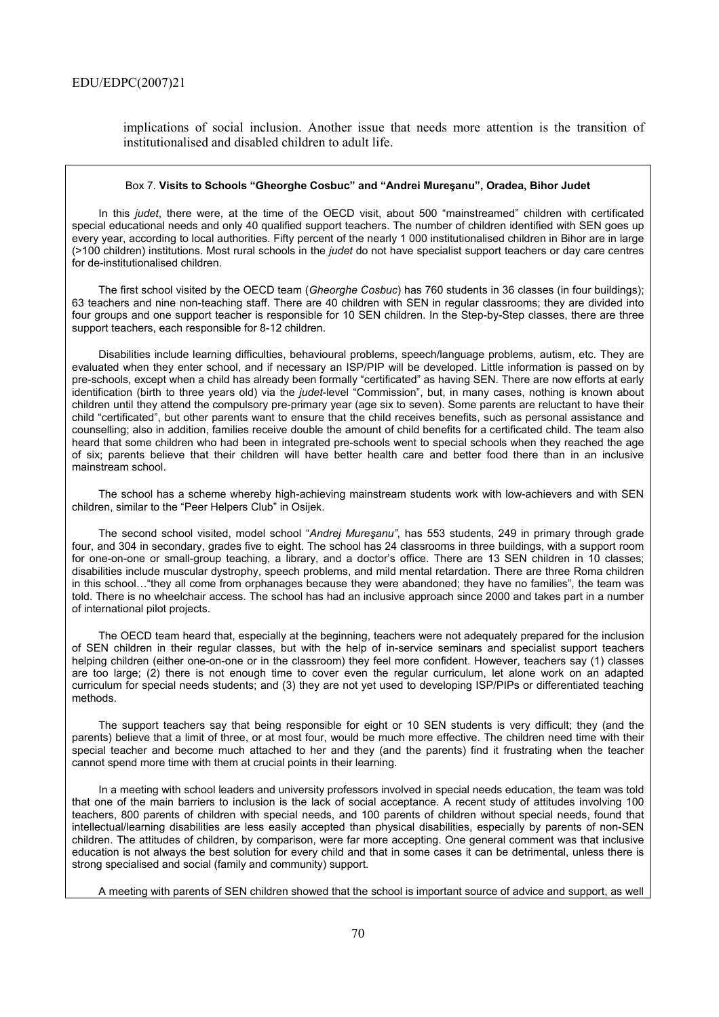implications of social inclusion. Another issue that needs more attention is the transition of institutionalised and disabled children to adult life.

#### Box 7. Visits to Schools "Gheorghe Cosbuc" and "Andrei Muresanu", Oradea, Bihor Judet

In this *judet*, there were, at the time of the OECD visit, about 500 "mainstreamed" children with certificated special educational needs and only 40 qualified support teachers. The number of children identified with SEN goes up every year, according to local authorities. Fifty percent of the nearly 1 000 institutionalised children in Bihor are in large (>100 children) institutions. Most rural schools in the *judet* do not have specialist support teachers or day care centres for de-institutionalised children.

The first school visited by the OECD team (*Gheorghe Cosbuc*) has 760 students in 36 classes (in four buildings); 63 teachers and nine non-teaching staff. There are 40 children with SEN in regular classrooms; they are divided into four groups and one support teacher is responsible for 10 SEN children. In the Step-by-Step classes, there are three support teachers, each responsible for 8-12 children.

Disabilities include learning difficulties, behavioural problems, speech/language problems, autism, etc. They are evaluated when they enter school, and if necessary an ISP/PIP will be developed. Little information is passed on by pre-schools, except when a child has already been formally "certificated" as having SEN. There are now efforts at early identification (birth to three years old) via the *judet*-level "Commission", but, in many cases, nothing is known about children until they attend the compulsory pre-primary year (age six to seven). Some parents are reluctant to have their child "certificated", but other parents want to ensure that the child receives benefits, such as personal assistance and counselling; also in addition, families receive double the amount of child benefits for a certificated child. The team also heard that some children who had been in integrated pre-schools went to special schools when they reached the age of six; parents believe that their children will have better health care and better food there than in an inclusive mainstream school.

The school has a scheme whereby high-achieving mainstream students work with low-achievers and with SEN children, similar to the "Peer Helpers Club" in Osijek.

The second school visited, model school "Andrej Mureşanu", has 553 students, 249 in primary through grade four, and 304 in secondary, grades five to eight. The school has 24 classrooms in three buildings, with a support room for one-on-one or small-group teaching, a library, and a doctor's office. There are 13 SEN children in 10 classes; disabilities include muscular dystrophy, speech problems, and mild mental retardation. There are three Roma children in this school..."they all come from orphanages because they were abandoned; they have no families", the team was told. There is no wheelchair access. The school has had an inclusive approach since 2000 and takes part in a number of international pilot projects.

The OECD team heard that, especially at the beginning, teachers were not adequately prepared for the inclusion of SEN children in their regular classes, but with the help of in-service seminars and specialist support teachers helping children (either one-on-one or in the classroom) they feel more confident. However, teachers say (1) classes are too large; (2) there is not enough time to cover even the regular curriculum, let alone work on an adapted curriculum for special needs students; and (3) they are not yet used to developing ISP/PIPs or differentiated teaching methods.

The support teachers say that being responsible for eight or 10 SEN students is very difficult; they (and the parents) believe that a limit of three, or at most four, would be much more effective. The children need time with their special teacher and become much attached to her and they (and the parents) find it frustrating when the teacher cannot spend more time with them at crucial points in their learning.

In a meeting with school leaders and university professors involved in special needs education, the team was told that one of the main barriers to inclusion is the lack of social acceptance. A recent study of attitudes involving 100 teachers, 800 parents of children with special needs, and 100 parents of children without special needs, found that intellectual/learning disabilities are less easily accepted than physical disabilities, especially by parents of non-SEN children. The attitudes of children, by comparison, were far more accepting. One general comment was that inclusive education is not always the best solution for every child and that in some cases it can be detrimental, unless there is strong specialised and social (family and community) support.

A meeting with parents of SEN children showed that the school is important source of advice and support, as well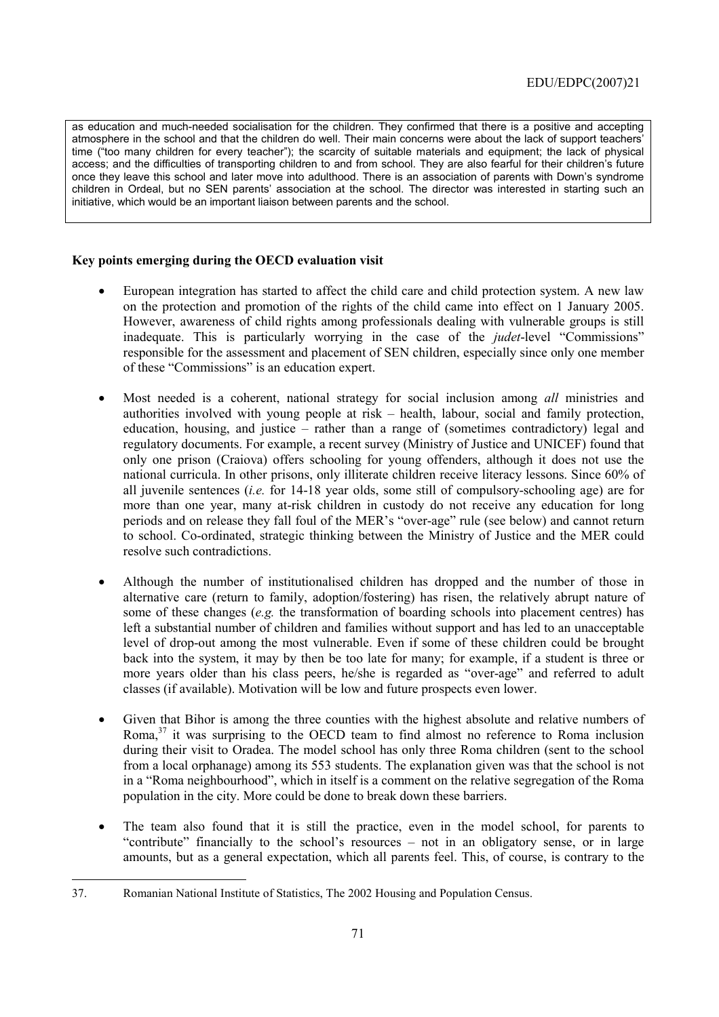as education and much-needed socialisation for the children. They confirmed that there is a positive and accepting atmosphere in the school and that the children do well. Their main concerns were about the lack of support teachersí time ("too many children for every teacher"); the scarcity of suitable materials and equipment; the lack of physical access; and the difficulties of transporting children to and from school. They are also fearful for their childrenís future once they leave this school and later move into adulthood. There is an association of parents with Downís syndrome children in Ordeal, but no SEN parents' association at the school. The director was interested in starting such an initiative, which would be an important liaison between parents and the school.

# **Key points emerging during the OECD evaluation visit**

- European integration has started to affect the child care and child protection system. A new law on the protection and promotion of the rights of the child came into effect on 1 January 2005. However, awareness of child rights among professionals dealing with vulnerable groups is still inadequate. This is particularly worrying in the case of the *judet*-level "Commissions" responsible for the assessment and placement of SEN children, especially since only one member of these "Commissions" is an education expert.
- Most needed is a coherent, national strategy for social inclusion among *all* ministries and authorities involved with young people at risk  $-$  health, labour, social and family protection, education, housing, and justice  $-$  rather than a range of (sometimes contradictory) legal and regulatory documents. For example, a recent survey (Ministry of Justice and UNICEF) found that only one prison (Craiova) offers schooling for young offenders, although it does not use the national curricula. In other prisons, only illiterate children receive literacy lessons. Since 60% of all juvenile sentences (*i.e.* for 14-18 year olds, some still of compulsory-schooling age) are for more than one year, many at-risk children in custody do not receive any education for long periods and on release they fall foul of the MER's "over-age" rule (see below) and cannot return to school. Co-ordinated, strategic thinking between the Ministry of Justice and the MER could resolve such contradictions.
- Although the number of institutionalised children has dropped and the number of those in alternative care (return to family, adoption/fostering) has risen, the relatively abrupt nature of some of these changes (*e.g.* the transformation of boarding schools into placement centres) has left a substantial number of children and families without support and has led to an unacceptable level of drop-out among the most vulnerable. Even if some of these children could be brought back into the system, it may by then be too late for many; for example, if a student is three or more years older than his class peers, he/she is regarded as "over-age" and referred to adult classes (if available). Motivation will be low and future prospects even lower.
- Given that Bihor is among the three counties with the highest absolute and relative numbers of Roma,<sup>37</sup> it was surprising to the OECD team to find almost no reference to Roma inclusion during their visit to Oradea. The model school has only three Roma children (sent to the school from a local orphanage) among its 553 students. The explanation given was that the school is not in a "Roma neighbourhood", which in itself is a comment on the relative segregation of the Roma population in the city. More could be done to break down these barriers.
- The team also found that it is still the practice, even in the model school, for parents to "contribute" financially to the school's resources  $-$  not in an obligatory sense, or in large amounts, but as a general expectation, which all parents feel. This, of course, is contrary to the

<sup>37.</sup> Romanian National Institute of Statistics, The 2002 Housing and Population Census.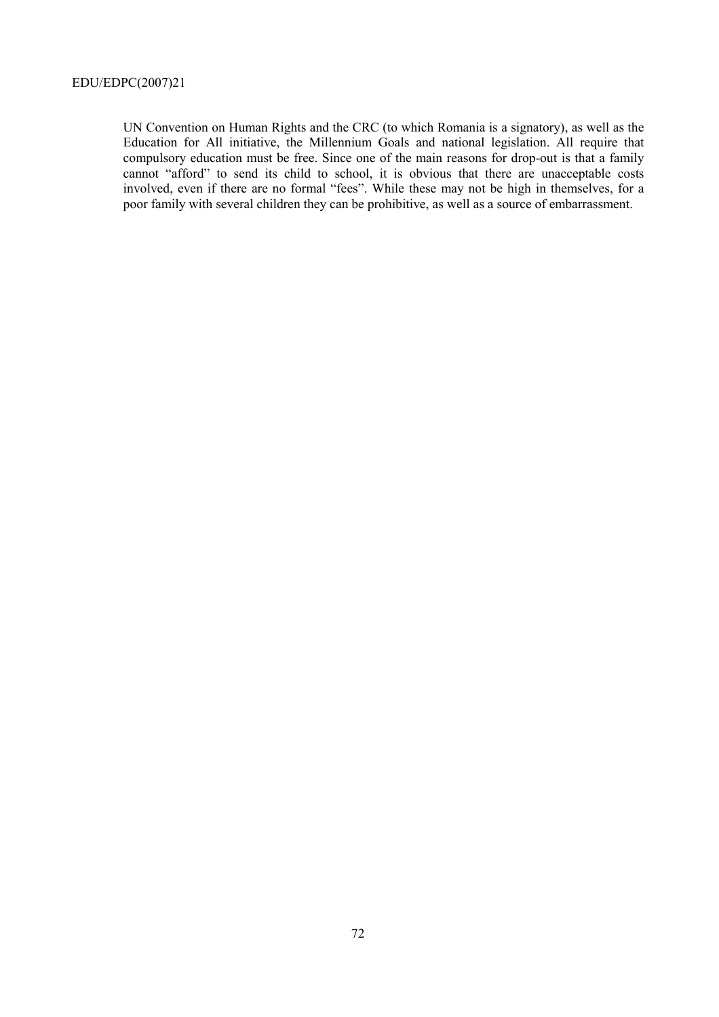UN Convention on Human Rights and the CRC (to which Romania is a signatory), as well as the Education for All initiative, the Millennium Goals and national legislation. All require that compulsory education must be free. Since one of the main reasons for drop-out is that a family cannot "afford" to send its child to school, it is obvious that there are unacceptable costs involved, even if there are no formal "fees". While these may not be high in themselves, for a poor family with several children they can be prohibitive, as well as a source of embarrassment.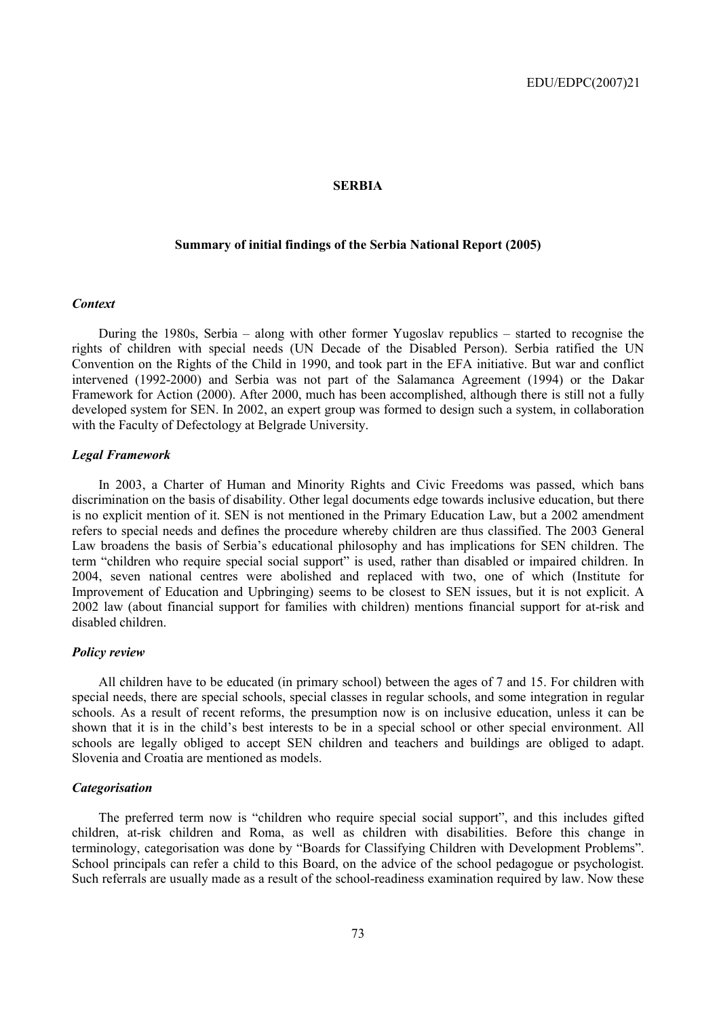### **SERBIA**

## **Summary of initial findings of the Serbia National Report (2005)**

#### *Context*

During the 1980s, Serbia  $-$  along with other former Yugoslav republics  $-$  started to recognise the rights of children with special needs (UN Decade of the Disabled Person). Serbia ratified the UN Convention on the Rights of the Child in 1990, and took part in the EFA initiative. But war and conflict intervened (1992-2000) and Serbia was not part of the Salamanca Agreement (1994) or the Dakar Framework for Action (2000). After 2000, much has been accomplished, although there is still not a fully developed system for SEN. In 2002, an expert group was formed to design such a system, in collaboration with the Faculty of Defectology at Belgrade University.

#### *Legal Framework*

In 2003, a Charter of Human and Minority Rights and Civic Freedoms was passed, which bans discrimination on the basis of disability. Other legal documents edge towards inclusive education, but there is no explicit mention of it. SEN is not mentioned in the Primary Education Law, but a 2002 amendment refers to special needs and defines the procedure whereby children are thus classified. The 2003 General Law broadens the basis of Serbia's educational philosophy and has implications for SEN children. The term "children who require special social support" is used, rather than disabled or impaired children. In 2004, seven national centres were abolished and replaced with two, one of which (Institute for Improvement of Education and Upbringing) seems to be closest to SEN issues, but it is not explicit. A 2002 law (about financial support for families with children) mentions financial support for at-risk and disabled children.

## *Policy review*

All children have to be educated (in primary school) between the ages of 7 and 15. For children with special needs, there are special schools, special classes in regular schools, and some integration in regular schools. As a result of recent reforms, the presumption now is on inclusive education, unless it can be shown that it is in the child's best interests to be in a special school or other special environment. All schools are legally obliged to accept SEN children and teachers and buildings are obliged to adapt. Slovenia and Croatia are mentioned as models.

#### *Categorisation*

The preferred term now is "children who require special social support", and this includes gifted children, at-risk children and Roma, as well as children with disabilities. Before this change in terminology, categorisation was done by "Boards for Classifying Children with Development Problems". School principals can refer a child to this Board, on the advice of the school pedagogue or psychologist. Such referrals are usually made as a result of the school-readiness examination required by law. Now these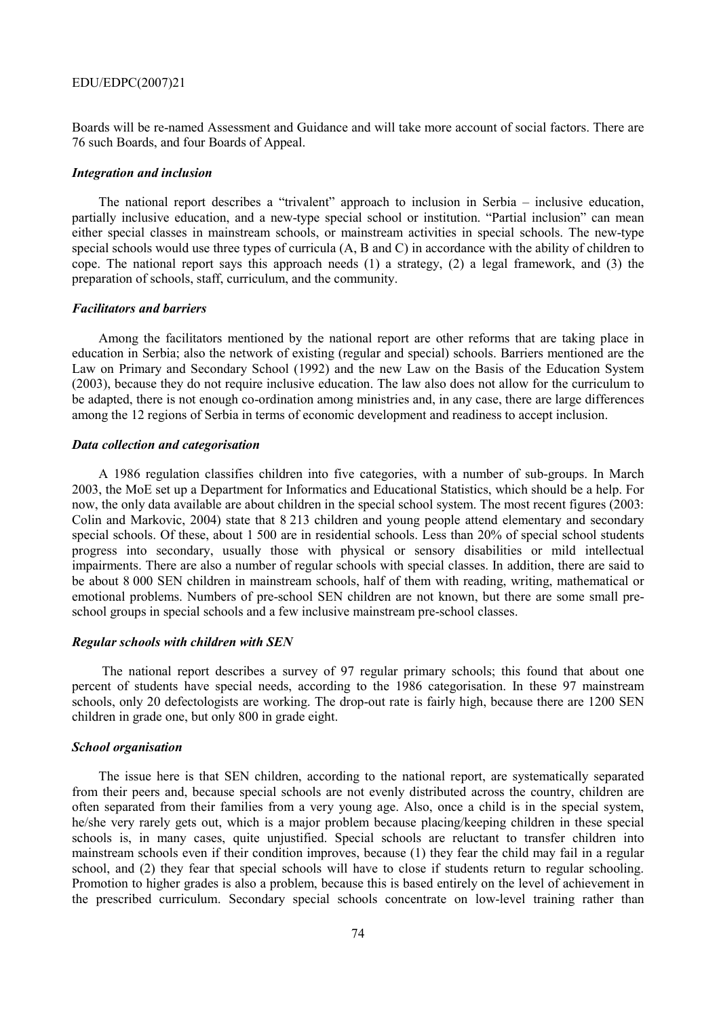Boards will be re-named Assessment and Guidance and will take more account of social factors. There are 76 such Boards, and four Boards of Appeal.

#### *Integration and inclusion*

The national report describes a "trivalent" approach to inclusion in Serbia  $-$  inclusive education, partially inclusive education, and a new-type special school or institution. "Partial inclusion" can mean either special classes in mainstream schools, or mainstream activities in special schools. The new-type special schools would use three types of curricula (A, B and C) in accordance with the ability of children to cope. The national report says this approach needs (1) a strategy, (2) a legal framework, and (3) the preparation of schools, staff, curriculum, and the community.

### *Facilitators and barriers*

Among the facilitators mentioned by the national report are other reforms that are taking place in education in Serbia; also the network of existing (regular and special) schools. Barriers mentioned are the Law on Primary and Secondary School (1992) and the new Law on the Basis of the Education System (2003), because they do not require inclusive education. The law also does not allow for the curriculum to be adapted, there is not enough co-ordination among ministries and, in any case, there are large differences among the 12 regions of Serbia in terms of economic development and readiness to accept inclusion.

## *Data collection and categorisation*

A 1986 regulation classifies children into five categories, with a number of sub-groups. In March 2003, the MoE set up a Department for Informatics and Educational Statistics, which should be a help. For now, the only data available are about children in the special school system. The most recent figures (2003: Colin and Markovic, 2004) state that 8 213 children and young people attend elementary and secondary special schools. Of these, about 1 500 are in residential schools. Less than 20% of special school students progress into secondary, usually those with physical or sensory disabilities or mild intellectual impairments. There are also a number of regular schools with special classes. In addition, there are said to be about 8 000 SEN children in mainstream schools, half of them with reading, writing, mathematical or emotional problems. Numbers of pre-school SEN children are not known, but there are some small preschool groups in special schools and a few inclusive mainstream pre-school classes.

## *Regular schools with children with SEN*

The national report describes a survey of 97 regular primary schools; this found that about one percent of students have special needs, according to the 1986 categorisation. In these 97 mainstream schools, only 20 defectologists are working. The drop-out rate is fairly high, because there are 1200 SEN children in grade one, but only 800 in grade eight.

## *School organisation*

The issue here is that SEN children, according to the national report, are systematically separated from their peers and, because special schools are not evenly distributed across the country, children are often separated from their families from a very young age. Also, once a child is in the special system, he/she very rarely gets out, which is a major problem because placing/keeping children in these special schools is, in many cases, quite unjustified. Special schools are reluctant to transfer children into mainstream schools even if their condition improves, because (1) they fear the child may fail in a regular school, and (2) they fear that special schools will have to close if students return to regular schooling. Promotion to higher grades is also a problem, because this is based entirely on the level of achievement in the prescribed curriculum. Secondary special schools concentrate on low-level training rather than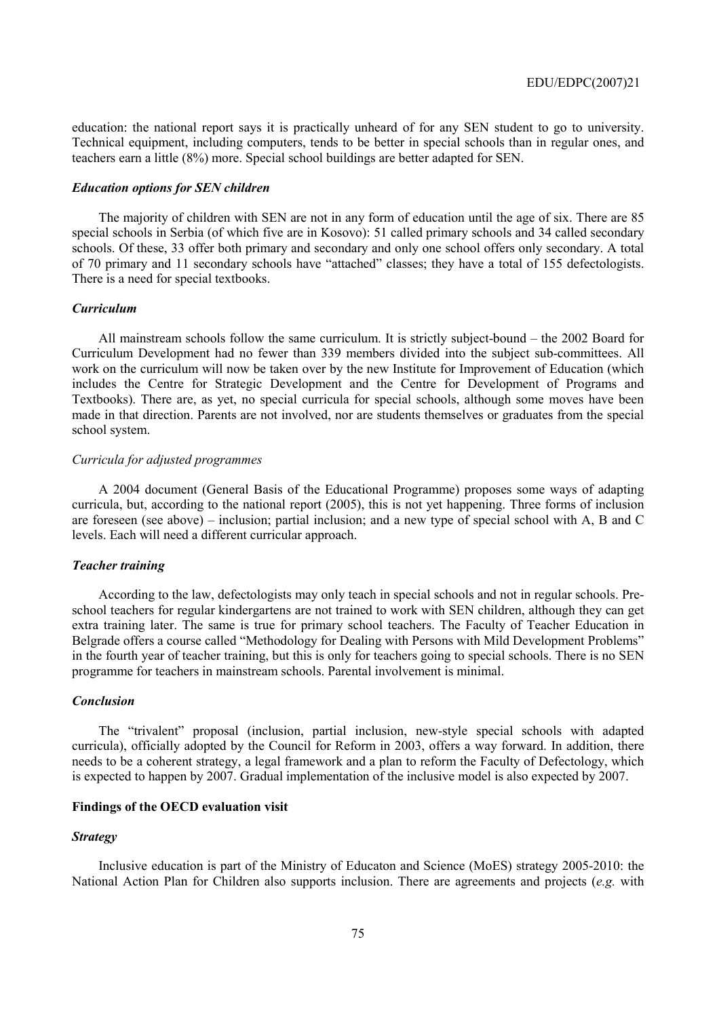education: the national report says it is practically unheard of for any SEN student to go to university. Technical equipment, including computers, tends to be better in special schools than in regular ones, and teachers earn a little (8%) more. Special school buildings are better adapted for SEN.

#### *Education options for SEN children*

The majority of children with SEN are not in any form of education until the age of six. There are 85 special schools in Serbia (of which five are in Kosovo): 51 called primary schools and 34 called secondary schools. Of these, 33 offer both primary and secondary and only one school offers only secondary. A total of 70 primary and 11 secondary schools have "attached" classes; they have a total of 155 defectologists. There is a need for special textbooks.

#### *Curriculum*

All mainstream schools follow the same curriculum. It is strictly subject-bound  $-$  the 2002 Board for Curriculum Development had no fewer than 339 members divided into the subject sub-committees. All work on the curriculum will now be taken over by the new Institute for Improvement of Education (which includes the Centre for Strategic Development and the Centre for Development of Programs and Textbooks). There are, as yet, no special curricula for special schools, although some moves have been made in that direction. Parents are not involved, nor are students themselves or graduates from the special school system.

#### *Curricula for adjusted programmes*

A 2004 document (General Basis of the Educational Programme) proposes some ways of adapting curricula, but, according to the national report (2005), this is not yet happening. Three forms of inclusion are foreseen (see above) – inclusion; partial inclusion; and a new type of special school with A, B and C levels. Each will need a different curricular approach.

### *Teacher training*

According to the law, defectologists may only teach in special schools and not in regular schools. Preschool teachers for regular kindergartens are not trained to work with SEN children, although they can get extra training later. The same is true for primary school teachers. The Faculty of Teacher Education in Belgrade offers a course called "Methodology for Dealing with Persons with Mild Development Problems" in the fourth year of teacher training, but this is only for teachers going to special schools. There is no SEN programme for teachers in mainstream schools. Parental involvement is minimal.

#### *Conclusion*

The "trivalent" proposal (inclusion, partial inclusion, new-style special schools with adapted curricula), officially adopted by the Council for Reform in 2003, offers a way forward. In addition, there needs to be a coherent strategy, a legal framework and a plan to reform the Faculty of Defectology, which is expected to happen by 2007. Gradual implementation of the inclusive model is also expected by 2007.

### **Findings of the OECD evaluation visit**

#### *Strategy*

Inclusive education is part of the Ministry of Educaton and Science (MoES) strategy 2005-2010: the National Action Plan for Children also supports inclusion. There are agreements and projects (*e.g.* with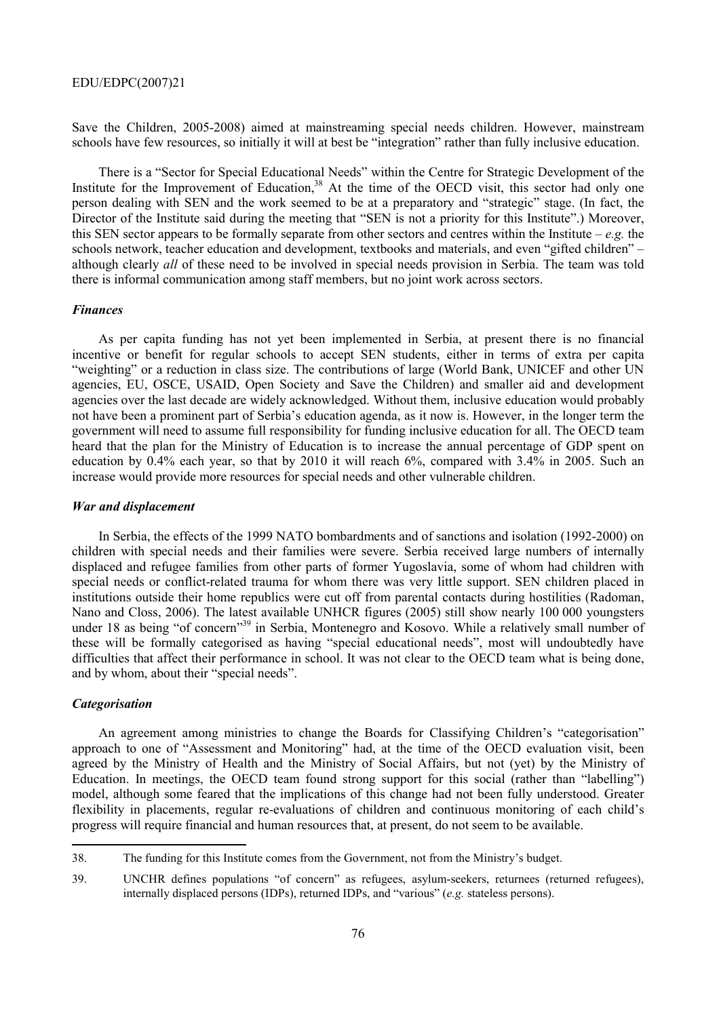Save the Children, 2005-2008) aimed at mainstreaming special needs children. However, mainstream schools have few resources, so initially it will at best be "integration" rather than fully inclusive education.

There is a "Sector for Special Educational Needs" within the Centre for Strategic Development of the Institute for the Improvement of Education,<sup>38</sup> At the time of the OECD visit, this sector had only one person dealing with SEN and the work seemed to be at a preparatory and "strategic" stage. (In fact, the Director of the Institute said during the meeting that "SEN is not a priority for this Institute".) Moreover, this SEN sector appears to be formally separate from other sectors and centres within the Institute  $-e.\overline{e}$ , the schools network, teacher education and development, textbooks and materials, and even "gifted children" – although clearly *all* of these need to be involved in special needs provision in Serbia. The team was told there is informal communication among staff members, but no joint work across sectors.

## *Finances*

As per capita funding has not yet been implemented in Serbia, at present there is no financial incentive or benefit for regular schools to accept SEN students, either in terms of extra per capita ìweightingî or a reduction in class size. The contributions of large (World Bank, UNICEF and other UN agencies, EU, OSCE, USAID, Open Society and Save the Children) and smaller aid and development agencies over the last decade are widely acknowledged. Without them, inclusive education would probably not have been a prominent part of Serbia's education agenda, as it now is. However, in the longer term the government will need to assume full responsibility for funding inclusive education for all. The OECD team heard that the plan for the Ministry of Education is to increase the annual percentage of GDP spent on education by 0.4% each year, so that by 2010 it will reach 6%, compared with 3.4% in 2005. Such an increase would provide more resources for special needs and other vulnerable children.

#### *War and displacement*

In Serbia, the effects of the 1999 NATO bombardments and of sanctions and isolation (1992-2000) on children with special needs and their families were severe. Serbia received large numbers of internally displaced and refugee families from other parts of former Yugoslavia, some of whom had children with special needs or conflict-related trauma for whom there was very little support. SEN children placed in institutions outside their home republics were cut off from parental contacts during hostilities (Radoman, Nano and Closs, 2006). The latest available UNHCR figures (2005) still show nearly 100 000 youngsters under 18 as being "of concern<sup>339</sup> in Serbia, Montenegro and Kosovo. While a relatively small number of these will be formally categorised as having "special educational needs", most will undoubtedly have difficulties that affect their performance in school. It was not clear to the OECD team what is being done, and by whom, about their "special needs".

### *Categorisation*

 $\overline{a}$ 

An agreement among ministries to change the Boards for Classifying Children's "categorisation" approach to one of "Assessment and Monitoring" had, at the time of the OECD evaluation visit, been agreed by the Ministry of Health and the Ministry of Social Affairs, but not (yet) by the Ministry of Education. In meetings, the OECD team found strong support for this social (rather than "labelling") model, although some feared that the implications of this change had not been fully understood. Greater flexibility in placements, regular re-evaluations of children and continuous monitoring of each child's progress will require financial and human resources that, at present, do not seem to be available.

<sup>38.</sup> The funding for this Institute comes from the Government, not from the Ministryís budget.

<sup>39.</sup> UNCHR defines populations "of concern" as refugees, asylum-seekers, returnees (returned refugees), internally displaced persons (IDPs), returned IDPs, and "various" (*e.g.* stateless persons).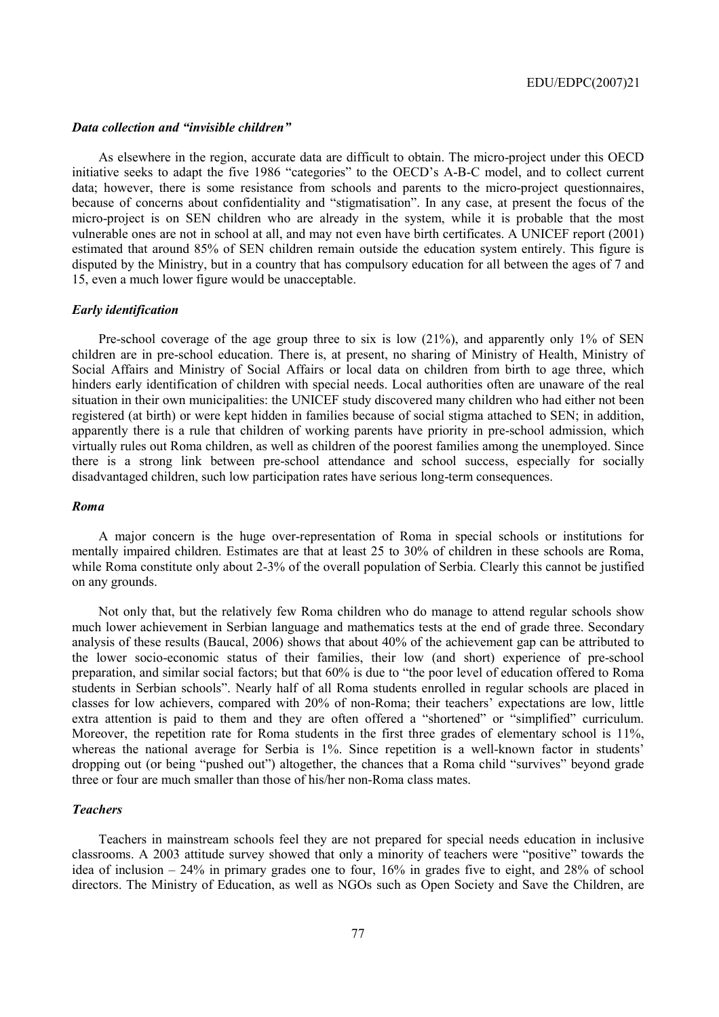### *Data collection and "invisible children"*

As elsewhere in the region, accurate data are difficult to obtain. The micro-project under this OECD initiative seeks to adapt the five 1986 "categories" to the OECD's A-B-C model, and to collect current data; however, there is some resistance from schools and parents to the micro-project questionnaires, because of concerns about confidentiality and "stigmatisation". In any case, at present the focus of the micro-project is on SEN children who are already in the system, while it is probable that the most vulnerable ones are not in school at all, and may not even have birth certificates. A UNICEF report (2001) estimated that around 85% of SEN children remain outside the education system entirely. This figure is disputed by the Ministry, but in a country that has compulsory education for all between the ages of 7 and 15, even a much lower figure would be unacceptable.

#### *Early identification*

Pre-school coverage of the age group three to six is low (21%), and apparently only 1% of SEN children are in pre-school education. There is, at present, no sharing of Ministry of Health, Ministry of Social Affairs and Ministry of Social Affairs or local data on children from birth to age three, which hinders early identification of children with special needs. Local authorities often are unaware of the real situation in their own municipalities: the UNICEF study discovered many children who had either not been registered (at birth) or were kept hidden in families because of social stigma attached to SEN; in addition, apparently there is a rule that children of working parents have priority in pre-school admission, which virtually rules out Roma children, as well as children of the poorest families among the unemployed. Since there is a strong link between pre-school attendance and school success, especially for socially disadvantaged children, such low participation rates have serious long-term consequences.

## *Roma*

A major concern is the huge over-representation of Roma in special schools or institutions for mentally impaired children. Estimates are that at least 25 to 30% of children in these schools are Roma, while Roma constitute only about 2-3% of the overall population of Serbia. Clearly this cannot be justified on any grounds.

Not only that, but the relatively few Roma children who do manage to attend regular schools show much lower achievement in Serbian language and mathematics tests at the end of grade three. Secondary analysis of these results (Baucal, 2006) shows that about 40% of the achievement gap can be attributed to the lower socio-economic status of their families, their low (and short) experience of pre-school preparation, and similar social factors; but that 60% is due to "the poor level of education offered to Roma students in Serbian schoolsî. Nearly half of all Roma students enrolled in regular schools are placed in classes for low achievers, compared with 20% of non-Roma; their teachers' expectations are low, little extra attention is paid to them and they are often offered a "shortened" or "simplified" curriculum. Moreover, the repetition rate for Roma students in the first three grades of elementary school is 11%, whereas the national average for Serbia is  $1\%$ . Since repetition is a well-known factor in students<sup>†</sup> dropping out (or being "pushed out") altogether, the chances that a Roma child "survives" beyond grade three or four are much smaller than those of his/her non-Roma class mates.

#### *Teachers*

Teachers in mainstream schools feel they are not prepared for special needs education in inclusive classrooms. A 2003 attitude survey showed that only a minority of teachers were "positive" towards the idea of inclusion  $-24\%$  in primary grades one to four, 16% in grades five to eight, and 28% of school directors. The Ministry of Education, as well as NGOs such as Open Society and Save the Children, are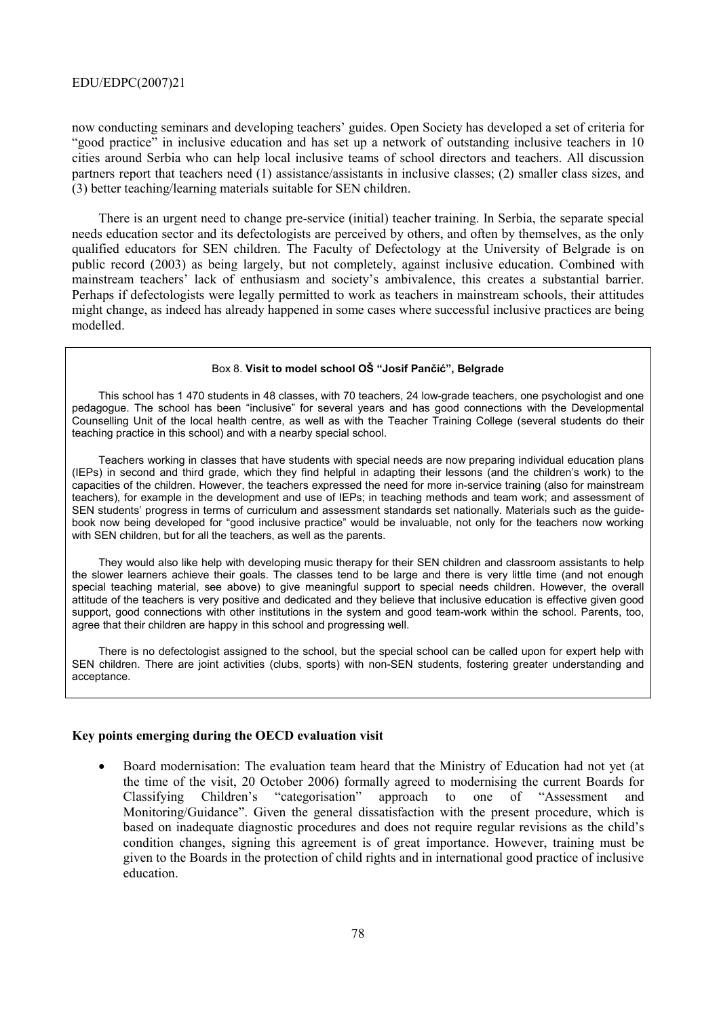now conducting seminars and developing teachersí guides. Open Society has developed a set of criteria for ìgood practiceî in inclusive education and has set up a network of outstanding inclusive teachers in 10 cities around Serbia who can help local inclusive teams of school directors and teachers. All discussion partners report that teachers need (1) assistance/assistants in inclusive classes; (2) smaller class sizes, and (3) better teaching/learning materials suitable for SEN children.

There is an urgent need to change pre-service (initial) teacher training. In Serbia, the separate special needs education sector and its defectologists are perceived by others, and often by themselves, as the only qualified educators for SEN children. The Faculty of Defectology at the University of Belgrade is on public record (2003) as being largely, but not completely, against inclusive education. Combined with mainstream teachers' lack of enthusiasm and society's ambivalence, this creates a substantial barrier. Perhaps if defectologists were legally permitted to work as teachers in mainstream schools, their attitudes might change, as indeed has already happened in some cases where successful inclusive practices are being modelled.

### Box 8. **Visit to model school Oä ìJosif Pančićî, Belgrade**

This school has 1 470 students in 48 classes, with 70 teachers, 24 low-grade teachers, one psychologist and one pedagogue. The school has been "inclusive" for several years and has good connections with the Developmental Counselling Unit of the local health centre, as well as with the Teacher Training College (several students do their teaching practice in this school) and with a nearby special school.

Teachers working in classes that have students with special needs are now preparing individual education plans (IEPs) in second and third grade, which they find helpful in adapting their lessons (and the childrenís work) to the capacities of the children. However, the teachers expressed the need for more in-service training (also for mainstream teachers), for example in the development and use of IEPs; in teaching methods and team work; and assessment of SEN students' progress in terms of curriculum and assessment standards set nationally. Materials such as the guidebook now being developed for "good inclusive practice" would be invaluable, not only for the teachers now working with SEN children, but for all the teachers, as well as the parents.

They would also like help with developing music therapy for their SEN children and classroom assistants to help the slower learners achieve their goals. The classes tend to be large and there is very little time (and not enough special teaching material, see above) to give meaningful support to special needs children. However, the overall attitude of the teachers is very positive and dedicated and they believe that inclusive education is effective given good support, good connections with other institutions in the system and good team-work within the school. Parents, too, agree that their children are happy in this school and progressing well.

There is no defectologist assigned to the school, but the special school can be called upon for expert help with SEN children. There are joint activities (clubs, sports) with non-SEN students, fostering greater understanding and acceptance.

#### **Key points emerging during the OECD evaluation visit**

• Board modernisation: The evaluation team heard that the Ministry of Education had not yet (at the time of the visit, 20 October 2006) formally agreed to modernising the current Boards for Classifying Children's "categorisation" approach to one of "Assessment and Monitoring/Guidance". Given the general dissatisfaction with the present procedure, which is based on inadequate diagnostic procedures and does not require regular revisions as the child's condition changes, signing this agreement is of great importance. However, training must be given to the Boards in the protection of child rights and in international good practice of inclusive education.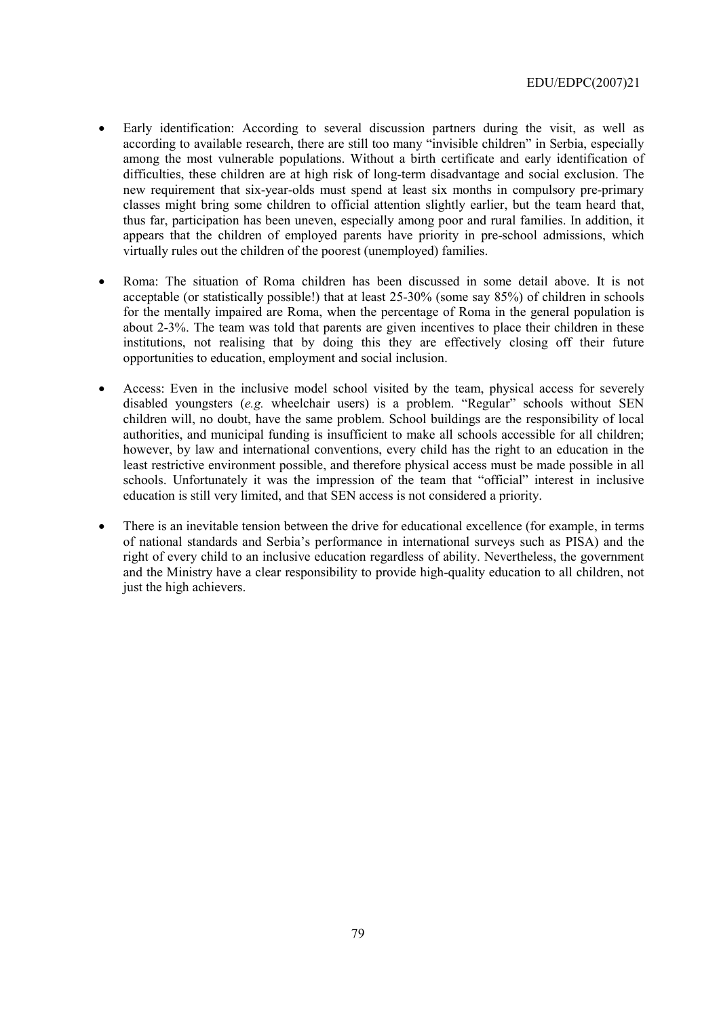- Early identification: According to several discussion partners during the visit, as well as according to available research, there are still too many "invisible children" in Serbia, especially among the most vulnerable populations. Without a birth certificate and early identification of difficulties, these children are at high risk of long-term disadvantage and social exclusion. The new requirement that six-year-olds must spend at least six months in compulsory pre-primary classes might bring some children to official attention slightly earlier, but the team heard that, thus far, participation has been uneven, especially among poor and rural families. In addition, it appears that the children of employed parents have priority in pre-school admissions, which virtually rules out the children of the poorest (unemployed) families.
- Roma: The situation of Roma children has been discussed in some detail above. It is not acceptable (or statistically possible!) that at least 25-30% (some say 85%) of children in schools for the mentally impaired are Roma, when the percentage of Roma in the general population is about 2-3%. The team was told that parents are given incentives to place their children in these institutions, not realising that by doing this they are effectively closing off their future opportunities to education, employment and social inclusion.
- Access: Even in the inclusive model school visited by the team, physical access for severely disabled youngsters  $(e.g.$  wheelchair users) is a problem. "Regular" schools without SEN children will, no doubt, have the same problem. School buildings are the responsibility of local authorities, and municipal funding is insufficient to make all schools accessible for all children; however, by law and international conventions, every child has the right to an education in the least restrictive environment possible, and therefore physical access must be made possible in all schools. Unfortunately it was the impression of the team that "official" interest in inclusive education is still very limited, and that SEN access is not considered a priority.
- There is an inevitable tension between the drive for educational excellence (for example, in terms of national standards and Serbiaís performance in international surveys such as PISA) and the right of every child to an inclusive education regardless of ability. Nevertheless, the government and the Ministry have a clear responsibility to provide high-quality education to all children, not just the high achievers.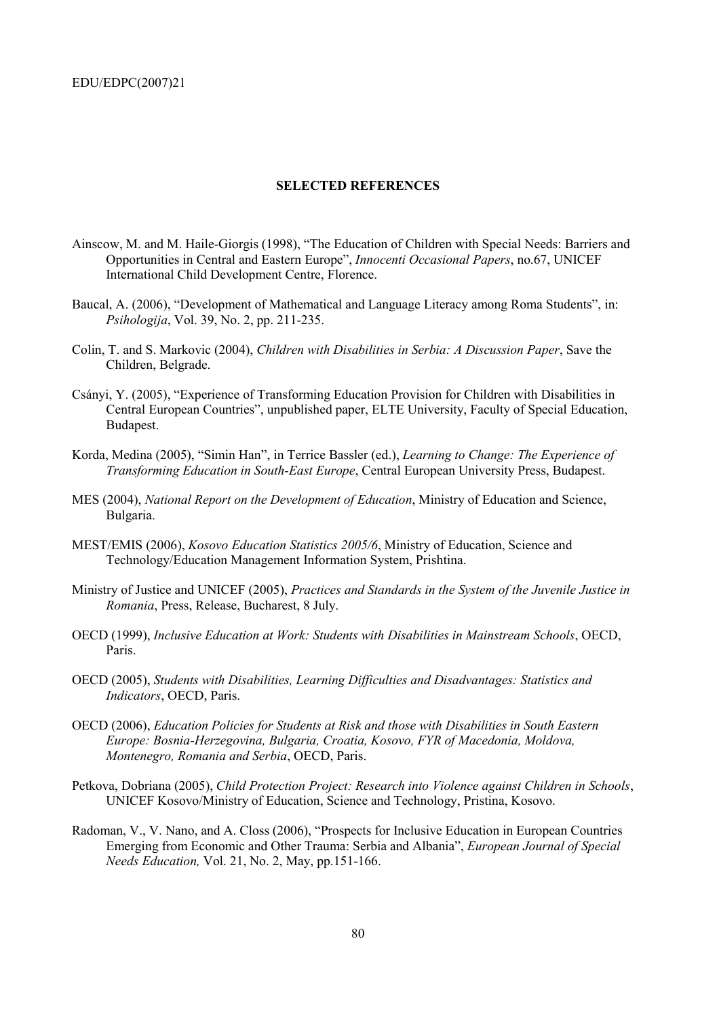#### **SELECTED REFERENCES**

- Ainscow, M. and M. Haile-Giorgis (1998), "The Education of Children with Special Needs: Barriers and Opportunities in Central and Eastern Europeî, *Innocenti Occasional Papers*, no.67, UNICEF International Child Development Centre, Florence.
- Baucal, A. (2006), "Development of Mathematical and Language Literacy among Roma Students", in: *Psihologija*, Vol. 39, No. 2, pp. 211-235.
- Colin, T. and S. Markovic (2004), *Children with Disabilities in Serbia: A Discussion Paper*, Save the Children, Belgrade.
- Csányi, Y. (2005), "Experience of Transforming Education Provision for Children with Disabilities in Central European Countries", unpublished paper, ELTE University, Faculty of Special Education, Budapest.
- Korda, Medina (2005), "Simin Han", in Terrice Bassler (ed.), *Learning to Change: The Experience of Transforming Education in South-East Europe*, Central European University Press, Budapest.
- MES (2004), *National Report on the Development of Education*, Ministry of Education and Science, Bulgaria.
- MEST/EMIS (2006), *Kosovo Education Statistics 2005/6*, Ministry of Education, Science and Technology/Education Management Information System, Prishtina.
- Ministry of Justice and UNICEF (2005), *Practices and Standards in the System of the Juvenile Justice in Romania*, Press, Release, Bucharest, 8 July.
- OECD (1999), *Inclusive Education at Work: Students with Disabilities in Mainstream Schools*, OECD, Paris.
- OECD (2005), *Students with Disabilities, Learning Difficulties and Disadvantages: Statistics and Indicators*, OECD, Paris.
- OECD (2006), *Education Policies for Students at Risk and those with Disabilities in South Eastern Europe: Bosnia-Herzegovina, Bulgaria, Croatia, Kosovo, FYR of Macedonia, Moldova, Montenegro, Romania and Serbia*, OECD, Paris.
- Petkova, Dobriana (2005), *Child Protection Project: Research into Violence against Children in Schools*, UNICEF Kosovo/Ministry of Education, Science and Technology, Pristina, Kosovo.
- Radoman, V., V. Nano, and A. Closs (2006), "Prospects for Inclusive Education in European Countries Emerging from Economic and Other Trauma: Serbia and Albaniaî, *European Journal of Special Needs Education,* Vol. 21, No. 2, May, pp.151-166.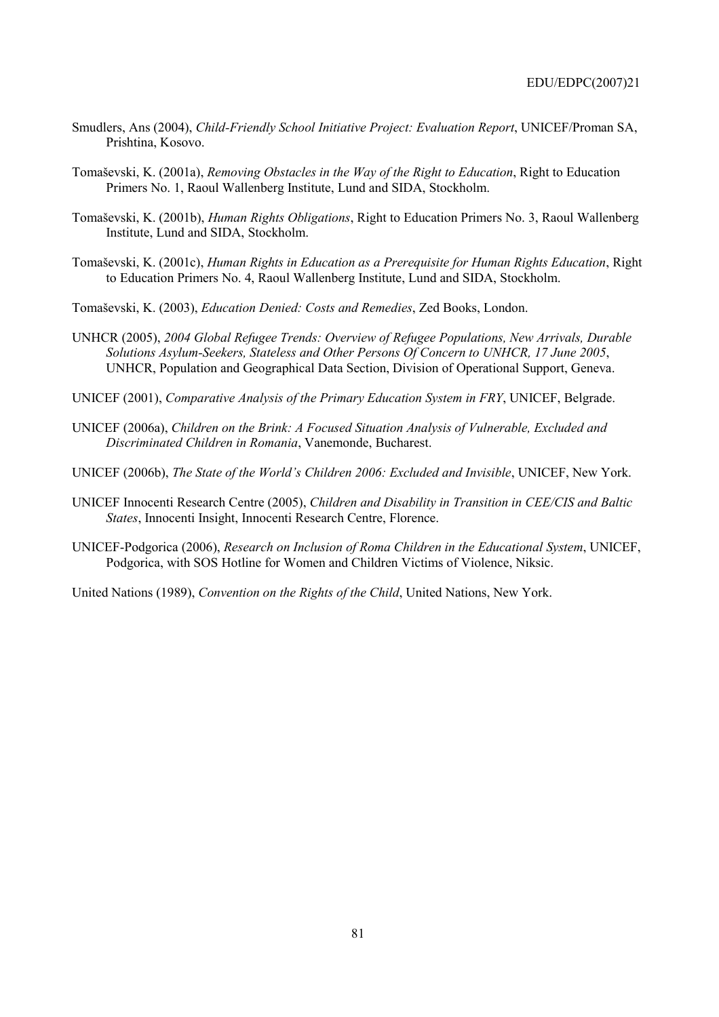- Smudlers, Ans (2004), *Child-Friendly School Initiative Project: Evaluation Report*, UNICEF/Proman SA, Prishtina, Kosovo.
- Tomaöevski, K. (2001a), *Removing Obstacles in the Way of the Right to Education*, Right to Education Primers No. 1, Raoul Wallenberg Institute, Lund and SIDA, Stockholm.
- Tomaöevski, K. (2001b), *Human Rights Obligations*, Right to Education Primers No. 3, Raoul Wallenberg Institute, Lund and SIDA, Stockholm.
- Tomaöevski, K. (2001c), *Human Rights in Education as a Prerequisite for Human Rights Education*, Right to Education Primers No. 4, Raoul Wallenberg Institute, Lund and SIDA, Stockholm.
- Tomaöevski, K. (2003), *Education Denied: Costs and Remedies*, Zed Books, London.
- UNHCR (2005), *2004 Global Refugee Trends: Overview of Refugee Populations, New Arrivals, Durable Solutions Asylum-Seekers, Stateless and Other Persons Of Concern to UNHCR, 17 June 2005*, UNHCR, Population and Geographical Data Section, Division of Operational Support, Geneva.
- UNICEF (2001), *Comparative Analysis of the Primary Education System in FRY*, UNICEF, Belgrade.
- UNICEF (2006a), *Children on the Brink: A Focused Situation Analysis of Vulnerable, Excluded and Discriminated Children in Romania*, Vanemonde, Bucharest.
- UNICEF (2006b), *The State of the World's Children 2006: Excluded and Invisible*, UNICEF, New York.
- UNICEF Innocenti Research Centre (2005), *Children and Disability in Transition in CEE/CIS and Baltic States*, Innocenti Insight, Innocenti Research Centre, Florence.
- UNICEF-Podgorica (2006), *Research on Inclusion of Roma Children in the Educational System*, UNICEF, Podgorica, with SOS Hotline for Women and Children Victims of Violence, Niksic.

United Nations (1989), *Convention on the Rights of the Child*, United Nations, New York.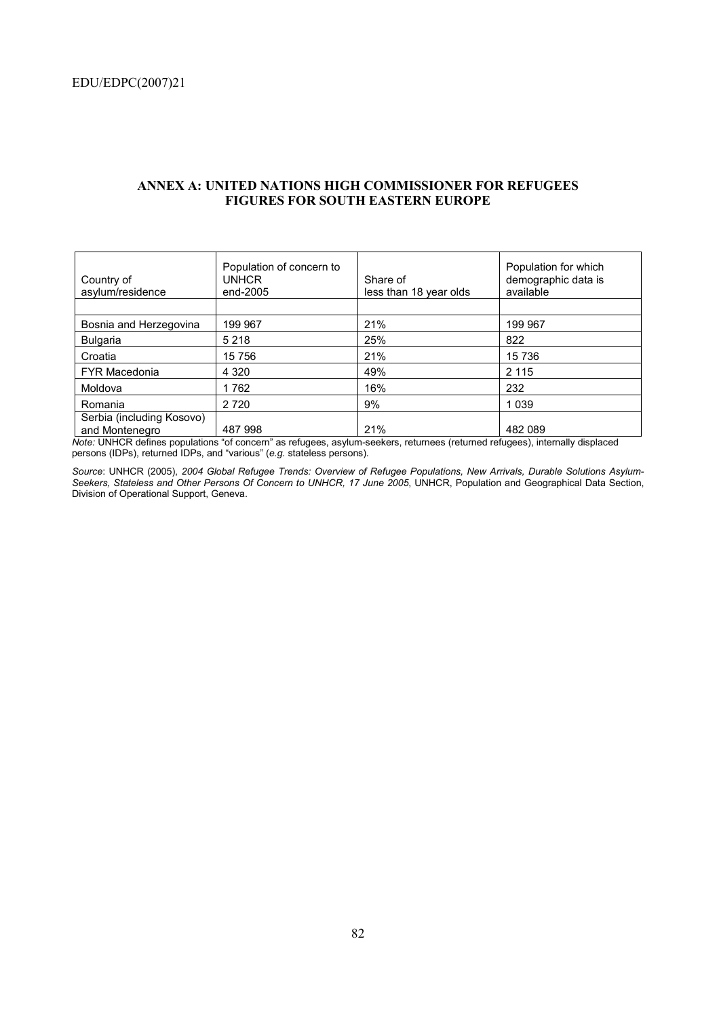| Country of<br>asylum/residence              | Population of concern to<br><b>UNHCR</b><br>end-2005 | Share of<br>less than 18 year olds | Population for which<br>demographic data is<br>available |
|---------------------------------------------|------------------------------------------------------|------------------------------------|----------------------------------------------------------|
|                                             |                                                      |                                    |                                                          |
| Bosnia and Herzegovina                      | 199 967                                              | 21%                                | 199 967                                                  |
| <b>Bulgaria</b>                             | 5 2 1 8                                              | 25%                                | 822                                                      |
| Croatia                                     | 15 756                                               | 21%                                | 15 7 36                                                  |
| <b>FYR Macedonia</b>                        | 4 3 2 0                                              | 49%                                | 2 1 1 5                                                  |
| Moldova                                     | 1762                                                 | 16%                                | 232                                                      |
| Romania                                     | 2 7 2 0                                              | 9%                                 | 1 0 3 9                                                  |
| Serbia (including Kosovo)<br>and Montenegro | 487 998                                              | 21%                                | 482 089                                                  |

## **ANNEX A: UNITED NATIONS HIGH COMMISSIONER FOR REFUGEES FIGURES FOR SOUTH EASTERN EUROPE**

Note: UNHCR defines populations "of concern" as refugees, asylum-seekers, returnees (returned refugees), internally displaced persons (IDPs), returned IDPs, and "various" (e.g. stateless persons).

*Source*: UNHCR (2005), *2004 Global Refugee Trends: Overview of Refugee Populations, New Arrivals, Durable Solutions Asylum-Seekers, Stateless and Other Persons Of Concern to UNHCR, 17 June 2005*, UNHCR, Population and Geographical Data Section, Division of Operational Support, Geneva.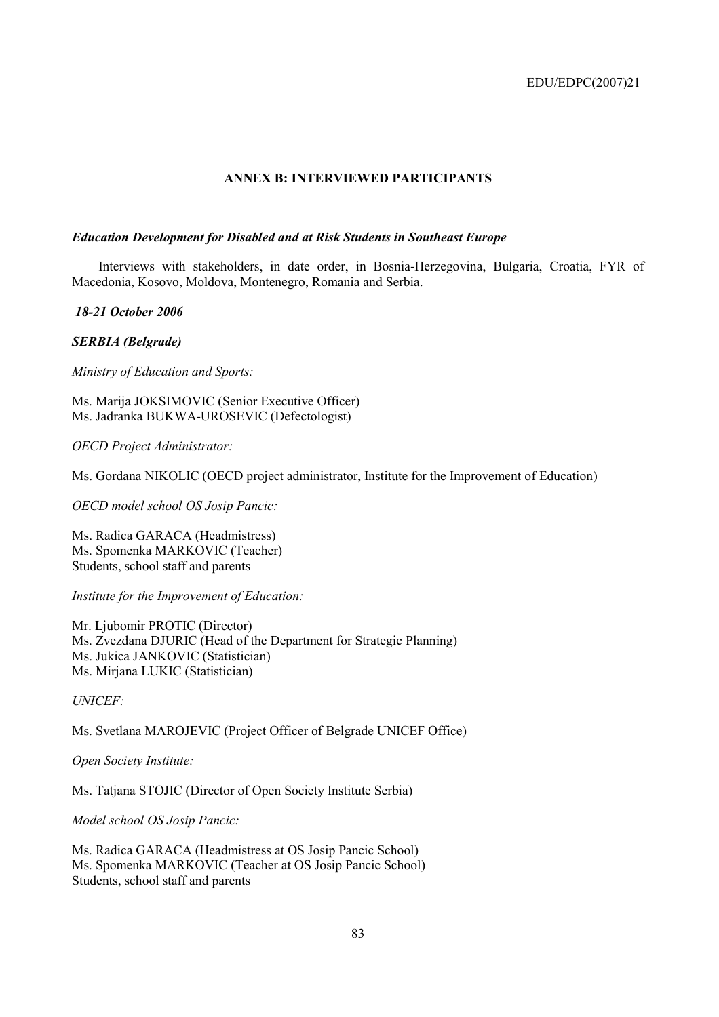## **ANNEX B: INTERVIEWED PARTICIPANTS**

## *Education Development for Disabled and at Risk Students in Southeast Europe*

Interviews with stakeholders, in date order, in Bosnia-Herzegovina, Bulgaria, Croatia, FYR of Macedonia, Kosovo, Moldova, Montenegro, Romania and Serbia.

 *18-21 October 2006* 

*SERBIA (Belgrade)* 

*Ministry of Education and Sports:* 

Ms. Marija JOKSIMOVIC (Senior Executive Officer) Ms. Jadranka BUKWA-UROSEVIC (Defectologist)

*OECD Project Administrator:* 

Ms. Gordana NIKOLIC (OECD project administrator, Institute for the Improvement of Education)

*OECD model school OS Josip Pancic:* 

Ms. Radica GARACA (Headmistress) Ms. Spomenka MARKOVIC (Teacher) Students, school staff and parents

*Institute for the Improvement of Education:* 

Mr. Ljubomir PROTIC (Director) Ms. Zvezdana DJURIC (Head of the Department for Strategic Planning) Ms. Jukica JANKOVIC (Statistician) Ms. Mirjana LUKIC (Statistician)

*UNICEF:* 

Ms. Svetlana MAROJEVIC (Project Officer of Belgrade UNICEF Office)

*Open Society Institute:* 

Ms. Tatjana STOJIC (Director of Open Society Institute Serbia)

*Model school OS Josip Pancic:* 

Ms. Radica GARACA (Headmistress at OS Josip Pancic School) Ms. Spomenka MARKOVIC (Teacher at OS Josip Pancic School) Students, school staff and parents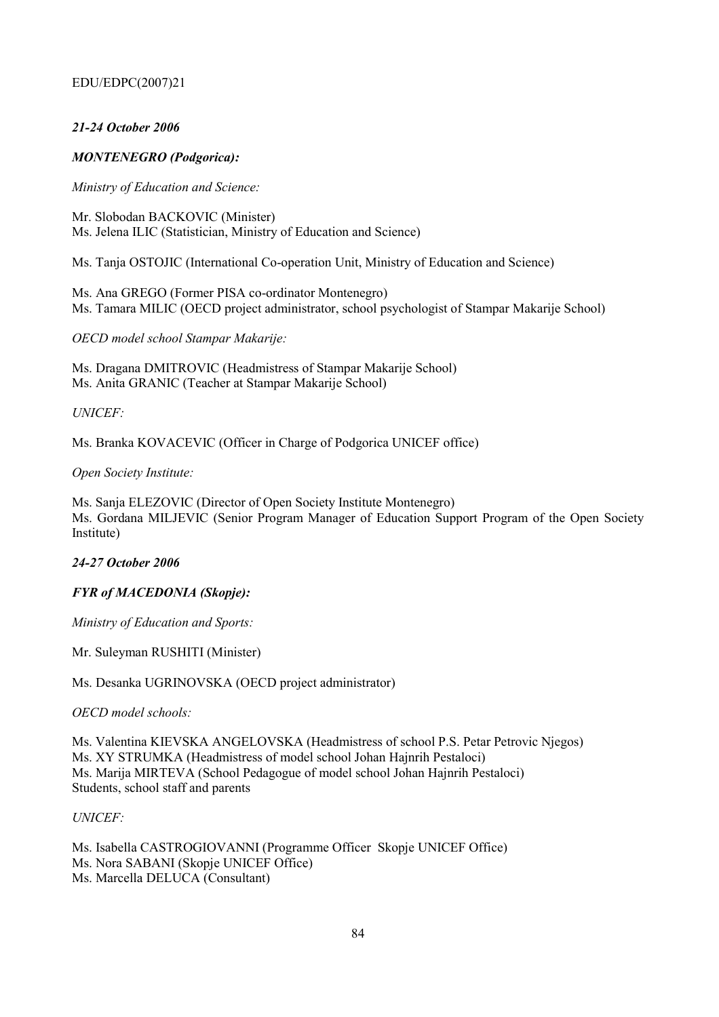# *21-24 October 2006*

# *MONTENEGRO (Podgorica):*

*Ministry of Education and Science:* 

Mr. Slobodan BACKOVIC (Minister) Ms. Jelena ILIC (Statistician, Ministry of Education and Science)

Ms. Tanja OSTOJIC (International Co-operation Unit, Ministry of Education and Science)

Ms. Ana GREGO (Former PISA co-ordinator Montenegro) Ms. Tamara MILIC (OECD project administrator, school psychologist of Stampar Makarije School)

*OECD model school Stampar Makarije:* 

Ms. Dragana DMITROVIC (Headmistress of Stampar Makarije School) Ms. Anita GRANIC (Teacher at Stampar Makarije School)

*UNICEF:* 

Ms. Branka KOVACEVIC (Officer in Charge of Podgorica UNICEF office)

## *Open Society Institute:*

Ms. Sanja ELEZOVIC (Director of Open Society Institute Montenegro) Ms. Gordana MILJEVIC (Senior Program Manager of Education Support Program of the Open Society Institute)

## *24-27 October 2006*

## *FYR of MACEDONIA (Skopje):*

*Ministry of Education and Sports:* 

Mr. Suleyman RUSHITI (Minister)

Ms. Desanka UGRINOVSKA (OECD project administrator)

*OECD model schools:* 

Ms. Valentina KIEVSKA ANGELOVSKA (Headmistress of school P.S. Petar Petrovic Njegos) Ms. XY STRUMKA (Headmistress of model school Johan Hajnrih Pestaloci) Ms. Marija MIRTEVA (School Pedagogue of model school Johan Hajnrih Pestaloci) Students, school staff and parents

## *UNICEF:*

Ms. Isabella CASTROGIOVANNI (Programme Officer Skopje UNICEF Office) Ms. Nora SABANI (Skopje UNICEF Office) Ms. Marcella DELUCA (Consultant)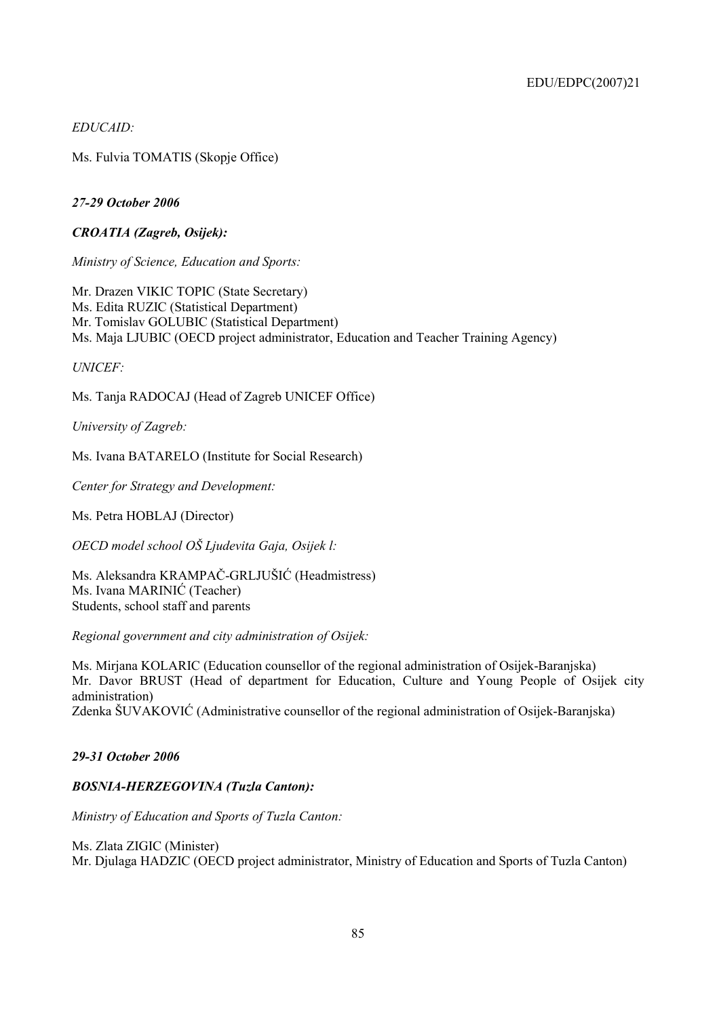*EDUCAID:* 

Ms. Fulvia TOMATIS (Skopje Office)

# *27-29 October 2006*

*CROATIA (Zagreb, Osijek):* 

*Ministry of Science, Education and Sports:* 

Mr. Drazen VIKIC TOPIC (State Secretary) Ms. Edita RUZIC (Statistical Department) Mr. Tomislav GOLUBIC (Statistical Department) Ms. Maja LJUBIC (OECD project administrator, Education and Teacher Training Agency)

*UNICEF:* 

Ms. Tanja RADOCAJ (Head of Zagreb UNICEF Office)

*University of Zagreb:* 

Ms. Ivana BATARELO (Institute for Social Research)

*Center for Strategy and Development:* 

Ms. Petra HOBLAJ (Director)

*OECD model school Oä Ljudevita Gaja, Osijek l:* 

Ms. Aleksandra KRAMPAČ-GRLJUäIĆ (Headmistress) Ms. Ivana MARINIĆ (Teacher) Students, school staff and parents

*Regional government and city administration of Osijek:* 

Ms. Mirjana KOLARIC (Education counsellor of the regional administration of Osijek-Baranjska) Mr. Davor BRUST (Head of department for Education, Culture and Young People of Osijek city administration)

Zdenka äUVAKOVIĆ (Administrative counsellor of the regional administration of Osijek-Baranjska)

## *29-31 October 2006*

# *BOSNIA-HERZEGOVINA (Tuzla Canton):*

*Ministry of Education and Sports of Tuzla Canton:* 

### Ms. Zlata ZIGIC (Minister)

Mr. Djulaga HADZIC (OECD project administrator, Ministry of Education and Sports of Tuzla Canton)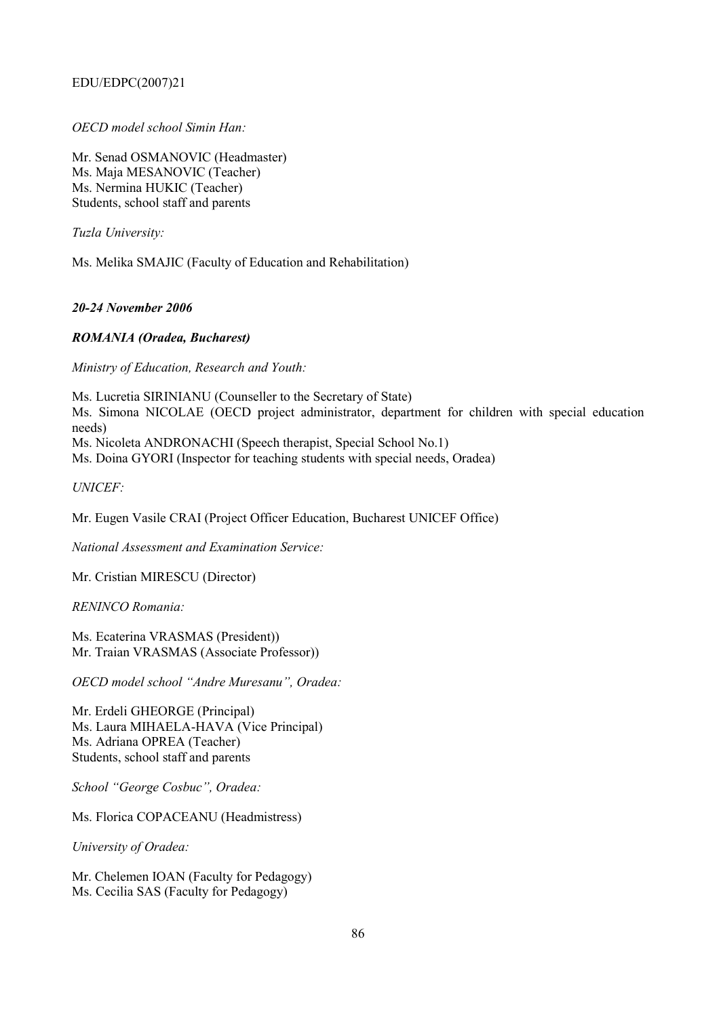# *OECD model school Simin Han:*

Mr. Senad OSMANOVIC (Headmaster) Ms. Maja MESANOVIC (Teacher) Ms. Nermina HUKIC (Teacher) Students, school staff and parents

*Tuzla University:* 

Ms. Melika SMAJIC (Faculty of Education and Rehabilitation)

*20-24 November 2006* 

# *ROMANIA (Oradea, Bucharest)*

*Ministry of Education, Research and Youth:* 

Ms. Lucretia SIRINIANU (Counseller to the Secretary of State) Ms. Simona NICOLAE (OECD project administrator, department for children with special education needs) Ms. Nicoleta ANDRONACHI (Speech therapist, Special School No.1)

Ms. Doina GYORI (Inspector for teaching students with special needs, Oradea)

*UNICEF:* 

Mr. Eugen Vasile CRAI (Project Officer Education, Bucharest UNICEF Office)

*National Assessment and Examination Service:* 

Mr. Cristian MIRESCU (Director)

*RENINCO Romania:* 

Ms. Ecaterina VRASMAS (President)) Mr. Traian VRASMAS (Associate Professor))

OECD model school "Andre Muresanu", Oradea:

Mr. Erdeli GHEORGE (Principal) Ms. Laura MIHAELA-HAVA (Vice Principal) Ms. Adriana OPREA (Teacher) Students, school staff and parents

School "George Cosbuc", Oradea:

Ms. Florica COPACEANU (Headmistress)

*University of Oradea:* 

Mr. Chelemen IOAN (Faculty for Pedagogy) Ms. Cecilia SAS (Faculty for Pedagogy)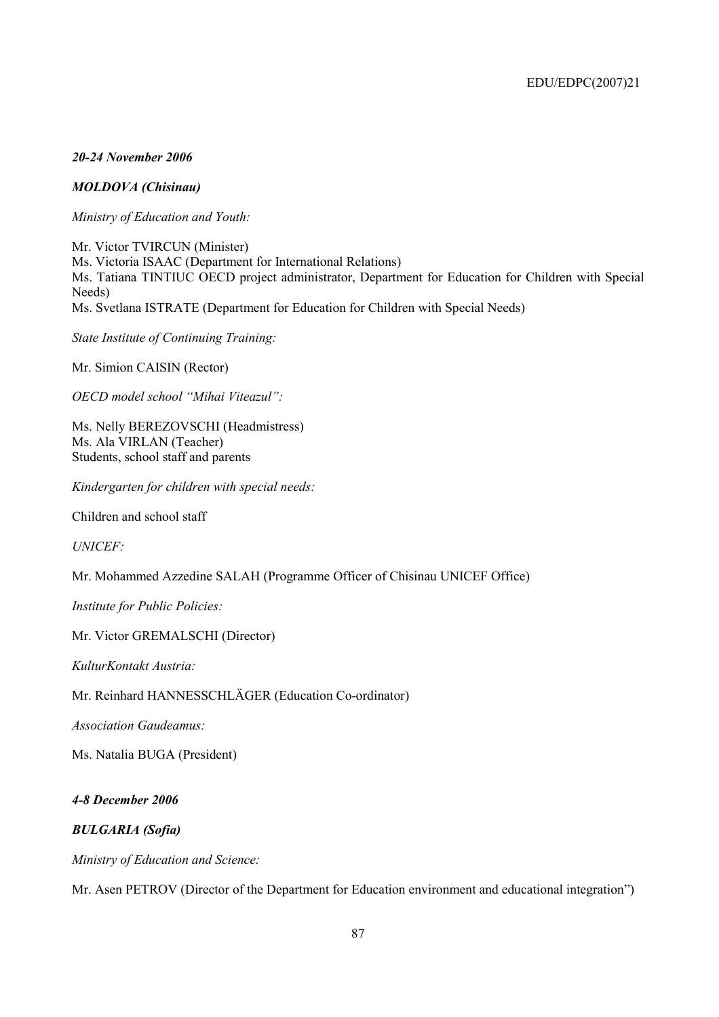# *20-24 November 2006*

# *MOLDOVA (Chisinau)*

*Ministry of Education and Youth:* 

Mr. Victor TVIRCUN (Minister) Ms. Victoria ISAAC (Department for International Relations) Ms. Tatiana TINTIUC OECD project administrator, Department for Education for Children with Special Needs) Ms. Svetlana ISTRATE (Department for Education for Children with Special Needs)

*State Institute of Continuing Training:* 

Mr. Simion CAISIN (Rector)

*OECD model school "Mihai Viteazul":* 

Ms. Nelly BEREZOVSCHI (Headmistress) Ms. Ala VIRLAN (Teacher) Students, school staff and parents

*Kindergarten for children with special needs:* 

Children and school staff

*UNICEF:* 

Mr. Mohammed Azzedine SALAH (Programme Officer of Chisinau UNICEF Office)

*Institute for Public Policies:* 

Mr. Victor GREMALSCHI (Director)

*KulturKontakt Austria:* 

Mr. Reinhard HANNESSCHLÄGER (Education Co-ordinator)

*Association Gaudeamus:* 

Ms. Natalia BUGA (President)

## *4-8 December 2006*

## *BULGARIA (Sofia)*

*Ministry of Education and Science:* 

Mr. Asen PETROV (Director of the Department for Education environment and educational integration<sup>n</sup>)